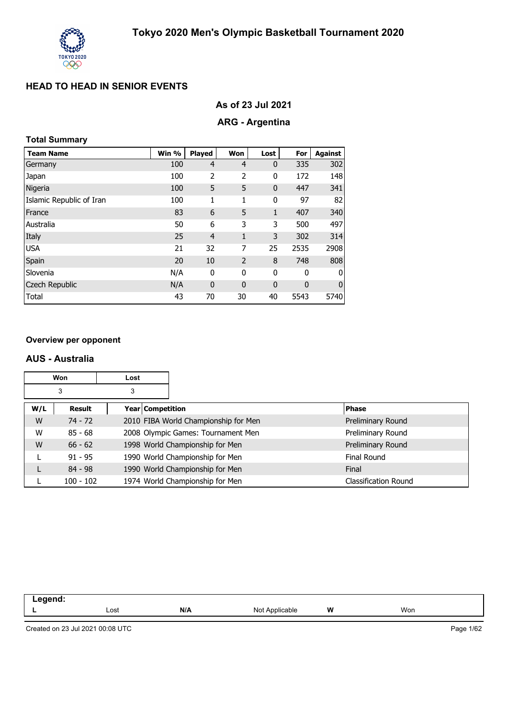

| As of 23 Jul 2021 |  |
|-------------------|--|
|-------------------|--|

## **ARG - Argentina**

## **Total Summary**

| <b>Team Name</b>         | Win % | Played         | Won            | Lost         | For  | <b>Against</b> |
|--------------------------|-------|----------------|----------------|--------------|------|----------------|
| Germany                  | 100   | $\overline{4}$ | 4              | $\mathbf 0$  | 335  | 302            |
| Japan                    | 100   | 2              | 2              | 0            | 172  | 148            |
| Nigeria                  | 100   | 5              | 5              | $\mathbf 0$  | 447  | 341            |
| Islamic Republic of Iran | 100   | 1              | 1              | 0            | 97   | 82             |
| France                   | 83    | 6              | 5              | $\mathbf{1}$ | 407  | 340            |
| Australia                | 50    | 6              | 3              | 3            | 500  | 497            |
| Italy                    | 25    | $\overline{4}$ | 1              | 3            | 302  | 314            |
| <b>USA</b>               | 21    | 32             | 7              | 25           | 2535 | 2908           |
| Spain                    | 20    | 10             | $\overline{2}$ | 8            | 748  | 808            |
| Slovenia                 | N/A   | 0              | 0              | 0            | 0    | 0              |
| <b>Czech Republic</b>    | N/A   | $\mathbf{0}$   | 0              | $\mathbf 0$  | 0    | $\mathbf 0$    |
| Total                    | 43    | 70             | 30             | 40           | 5543 | 5740           |

#### **Overview per opponent**

#### **AUS - Australia**

|     | Won         | Lost |                  |                                      |                      |
|-----|-------------|------|------------------|--------------------------------------|----------------------|
|     | 3           | 3    |                  |                                      |                      |
| W/L | Result      |      | Year Competition |                                      | <b>Phase</b>         |
| W   | $74 - 72$   |      |                  | 2010 FIBA World Championship for Men | Preliminary Round    |
| W   | $85 - 68$   |      |                  | 2008 Olympic Games: Tournament Men   | Preliminary Round    |
| W   | $66 - 62$   |      |                  | 1998 World Championship for Men      | Preliminary Round    |
|     | $91 - 95$   |      |                  | 1990 World Championship for Men      | <b>Final Round</b>   |
|     | $84 - 98$   |      |                  | 1990 World Championship for Men      | Final                |
|     | $100 - 102$ |      |                  | 1974 World Championship for Men      | Classification Round |

| .<br>____ |      |     |                   |   |     |
|-----------|------|-----|-------------------|---|-----|
| --        | Lost | N/A | Not<br>Applicable | W | Won |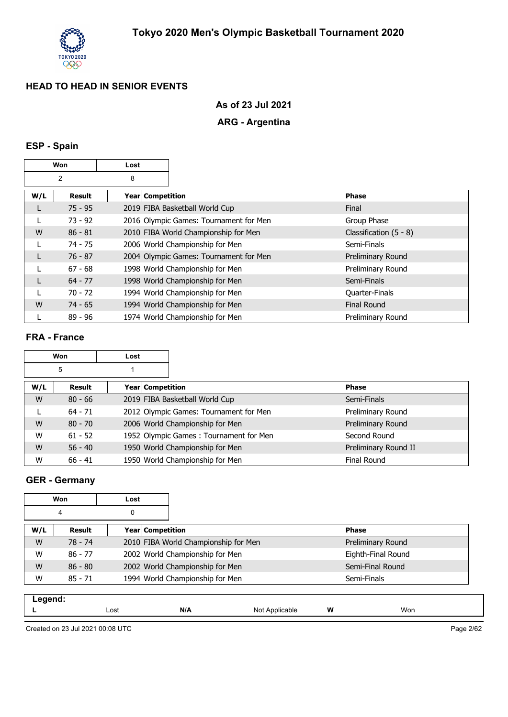

#### **As of 23 Jul 2021**

## **ARG - Argentina**

## **ESP - Spain**

|                     | Won<br>Lost |                  |                                        |                          |
|---------------------|-------------|------------------|----------------------------------------|--------------------------|
| $\overline{2}$<br>8 |             |                  |                                        |                          |
| W/L                 | Result      | Year Competition |                                        | <b>Phase</b>             |
| L                   | $75 - 95$   |                  | 2019 FIBA Basketball World Cup         | Final                    |
|                     | $73 - 92$   |                  | 2016 Olympic Games: Tournament for Men | Group Phase              |
| W                   | $86 - 81$   |                  | 2010 FIBA World Championship for Men   | Classification $(5 - 8)$ |
|                     | $74 - 75$   |                  | 2006 World Championship for Men        | Semi-Finals              |
| L                   | $76 - 87$   |                  | 2004 Olympic Games: Tournament for Men | Preliminary Round        |
|                     | $67 - 68$   |                  | 1998 World Championship for Men        | Preliminary Round        |
|                     | $64 - 77$   |                  | 1998 World Championship for Men        | Semi-Finals              |
|                     | $70 - 72$   |                  | 1994 World Championship for Men        | <b>Quarter-Finals</b>    |
| W                   | $74 - 65$   |                  | 1994 World Championship for Men        | <b>Final Round</b>       |
|                     | $89 - 96$   |                  | 1974 World Championship for Men        | Preliminary Round        |

#### **FRA - France**

|     | Won       | Lost |                  |                                        |                      |
|-----|-----------|------|------------------|----------------------------------------|----------------------|
|     | 5         |      |                  |                                        |                      |
| W/L | Result    |      | Year Competition |                                        | <b>Phase</b>         |
| W   | $80 - 66$ |      |                  | 2019 FIBA Basketball World Cup         | Semi-Finals          |
|     | $64 - 71$ |      |                  | 2012 Olympic Games: Tournament for Men | Preliminary Round    |
| W   | $80 - 70$ |      |                  | 2006 World Championship for Men        | Preliminary Round    |
| W   | $61 - 52$ |      |                  | 1952 Olympic Games: Tournament for Men | Second Round         |
| W   | $56 - 40$ |      |                  | 1950 World Championship for Men        | Preliminary Round II |
| W   | $66 - 41$ |      |                  | 1950 World Championship for Men        | <b>Final Round</b>   |

### **GER - Germany**

|        | Won<br>Lost |  |                                 |                                      |                    |
|--------|-------------|--|---------------------------------|--------------------------------------|--------------------|
| 0<br>4 |             |  |                                 |                                      |                    |
| W/L    | Result      |  | Year Competition                |                                      | <b>Phase</b>       |
| W      | $78 - 74$   |  |                                 | 2010 FIBA World Championship for Men | Preliminary Round  |
| W      | $86 - 77$   |  | 2002 World Championship for Men |                                      | Eighth-Final Round |
| W      | $86 - 80$   |  | 2002 World Championship for Men |                                      | Semi-Final Round   |
| W      | $85 - 71$   |  | 1994 World Championship for Men |                                      | Semi-Finals        |
|        |             |  |                                 |                                      |                    |

| . . |      |     |                |   |     |
|-----|------|-----|----------------|---|-----|
| -   | Lost | N/A | N٢<br>⊣חי<br>w | W | Won |
|     |      |     |                |   |     |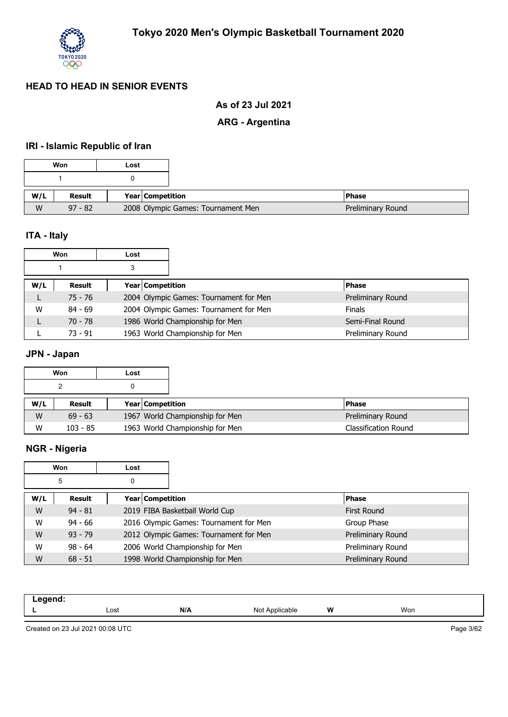

## **As of 23 Jul 2021**

## **ARG - Argentina**

## **IRI - Islamic Republic of Iran**

|     | Won       | Lost             |                                    |  |
|-----|-----------|------------------|------------------------------------|--|
|     |           |                  |                                    |  |
| W/L | Result    | Year Competition |                                    |  |
| W   | $97 - 82$ |                  | 2008 Olympic Games: Tournament Men |  |

## **ITA - Italy**

|     | Won       | Lost |                  |                                        |                   |
|-----|-----------|------|------------------|----------------------------------------|-------------------|
|     |           | 3    |                  |                                        |                   |
| W/L | Result    |      | Year Competition |                                        | <b>Phase</b>      |
| L   | $75 - 76$ |      |                  | 2004 Olympic Games: Tournament for Men | Preliminary Round |
| W   | $84 - 69$ |      |                  | 2004 Olympic Games: Tournament for Men | <b>Finals</b>     |
|     | $70 - 78$ |      |                  | 1986 World Championship for Men        | Semi-Final Round  |
|     | $73 - 91$ |      |                  | 1963 World Championship for Men        | Preliminary Round |

## **JPN - Japan**

|     | Won        | Lost |                         |                                 |                             |
|-----|------------|------|-------------------------|---------------------------------|-----------------------------|
|     |            |      |                         |                                 |                             |
| W/L | Result     |      | <b>Year Competition</b> |                                 | <b>Phase</b>                |
| W   | $69 - 63$  |      |                         | 1967 World Championship for Men | Preliminary Round           |
| W   | $103 - 85$ |      |                         | 1963 World Championship for Men | <b>Classification Round</b> |

## **NGR - Nigeria**

|        | Won       | Lost |                  |                                        |                    |
|--------|-----------|------|------------------|----------------------------------------|--------------------|
| 5<br>0 |           |      |                  |                                        |                    |
| W/L    | Result    |      | Year Competition |                                        | <b>Phase</b>       |
| W      | $94 - 81$ |      |                  | 2019 FIBA Basketball World Cup         | <b>First Round</b> |
| W      | $94 - 66$ |      |                  | 2016 Olympic Games: Tournament for Men | Group Phase        |
| W      | $93 - 79$ |      |                  | 2012 Olympic Games: Tournament for Men | Preliminary Round  |
| W      | $98 - 64$ |      |                  | 2006 World Championship for Men        | Preliminary Round  |
| W      | $68 - 51$ |      |                  | 1998 World Championship for Men        | Preliminary Round  |

| -- 3 |      |     |                      |   |     |  |
|------|------|-----|----------------------|---|-----|--|
| --   | Lost | N/A | Ñ∩<br>≎able<br>11011 | W | Won |  |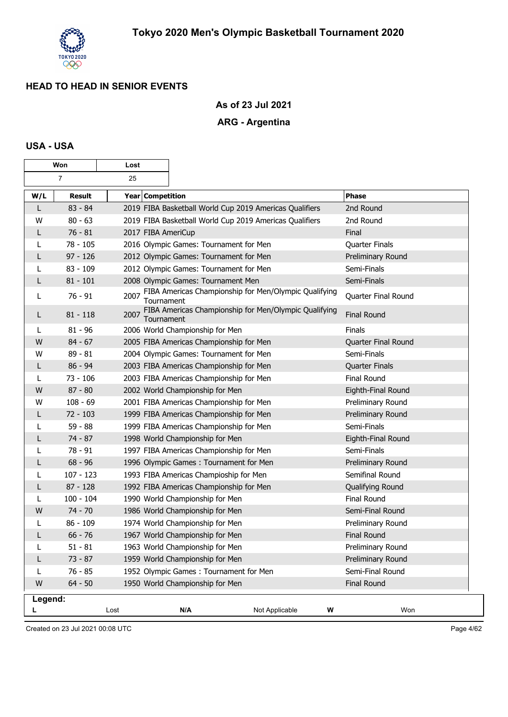

### **As of 23 Jul 2021**

## **ARG - Argentina**

#### **USA - USA**

|         | Won            | Lost               |                                         |                                                         |                     |
|---------|----------------|--------------------|-----------------------------------------|---------------------------------------------------------|---------------------|
|         | $\overline{7}$ | 25                 |                                         |                                                         |                     |
| W/L     | <b>Result</b>  | Year Competition   |                                         |                                                         | <b>Phase</b>        |
| L       | $83 - 84$      |                    |                                         | 2019 FIBA Basketball World Cup 2019 Americas Qualifiers | 2nd Round           |
| W       | $80 - 63$      |                    |                                         | 2019 FIBA Basketball World Cup 2019 Americas Qualifiers | 2nd Round           |
| L       | $76 - 81$      | 2017 FIBA AmeriCup |                                         |                                                         | Final               |
|         | $78 - 105$     |                    | 2016 Olympic Games: Tournament for Men  |                                                         | Quarter Finals      |
| L       | $97 - 126$     |                    | 2012 Olympic Games: Tournament for Men  |                                                         | Preliminary Round   |
| L       | $83 - 109$     |                    | 2012 Olympic Games: Tournament for Men  |                                                         | Semi-Finals         |
| L       | $81 - 101$     |                    | 2008 Olympic Games: Tournament Men      |                                                         | Semi-Finals         |
| L       | $76 - 91$      | 2007<br>Tournament |                                         | FIBA Americas Championship for Men/Olympic Qualifying   | Quarter Final Round |
| L       | $81 - 118$     | 2007<br>Tournament |                                         | FIBA Americas Championship for Men/Olympic Qualifying   | <b>Final Round</b>  |
| L       | $81 - 96$      |                    | 2006 World Championship for Men         |                                                         | Finals              |
| W       | $84 - 67$      |                    | 2005 FIBA Americas Championship for Men |                                                         | Quarter Final Round |
| W       | $89 - 81$      |                    | 2004 Olympic Games: Tournament for Men  |                                                         | Semi-Finals         |
| L       | $86 - 94$      |                    | 2003 FIBA Americas Championship for Men |                                                         | Quarter Finals      |
| L       | $73 - 106$     |                    | 2003 FIBA Americas Championship for Men |                                                         | Final Round         |
| W       | $87 - 80$      |                    | 2002 World Championship for Men         |                                                         | Eighth-Final Round  |
| W       | $108 - 69$     |                    | 2001 FIBA Americas Championship for Men |                                                         | Preliminary Round   |
| L       | $72 - 103$     |                    | 1999 FIBA Americas Championship for Men |                                                         | Preliminary Round   |
|         | $59 - 88$      |                    | 1999 FIBA Americas Championship for Men |                                                         | Semi-Finals         |
| L       | $74 - 87$      |                    | 1998 World Championship for Men         |                                                         | Eighth-Final Round  |
| L       | $78 - 91$      |                    | 1997 FIBA Americas Championship for Men |                                                         | Semi-Finals         |
| L       | $68 - 96$      |                    | 1996 Olympic Games: Tournament for Men  |                                                         | Preliminary Round   |
| L       | $107 - 123$    |                    | 1993 FIBA Americas Champioship for Men  |                                                         | Semifinal Round     |
| L       | $87 - 128$     |                    | 1992 FIBA Americas Championship for Men |                                                         | Qualifying Round    |
| L       | $100 - 104$    |                    | 1990 World Championship for Men         |                                                         | Final Round         |
| W       | $74 - 70$      |                    | 1986 World Championship for Men         |                                                         | Semi-Final Round    |
|         | $86 - 109$     |                    | 1974 World Championship for Men         |                                                         | Preliminary Round   |
| L       | $66 - 76$      |                    | 1967 World Championship for Men         |                                                         | <b>Final Round</b>  |
| L       | $51 - 81$      |                    | 1963 World Championship for Men         |                                                         | Preliminary Round   |
| L       | $73 - 87$      |                    | 1959 World Championship for Men         |                                                         | Preliminary Round   |
| L       | $76 - 85$      |                    | 1952 Olympic Games: Tournament for Men  |                                                         | Semi-Final Round    |
| W       | $64 - 50$      |                    | 1950 World Championship for Men         |                                                         | Final Round         |
| Legend: |                |                    |                                         |                                                         |                     |
|         |                | Lost               | N/A                                     | Not Applicable                                          | Won<br>W            |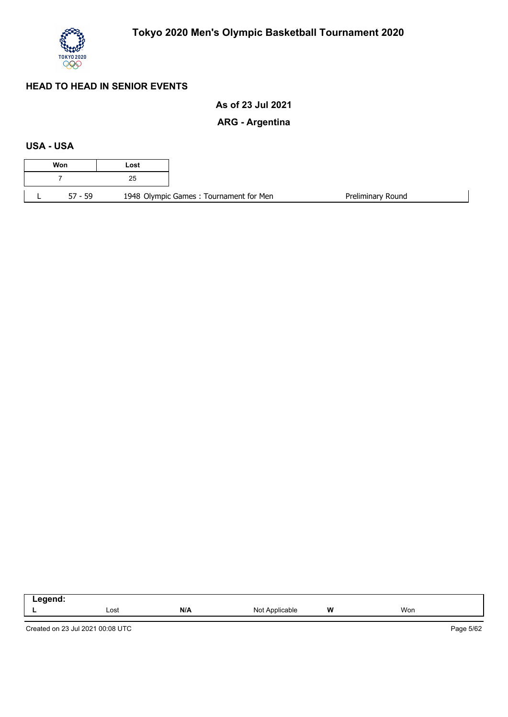

## **As of 23 Jul 2021**

## **ARG - Argentina**

### **USA - USA**

| 1948 Olympic Games: Tournament for Men |
|----------------------------------------|

| $-$ - $  -$<br>. <del>-</del> >g>---- |      |     |                          |   |     |  |
|---------------------------------------|------|-----|--------------------------|---|-----|--|
|                                       | Lost | N/A | Applicable<br>ו חו<br>,, | W | Won |  |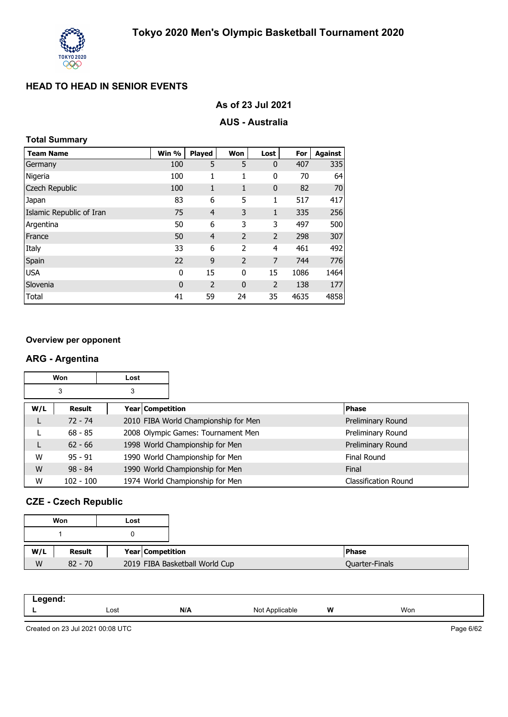

| As of 23 Jul 2021 |  |  |  |
|-------------------|--|--|--|
|-------------------|--|--|--|

#### **AUS - Australia**

#### **Total Summary**

| <b>Team Name</b>         | Win %       | <b>Played</b>  | Won            | Lost           | For  | Against |
|--------------------------|-------------|----------------|----------------|----------------|------|---------|
| Germany                  | 100         | 5              | 5              | $\mathbf 0$    | 407  | 335     |
| Nigeria                  | 100         | 1              | 1              | 0              | 70   | 64      |
| Czech Republic           | 100         | 1              | 1              | $\mathbf 0$    | 82   | 70      |
| Japan                    | 83          | 6              | 5              | 1              | 517  | 417     |
| Islamic Republic of Iran | 75          | $\overline{4}$ | 3              | 1              | 335  | 256     |
| Argentina                | 50          | 6              | 3              | 3              | 497  | 500     |
| France                   | 50          | $\overline{4}$ | 2              | 2              | 298  | 307     |
| Italy                    | 33          | 6              | 2              | $\overline{a}$ | 461  | 492     |
| Spain                    | 22          | 9              | $\overline{2}$ | 7              | 744  | 776     |
| <b>USA</b>               | 0           | 15             | 0              | 15             | 1086 | 1464    |
| Slovenia                 | $\mathbf 0$ | 2              | $\mathbf{0}$   | 2              | 138  | 177     |
| Total                    | 41          | 59             | 24             | 35             | 4635 | 4858    |

#### **Overview per opponent**

#### **ARG - Argentina**

|     | Won         | Lost |                                      |                      |
|-----|-------------|------|--------------------------------------|----------------------|
|     | 3           | 3    |                                      |                      |
| W/L | Result      |      | Year   Competition                   | <b>Phase</b>         |
|     | $72 - 74$   |      | 2010 FIBA World Championship for Men | Preliminary Round    |
|     | $68 - 85$   |      | 2008 Olympic Games: Tournament Men   | Preliminary Round    |
| L   | $62 - 66$   |      | 1998 World Championship for Men      | Preliminary Round    |
| W   | $95 - 91$   |      | 1990 World Championship for Men      | Final Round          |
| W   | $98 - 84$   |      | 1990 World Championship for Men      | Final                |
| W   | $102 - 100$ |      | 1974 World Championship for Men      | Classification Round |

## **CZE - Czech Republic**

|     | Won       | Lost |                                |                |
|-----|-----------|------|--------------------------------|----------------|
|     |           |      |                                |                |
|     |           |      |                                |                |
| W/L | Result    |      | Year Competition               | <b>Phase</b>   |
| W   | $82 - 70$ |      | 2019 FIBA Basketball World Cup | Quarter-Finals |

| - - -- -<br>- 0 |      |     |                              |   |     |
|-----------------|------|-----|------------------------------|---|-----|
|                 | Lost | N/A | NM<br><b>Icable</b><br>1901r | W | Won |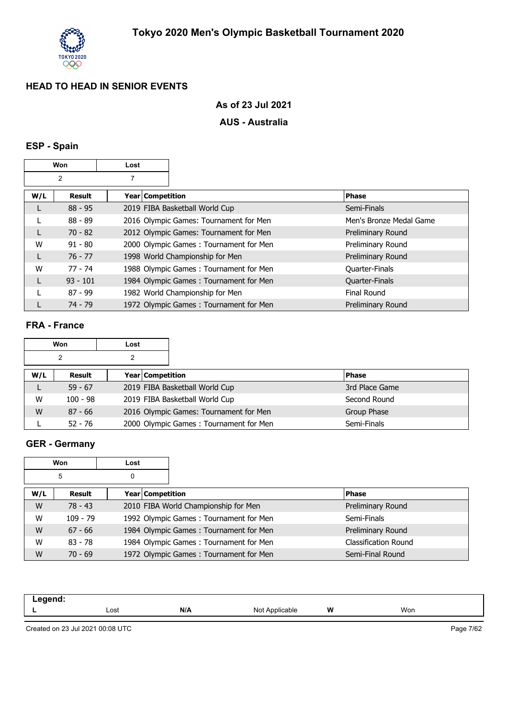

### **As of 23 Jul 2021**

#### **AUS - Australia**

## **ESP - Spain**

|     | Won<br>Lost |                    |                                        |                          |
|-----|-------------|--------------------|----------------------------------------|--------------------------|
|     | 2           | 7                  |                                        |                          |
| W/L | Result      | Year   Competition |                                        | <b>Phase</b>             |
| L   | $88 - 95$   |                    | 2019 FIBA Basketball World Cup         | Semi-Finals              |
|     | $88 - 89$   |                    | 2016 Olympic Games: Tournament for Men | Men's Bronze Medal Game  |
| L   | $70 - 82$   |                    | 2012 Olympic Games: Tournament for Men | Preliminary Round        |
| W   | $91 - 80$   |                    | 2000 Olympic Games: Tournament for Men | Preliminary Round        |
| L   | $76 - 77$   |                    | 1998 World Championship for Men        | Preliminary Round        |
| W   | $77 - 74$   |                    | 1988 Olympic Games: Tournament for Men | Quarter-Finals           |
| L   | $93 - 101$  |                    | 1984 Olympic Games: Tournament for Men | Quarter-Finals           |
|     | $87 - 99$   |                    | 1982 World Championship for Men        | Final Round              |
|     | $74 - 79$   |                    | 1972 Olympic Games: Tournament for Men | <b>Preliminary Round</b> |

#### **FRA - France**

|     | Won        | Lost |                         |                                        |                |
|-----|------------|------|-------------------------|----------------------------------------|----------------|
|     | 2          |      |                         |                                        |                |
| W/L | Result     |      | <b>Year Competition</b> |                                        | <b>Phase</b>   |
|     | $59 - 67$  |      |                         | 2019 FIBA Basketball World Cup         | 3rd Place Game |
| W   | $100 - 98$ |      |                         | 2019 FIBA Basketball World Cup         | Second Round   |
| W   | $87 - 66$  |      |                         | 2016 Olympic Games: Tournament for Men | Group Phase    |
|     | $52 - 76$  |      |                         | 2000 Olympic Games: Tournament for Men | Semi-Finals    |

## **GER - Germany**

|     | Won        | Lost             |                                        |                             |
|-----|------------|------------------|----------------------------------------|-----------------------------|
|     | 5          | 0                |                                        |                             |
| W/L | Result     | Year Competition |                                        | <b>Phase</b>                |
| W   | $78 - 43$  |                  | 2010 FIBA World Championship for Men   | Preliminary Round           |
| W   | $109 - 79$ |                  | 1992 Olympic Games: Tournament for Men | Semi-Finals                 |
| W   | $67 - 66$  |                  | 1984 Olympic Games: Tournament for Men | Preliminary Round           |
| W   | $83 - 78$  |                  | 1984 Olympic Games: Tournament for Men | <b>Classification Round</b> |
| W   | $70 - 69$  |                  | 1972 Olympic Games: Tournament for Men | Semi-Final Round            |

| - - - - - - |      |     |                          |   |     |  |
|-------------|------|-----|--------------------------|---|-----|--|
| -           | Lost | N/A | Not A<br>ible<br>$\cdot$ | W | Won |  |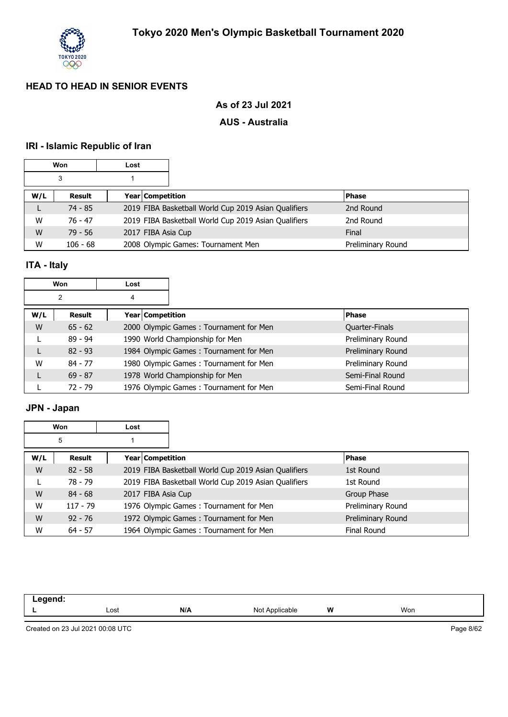

## **As of 23 Jul 2021**

#### **AUS - Australia**

## **IRI - Islamic Republic of Iran**

| Won |            | Lost               |                                                      |                   |
|-----|------------|--------------------|------------------------------------------------------|-------------------|
| 3   |            |                    |                                                      |                   |
| W/L | Result     | Year Competition   |                                                      | <b>Phase</b>      |
|     | 74 - 85    |                    | 2019 FIBA Basketball World Cup 2019 Asian Qualifiers | 2nd Round         |
| W   | 76 - 47    |                    | 2019 FIBA Basketball World Cup 2019 Asian Qualifiers | 2nd Round         |
| W   | $79 - 56$  | 2017 FIBA Asia Cup |                                                      | Final             |
| W   | $106 - 68$ |                    | 2008 Olympic Games: Tournament Men                   | Preliminary Round |

## **ITA - Italy**

| Won<br>Lost |           |   |                    |                                        |  |                       |
|-------------|-----------|---|--------------------|----------------------------------------|--|-----------------------|
|             | 2         | 4 |                    |                                        |  |                       |
| W/L         | Result    |   | Year   Competition |                                        |  | <b>Phase</b>          |
| W           | $65 - 62$ |   |                    | 2000 Olympic Games: Tournament for Men |  | <b>Quarter-Finals</b> |
|             | $89 - 94$ |   |                    | 1990 World Championship for Men        |  | Preliminary Round     |
| L           | $82 - 93$ |   |                    | 1984 Olympic Games: Tournament for Men |  | Preliminary Round     |
| W           | $84 - 77$ |   |                    | 1980 Olympic Games: Tournament for Men |  | Preliminary Round     |
| L           | $69 - 87$ |   |                    | 1978 World Championship for Men        |  | Semi-Final Round      |
|             | $72 - 79$ |   |                    | 1976 Olympic Games: Tournament for Men |  | Semi-Final Round      |

## **JPN - Japan**

|     | <b>Won</b> | Lost               |                                                      |                    |  |
|-----|------------|--------------------|------------------------------------------------------|--------------------|--|
|     | 5          |                    |                                                      |                    |  |
| W/L | Result     | Year   Competition |                                                      | <b>Phase</b>       |  |
| W   | $82 - 58$  |                    | 2019 FIBA Basketball World Cup 2019 Asian Qualifiers | 1st Round          |  |
|     | 78 - 79    |                    | 2019 FIBA Basketball World Cup 2019 Asian Qualifiers | 1st Round          |  |
| W   | $84 - 68$  | 2017 FIBA Asia Cup |                                                      | Group Phase        |  |
| W   | $117 - 79$ |                    | 1976 Olympic Games: Tournament for Men               | Preliminary Round  |  |
| W   | $92 - 76$  |                    | 1972 Olympic Games: Tournament for Men               | Preliminary Round  |  |
| W   | $64 - 57$  |                    | 1964 Olympic Games: Tournament for Men               | <b>Final Round</b> |  |

| .<br>-- |      |     |                   |   |     |  |
|---------|------|-----|-------------------|---|-----|--|
|         | Lost | N/A | Not<br>Applicable | W | Won |  |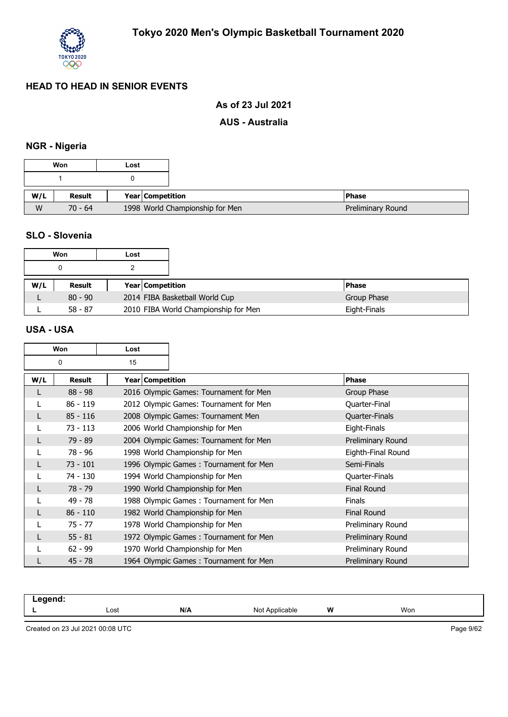

### **As of 23 Jul 2021**

#### **AUS - Australia**

## **NGR - Nigeria**

#### **SLO - Slovenia**

|     | Won       | Lost                    |                                      |              |
|-----|-----------|-------------------------|--------------------------------------|--------------|
|     |           |                         |                                      |              |
| W/L | Result    | <b>Year Competition</b> |                                      | <b>Phase</b> |
|     | $80 - 90$ |                         | 2014 FIBA Basketball World Cup       | Group Phase  |
|     | $58 - 87$ |                         | 2010 FIBA World Championship for Men | Eight-Finals |

#### **USA - USA**

| Won<br>Lost |               |                    |                                        |                    |
|-------------|---------------|--------------------|----------------------------------------|--------------------|
| 15<br>0     |               |                    |                                        |                    |
| W/L         | <b>Result</b> | Year   Competition |                                        | <b>Phase</b>       |
| L           | $88 - 98$     |                    | 2016 Olympic Games: Tournament for Men | Group Phase        |
| L           | $86 - 119$    |                    | 2012 Olympic Games: Tournament for Men | Quarter-Final      |
| L           | $85 - 116$    |                    | 2008 Olympic Games: Tournament Men     | Quarter-Finals     |
|             | $73 - 113$    |                    | 2006 World Championship for Men        | Eight-Finals       |
| L           | $79 - 89$     |                    | 2004 Olympic Games: Tournament for Men | Preliminary Round  |
|             | 78 - 96       |                    | 1998 World Championship for Men        | Eighth-Final Round |
| L           | $73 - 101$    |                    | 1996 Olympic Games: Tournament for Men | Semi-Finals        |
|             | 74 - 130      |                    | 1994 World Championship for Men        | Quarter-Finals     |
| L           | $78 - 79$     |                    | 1990 World Championship for Men        | <b>Final Round</b> |
|             | $49 - 78$     |                    | 1988 Olympic Games: Tournament for Men | <b>Finals</b>      |
|             | $86 - 110$    |                    | 1982 World Championship for Men        | <b>Final Round</b> |
|             | $75 - 77$     |                    | 1978 World Championship for Men        | Preliminary Round  |
|             | $55 - 81$     |                    | 1972 Olympic Games: Tournament for Men | Preliminary Round  |
|             | $62 - 99$     |                    | 1970 World Championship for Men        | Preliminary Round  |
|             | $45 - 78$     |                    | 1964 Olympic Games: Tournament for Men | Preliminary Round  |

| - | Lost | N/A | ۱۸۱<br>able<br><u>ו זיטונ</u> | W | Won |  |
|---|------|-----|-------------------------------|---|-----|--|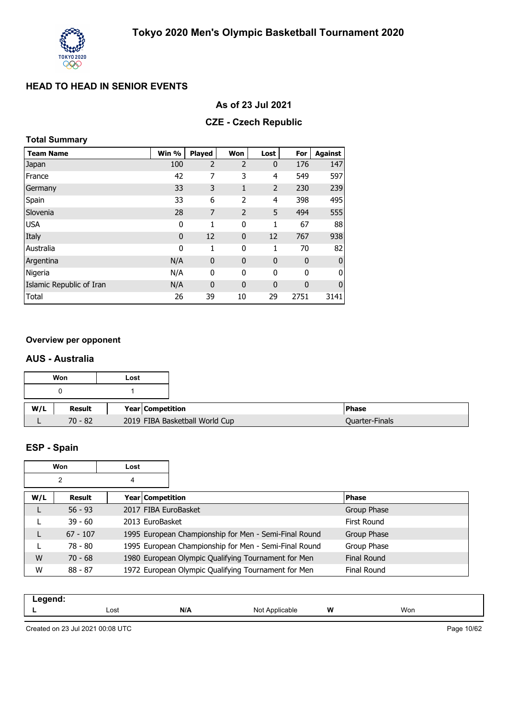

#### **As of 23 Jul 2021**

#### **CZE - Czech Republic**

#### **Total Summary**

| <b>Team Name</b>         | Win %        | Played         | Won            | Lost           | For         | <b>Against</b> |
|--------------------------|--------------|----------------|----------------|----------------|-------------|----------------|
| Japan                    | 100          | $\overline{2}$ | $\overline{2}$ | $\mathbf 0$    | 176         | 147            |
| France                   | 42           | 7              | 3              | 4              | 549         | 597            |
| Germany                  | 33           | 3              | 1              | $\overline{2}$ | 230         | 239            |
| Spain                    | 33           | 6              | 2              | $\overline{4}$ | 398         | 495            |
| Slovenia                 | 28           | $\overline{7}$ | $\overline{2}$ | 5              | 494         | 555            |
| <b>USA</b>               | 0            | 1              | 0              | 1              | 67          | 88             |
| Italy                    | $\mathbf{0}$ | 12             | $\mathbf{0}$   | 12             | 767         | 938            |
| Australia                | $\mathbf 0$  | 1              | 0              | 1              | 70          | 82             |
| Argentina                | N/A          | $\mathbf{0}$   | $\mathbf 0$    | $\mathbf 0$    | $\mathbf 0$ | $\bf{0}$       |
| Nigeria                  | N/A          | 0              | 0              | 0              | 0           | 0              |
| Islamic Republic of Iran | N/A          | $\mathbf 0$    | $\mathbf 0$    | $\mathbf 0$    | 0           | $\mathbf 0$    |
| Total                    | 26           | 39             | 10             | 29             | 2751        | 3141           |

#### **Overview per opponent**

#### **AUS - Australia**

|     | Won       | Lost             |                                |
|-----|-----------|------------------|--------------------------------|
|     |           |                  |                                |
| W/L | Result    | Year Competition |                                |
|     | $70 - 82$ |                  | 2019 FIBA Basketball World Cup |

# **ESP - Spain**

| Won<br>Lost |            |   |                  |                                                       |                    |
|-------------|------------|---|------------------|-------------------------------------------------------|--------------------|
|             | 2          | 4 |                  |                                                       |                    |
| W/L         | Result     |   | Year Competition |                                                       | <b>Phase</b>       |
|             | $56 - 93$  |   |                  | 2017 FIBA EuroBasket                                  | Group Phase        |
|             | $39 - 60$  |   | 2013 EuroBasket  |                                                       | First Round        |
| L           | $67 - 107$ |   |                  | 1995 European Championship for Men - Semi-Final Round | Group Phase        |
|             | 78 - 80    |   |                  | 1995 European Championship for Men - Semi-Final Round | Group Phase        |
| W           | $70 - 68$  |   |                  | 1980 European Olympic Qualifying Tournament for Men   | <b>Final Round</b> |
| W           | $88 - 87$  |   |                  | 1972 European Olympic Qualifying Tournament for Men   | <b>Final Round</b> |

| . <del>.</del> |      |     |                                |   |     |  |
|----------------|------|-----|--------------------------------|---|-----|--|
| . .            | Lost | N/A | ⊸u∩t Annlicab'⊆<br>abie<br>ישו | W | Won |  |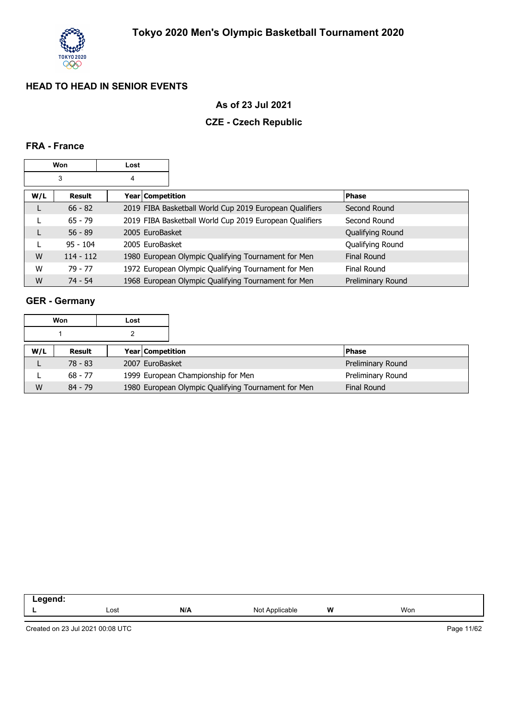

### **As of 23 Jul 2021**

## **CZE - Czech Republic**

#### **FRA - France**

|     | Won         | Lost |                    |                                                         |                   |
|-----|-------------|------|--------------------|---------------------------------------------------------|-------------------|
|     | 3           | 4    |                    |                                                         |                   |
| W/L | Result      |      | Year   Competition |                                                         | <b>Phase</b>      |
| L   | $66 - 82$   |      |                    | 2019 FIBA Basketball World Cup 2019 European Qualifiers | Second Round      |
|     | $65 - 79$   |      |                    | 2019 FIBA Basketball World Cup 2019 European Qualifiers | Second Round      |
| L   | $56 - 89$   |      | 2005 EuroBasket    |                                                         | Qualifying Round  |
|     | $95 - 104$  |      | 2005 EuroBasket    |                                                         | Qualifying Round  |
| W   | $114 - 112$ |      |                    | 1980 European Olympic Qualifying Tournament for Men     | Final Round       |
| W   | $79 - 77$   |      |                    | 1972 European Olympic Qualifying Tournament for Men     | Final Round       |
| W   | $74 - 54$   |      |                    | 1968 European Olympic Qualifying Tournament for Men     | Preliminary Round |

## **GER - Germany**

|     | Won       | Lost |                                                     |                    |
|-----|-----------|------|-----------------------------------------------------|--------------------|
|     |           |      |                                                     |                    |
| W/L | Result    |      | <b>Year Competition</b>                             | <b>Phase</b>       |
|     | $78 - 83$ |      | 2007 EuroBasket                                     | Preliminary Round  |
|     | $68 - 77$ |      | 1999 European Championship for Men                  | Preliminary Round  |
| W   | $84 - 79$ |      | 1980 European Olympic Qualifying Tournament for Men | <b>Final Round</b> |

| .  |      |     |                           |   |     |
|----|------|-----|---------------------------|---|-----|
| -- | Lost | N/A | Applicable<br>N∩t<br>ັ∙ບເ | W | Won |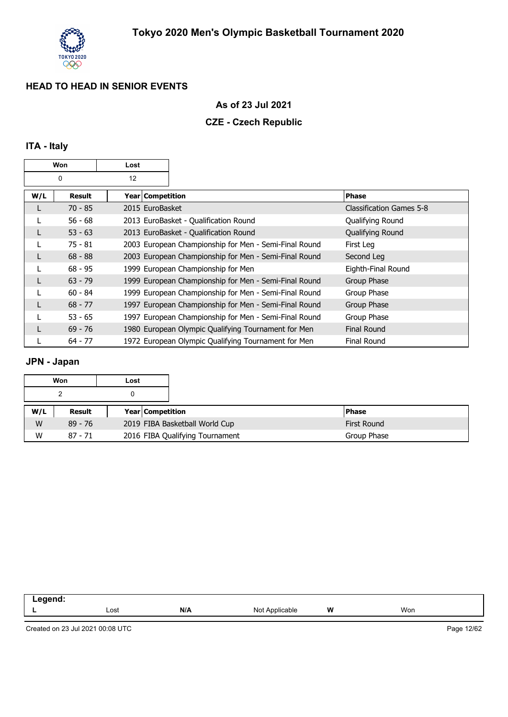

### **As of 23 Jul 2021**

#### **CZE - Czech Republic**

## **ITA - Italy**

| Won<br>Lost |           |                  |                                                       |                          |
|-------------|-----------|------------------|-------------------------------------------------------|--------------------------|
|             | 0         | 12               |                                                       |                          |
| W/L         | Result    | Year Competition |                                                       | <b>Phase</b>             |
| L           | $70 - 85$ | 2015 EuroBasket  |                                                       | Classification Games 5-8 |
|             | $56 - 68$ |                  | 2013 EuroBasket - Qualification Round                 | Qualifying Round         |
|             | $53 - 63$ |                  | 2013 EuroBasket - Qualification Round                 | Qualifying Round         |
|             | $75 - 81$ |                  | 2003 European Championship for Men - Semi-Final Round | First Leg                |
|             | $68 - 88$ |                  | 2003 European Championship for Men - Semi-Final Round | Second Leg               |
|             | $68 - 95$ |                  | 1999 European Championship for Men                    | Eighth-Final Round       |
|             | $63 - 79$ |                  | 1999 European Championship for Men - Semi-Final Round | Group Phase              |
|             | $60 - 84$ |                  | 1999 European Championship for Men - Semi-Final Round | Group Phase              |
|             | $68 - 77$ |                  | 1997 European Championship for Men - Semi-Final Round | Group Phase              |
|             | $53 - 65$ |                  | 1997 European Championship for Men - Semi-Final Round | Group Phase              |
|             | $69 - 76$ |                  | 1980 European Olympic Qualifying Tournament for Men   | <b>Final Round</b>       |
|             | 64 - 77   |                  | 1972 European Olympic Qualifying Tournament for Men   | <b>Final Round</b>       |

## **JPN - Japan**

|     | Won       | Lost |                  |                                 |                    |
|-----|-----------|------|------------------|---------------------------------|--------------------|
|     |           |      |                  |                                 |                    |
| W/L | Result    |      | Year Competition |                                 | <b>Phase</b>       |
| W   | $89 - 76$ |      |                  | 2019 FIBA Basketball World Cup  | <b>First Round</b> |
| W   | $87 - 71$ |      |                  | 2016 FIBA Qualifying Tournament | Group Phase        |

| . . |      |     |                                                                                                                                           |   |     |
|-----|------|-----|-------------------------------------------------------------------------------------------------------------------------------------------|---|-----|
| -   | Lost | N/A | Applicable<br>ורוח<br>and the contract of the contract of the contract of the contract of the contract of the contract of the contract of | W | Won |
|     |      |     |                                                                                                                                           |   |     |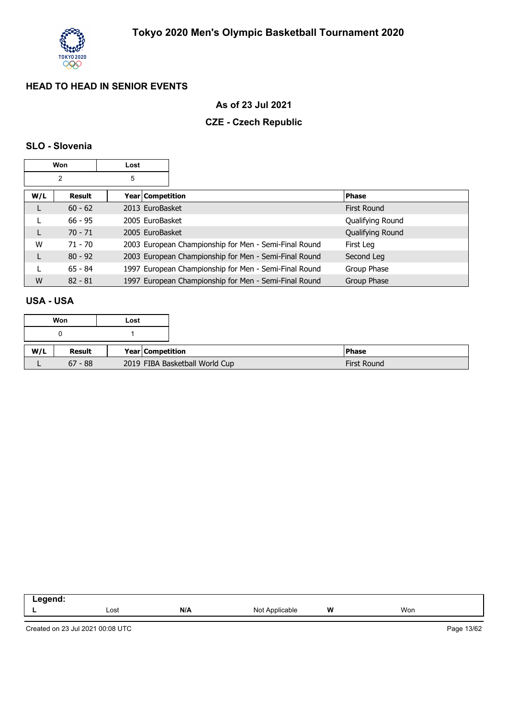

### **As of 23 Jul 2021**

## **CZE - Czech Republic**

#### **SLO - Slovenia**

|     | Won       | Lost             |                                                       |                    |
|-----|-----------|------------------|-------------------------------------------------------|--------------------|
|     | 2         | 5                |                                                       |                    |
| W/L | Result    | Year Competition |                                                       | <b>Phase</b>       |
| L   | $60 - 62$ | 2013 EuroBasket  |                                                       | <b>First Round</b> |
|     | $66 - 95$ | 2005 EuroBasket  |                                                       | Qualifying Round   |
| L   | $70 - 71$ | 2005 EuroBasket  |                                                       | Qualifying Round   |
| W   | 71 - 70   |                  | 2003 European Championship for Men - Semi-Final Round | First Leg          |
| L   | $80 - 92$ |                  | 2003 European Championship for Men - Semi-Final Round | Second Leg         |
|     | $65 - 84$ |                  | 1997 European Championship for Men - Semi-Final Round | Group Phase        |
| W   | $82 - 81$ |                  | 1997 European Championship for Men - Semi-Final Round | Group Phase        |

#### **USA - USA**

|     | Won       | Lost |                                |                    |
|-----|-----------|------|--------------------------------|--------------------|
|     |           |      |                                |                    |
| W/L | Result    |      | Year Competition               | <b>Phase</b>       |
|     | $67 - 88$ |      | 2019 FIBA Basketball World Cup | <b>First Round</b> |

| .  |      |     |                     |   |     |  |
|----|------|-----|---------------------|---|-----|--|
| -- | Lost | N/A | . Not<br>Applicable | W | Won |  |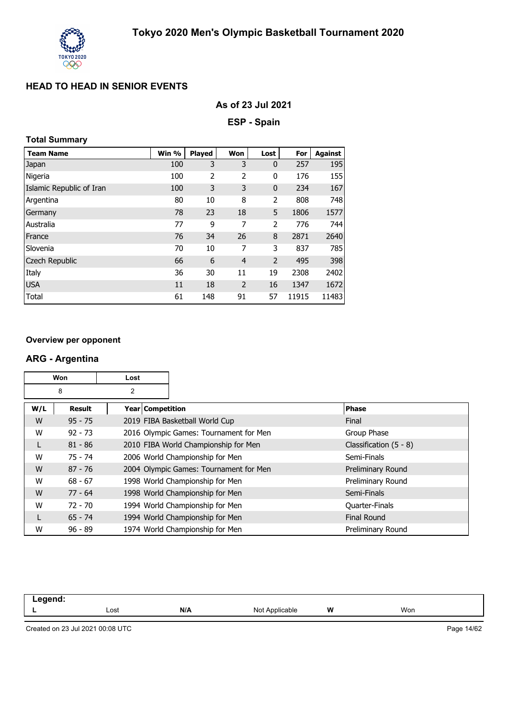

| As of 23 Jul 2021 |  |  |  |
|-------------------|--|--|--|
|-------------------|--|--|--|

**ESP - Spain**

## **Total Summary**

| <b>Team Name</b>         | Win % | <b>Played</b> | Won            | Lost           | For   | <b>Against</b> |
|--------------------------|-------|---------------|----------------|----------------|-------|----------------|
| Japan                    | 100   | 3             | 3              | $\mathbf 0$    | 257   | 195            |
| Nigeria                  | 100   | 2             | 2              | 0              | 176   | 155            |
| Islamic Republic of Iran | 100   | 3             | 3              | $\mathbf 0$    | 234   | 167            |
| Argentina                | 80    | 10            | 8              | 2              | 808   | 748            |
| Germany                  | 78    | 23            | 18             | 5              | 1806  | 1577           |
| Australia                | 77    | 9             | 7              | 2              | 776   | 744            |
| France                   | 76    | 34            | 26             | 8              | 2871  | 2640           |
| Slovenia                 | 70    | 10            | 7              | 3              | 837   | 785            |
| <b>Czech Republic</b>    | 66    | 6             | $\overline{4}$ | $\overline{2}$ | 495   | 398            |
| Italy                    | 36    | 30            | 11             | 19             | 2308  | 2402           |
| <b>USA</b>               | 11    | 18            | $\overline{2}$ | 16             | 1347  | 1672           |
| Total                    | 61    | 148           | 91             | 57             | 11915 | 11483          |

#### **Overview per opponent**

#### **ARG - Argentina**

|     | Won<br>Lost |                    |                                        |                          |
|-----|-------------|--------------------|----------------------------------------|--------------------------|
|     | 8<br>2      |                    |                                        |                          |
| W/L | Result      | Year   Competition |                                        | <b>Phase</b>             |
| W   | $95 - 75$   |                    | 2019 FIBA Basketball World Cup         | Final                    |
| W   | $92 - 73$   |                    | 2016 Olympic Games: Tournament for Men | Group Phase              |
| L   | $81 - 86$   |                    | 2010 FIBA World Championship for Men   | Classification $(5 - 8)$ |
| W   | $75 - 74$   |                    | 2006 World Championship for Men        | Semi-Finals              |
| W   | $87 - 76$   |                    | 2004 Olympic Games: Tournament for Men | Preliminary Round        |
| W   | $68 - 67$   |                    | 1998 World Championship for Men        | Preliminary Round        |
| W   | $77 - 64$   |                    | 1998 World Championship for Men        | Semi-Finals              |
| W   | $72 - 70$   |                    | 1994 World Championship for Men        | <b>Quarter-Finals</b>    |
| L   | $65 - 74$   |                    | 1994 World Championship for Men        | <b>Final Round</b>       |
| W   | $96 - 89$   |                    | 1974 World Championship for Men        | Preliminary Round        |

| . . |      |     |                                 |   |     |
|-----|------|-----|---------------------------------|---|-----|
| -   | Lost | N/A | ≅nnlic ∩<br>- No<br>лe<br>11011 | W | Won |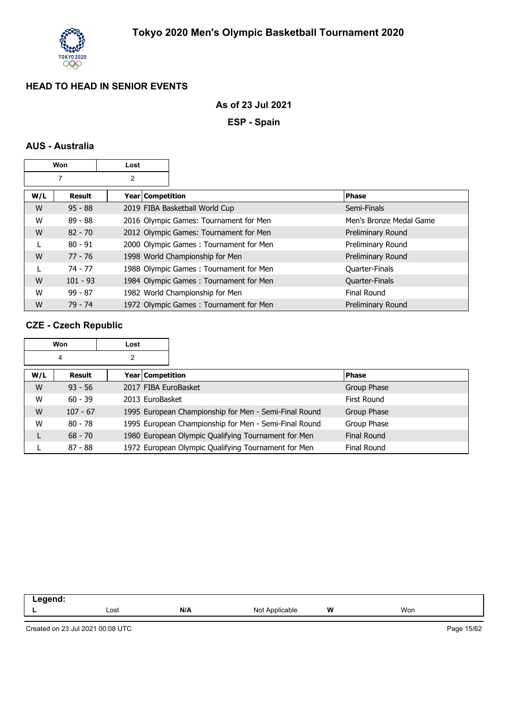

#### **As of 23 Jul 2021**

**ESP - Spain**

## **AUS - Australia**

|     | Won        | Lost               |                                        |                         |
|-----|------------|--------------------|----------------------------------------|-------------------------|
| 7   |            | 2                  |                                        |                         |
| W/L | Result     | Year   Competition |                                        | <b>Phase</b>            |
| W   | $95 - 88$  |                    | 2019 FIBA Basketball World Cup         | Semi-Finals             |
| W   | $89 - 88$  |                    | 2016 Olympic Games: Tournament for Men | Men's Bronze Medal Game |
| W   | $82 - 70$  |                    | 2012 Olympic Games: Tournament for Men | Preliminary Round       |
|     | $80 - 91$  |                    | 2000 Olympic Games: Tournament for Men | Preliminary Round       |
| W   | 77 - 76    |                    | 1998 World Championship for Men        | Preliminary Round       |
|     | $74 - 77$  |                    | 1988 Olympic Games: Tournament for Men | <b>Quarter-Finals</b>   |
| W   | $101 - 93$ |                    | 1984 Olympic Games: Tournament for Men | Quarter-Finals          |
| W   | $99 - 87$  |                    | 1982 World Championship for Men        | Final Round             |
| W   | 79 - 74    |                    | 1972 Olympic Games: Tournament for Men | Preliminary Round       |

#### **CZE - Czech Republic**

|     | Won        | Lost |                    |                                                       |                    |             |
|-----|------------|------|--------------------|-------------------------------------------------------|--------------------|-------------|
|     | 4          | 2    |                    |                                                       |                    |             |
| W/L | Result     |      | Year   Competition |                                                       | <b>Phase</b>       |             |
| W   | $93 - 56$  |      |                    | 2017 FIBA EuroBasket                                  |                    | Group Phase |
| W   | $60 - 39$  |      | 2013 EuroBasket    |                                                       | First Round        |             |
| W   | $107 - 67$ |      |                    | 1995 European Championship for Men - Semi-Final Round |                    | Group Phase |
| W   | $80 - 78$  |      |                    | 1995 European Championship for Men - Semi-Final Round |                    | Group Phase |
| L   | $68 - 70$  |      |                    | 1980 European Olympic Qualifying Tournament for Men   | <b>Final Round</b> |             |
|     | $87 - 88$  |      |                    | 1972 European Olympic Qualifying Tournament for Men   |                    | Final Round |

| ------<br>. |              |     |                  |   |     |  |
|-------------|--------------|-----|------------------|---|-----|--|
|             | ∟ost<br>---- | N/A | NM<br>Applicable | W | Won |  |
|             |              |     |                  |   |     |  |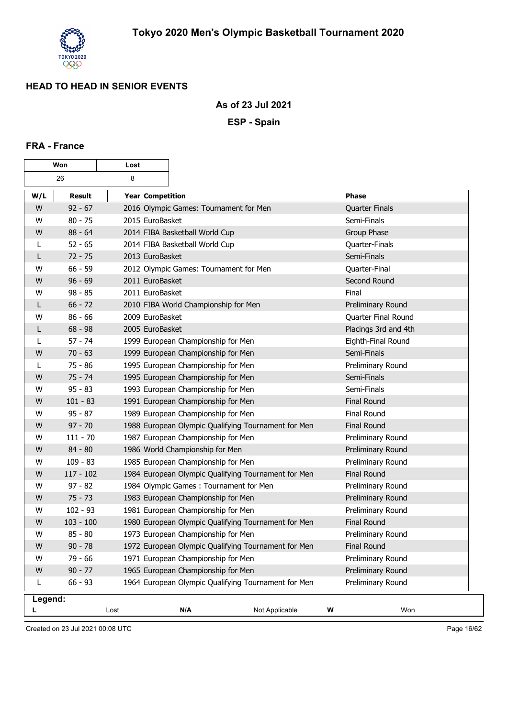

#### **As of 23 Jul 2021**

**ESP - Spain**

#### **FRA - France**

| Won     |               | Lost             |                                        |                                                     |   |                       |
|---------|---------------|------------------|----------------------------------------|-----------------------------------------------------|---|-----------------------|
|         | 26            | 8                |                                        |                                                     |   |                       |
| W/L     | <b>Result</b> | Year Competition |                                        |                                                     |   | <b>Phase</b>          |
| W       | $92 - 67$     |                  | 2016 Olympic Games: Tournament for Men |                                                     |   | <b>Quarter Finals</b> |
| W       | $80 - 75$     | 2015 EuroBasket  |                                        |                                                     |   | Semi-Finals           |
| W       | $88 - 64$     |                  | 2014 FIBA Basketball World Cup         |                                                     |   | Group Phase           |
| L       | $52 - 65$     |                  | 2014 FIBA Basketball World Cup         |                                                     |   | Quarter-Finals        |
| L       | $72 - 75$     | 2013 EuroBasket  |                                        |                                                     |   | Semi-Finals           |
| W       | $66 - 59$     |                  | 2012 Olympic Games: Tournament for Men |                                                     |   | Quarter-Final         |
| W       | $96 - 69$     | 2011 EuroBasket  |                                        |                                                     |   | Second Round          |
| W       | $98 - 85$     | 2011 EuroBasket  |                                        |                                                     |   | Final                 |
| L       | $66 - 72$     |                  | 2010 FIBA World Championship for Men   |                                                     |   | Preliminary Round     |
| w       | $86 - 66$     | 2009 EuroBasket  |                                        |                                                     |   | Quarter Final Round   |
| L       | $68 - 98$     | 2005 EuroBasket  |                                        |                                                     |   | Placings 3rd and 4th  |
| L       | $57 - 74$     |                  | 1999 European Championship for Men     |                                                     |   | Eighth-Final Round    |
| W       | $70 - 63$     |                  | 1999 European Championship for Men     |                                                     |   | Semi-Finals           |
| L       | $75 - 86$     |                  | 1995 European Championship for Men     |                                                     |   | Preliminary Round     |
| W       | $75 - 74$     |                  | 1995 European Championship for Men     |                                                     |   | Semi-Finals           |
| W       | $95 - 83$     |                  | 1993 European Championship for Men     |                                                     |   | Semi-Finals           |
| W       | $101 - 83$    |                  | 1991 European Championship for Men     |                                                     |   | <b>Final Round</b>    |
| W       | $95 - 87$     |                  | 1989 European Championship for Men     |                                                     |   | Final Round           |
| W       | $97 - 70$     |                  |                                        | 1988 European Olympic Qualifying Tournament for Men |   | <b>Final Round</b>    |
| W       | $111 - 70$    |                  | 1987 European Championship for Men     |                                                     |   | Preliminary Round     |
| W       | $84 - 80$     |                  | 1986 World Championship for Men        |                                                     |   | Preliminary Round     |
| W       | $109 - 83$    |                  | 1985 European Championship for Men     |                                                     |   | Preliminary Round     |
| W       | $117 - 102$   |                  |                                        | 1984 European Olympic Qualifying Tournament for Men |   | <b>Final Round</b>    |
| W       | $97 - 82$     |                  |                                        | 1984 Olympic Games: Tournament for Men              |   | Preliminary Round     |
| W       | $75 - 73$     |                  | 1983 European Championship for Men     |                                                     |   | Preliminary Round     |
| W       | $102 - 93$    |                  | 1981 European Championship for Men     |                                                     |   | Preliminary Round     |
| W       | $103 - 100$   |                  |                                        | 1980 European Olympic Qualifying Tournament for Men |   | <b>Final Round</b>    |
| W       | $85 - 80$     |                  | 1973 European Championship for Men     |                                                     |   | Preliminary Round     |
| W       | $90 - 78$     |                  |                                        | 1972 European Olympic Qualifying Tournament for Men |   | <b>Final Round</b>    |
| W       | $79 - 66$     |                  | 1971 European Championship for Men     |                                                     |   | Preliminary Round     |
| W       | $90 - 77$     |                  | 1965 European Championship for Men     |                                                     |   | Preliminary Round     |
| L       | $66 - 93$     |                  |                                        | 1964 European Olympic Qualifying Tournament for Men |   | Preliminary Round     |
| Legend: |               |                  |                                        |                                                     |   |                       |
|         |               | Lost             | N/A                                    | Not Applicable                                      | W | Won                   |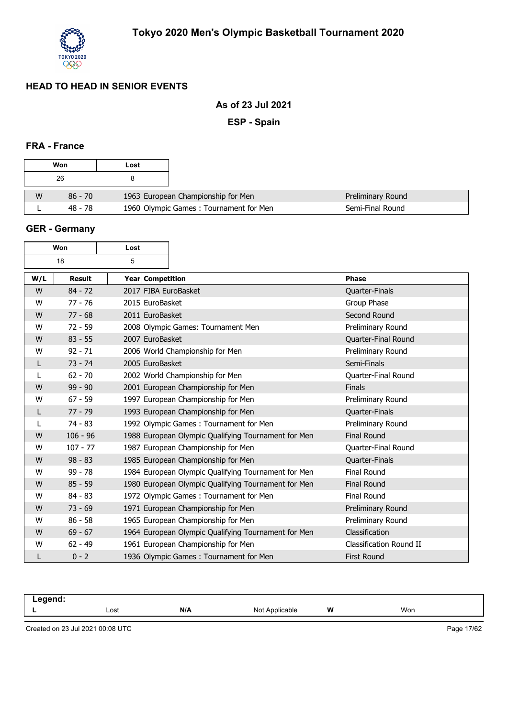

### **As of 23 Jul 2021**

**ESP - Spain**

### **FRA - France**

|   | Won       | Lost                                   |
|---|-----------|----------------------------------------|
|   | 26        | я                                      |
| W | $86 - 70$ | 1963 European Championship for Men     |
|   | 48 - 78   | 1960 Olympic Games: Tournament for Men |

#### **GER - Germany**

| Won |               | Lost                 |                                                     |                         |
|-----|---------------|----------------------|-----------------------------------------------------|-------------------------|
|     | 18            | 5                    |                                                     |                         |
| W/L | <b>Result</b> | Year Competition     |                                                     | <b>Phase</b>            |
| W   | $84 - 72$     | 2017 FIBA EuroBasket |                                                     | Quarter-Finals          |
| W   | $77 - 76$     | 2015 EuroBasket      |                                                     | Group Phase             |
| W   | $77 - 68$     | 2011 EuroBasket      |                                                     | Second Round            |
| W   | $72 - 59$     |                      | 2008 Olympic Games: Tournament Men                  | Preliminary Round       |
| W   | $83 - 55$     | 2007 EuroBasket      |                                                     | Quarter-Final Round     |
| W   | $92 - 71$     |                      | 2006 World Championship for Men                     | Preliminary Round       |
| L   | $73 - 74$     | 2005 EuroBasket      |                                                     | Semi-Finals             |
|     | $62 - 70$     |                      | 2002 World Championship for Men                     | Quarter-Final Round     |
| W   | $99 - 90$     |                      | 2001 European Championship for Men                  | <b>Finals</b>           |
| W   | $67 - 59$     |                      | 1997 European Championship for Men                  | Preliminary Round       |
| L   | $77 - 79$     |                      | 1993 European Championship for Men                  | Quarter-Finals          |
| L   | $74 - 83$     |                      | 1992 Olympic Games: Tournament for Men              | Preliminary Round       |
| W   | $106 - 96$    |                      | 1988 European Olympic Qualifying Tournament for Men | <b>Final Round</b>      |
| W   | $107 - 77$    |                      | 1987 European Championship for Men                  | Quarter-Final Round     |
| W   | $98 - 83$     |                      | 1985 European Championship for Men                  | Quarter-Finals          |
| W   | $99 - 78$     |                      | 1984 European Olympic Qualifying Tournament for Men | <b>Final Round</b>      |
| W   | $85 - 59$     |                      | 1980 European Olympic Qualifying Tournament for Men | <b>Final Round</b>      |
| W   | $84 - 83$     |                      | 1972 Olympic Games: Tournament for Men              | <b>Final Round</b>      |
| W   | $73 - 69$     |                      | 1971 European Championship for Men                  | Preliminary Round       |
| W   | $86 - 58$     |                      | 1965 European Championship for Men                  | Preliminary Round       |
| W   | $69 - 67$     |                      | 1964 European Olympic Qualifying Tournament for Men | Classification          |
| W   | $62 - 49$     |                      | 1961 European Championship for Men                  | Classification Round II |
|     | $0 - 2$       |                      | 1936 Olympic Games: Tournament for Men              | <b>First Round</b>      |

| لد حد حد -<br>$  -$ |      |     |                                |   |     |
|---------------------|------|-----|--------------------------------|---|-----|
| -                   | Lost | N/A | N <sub>Io</sub><br>یں<br>1101F | W | Won |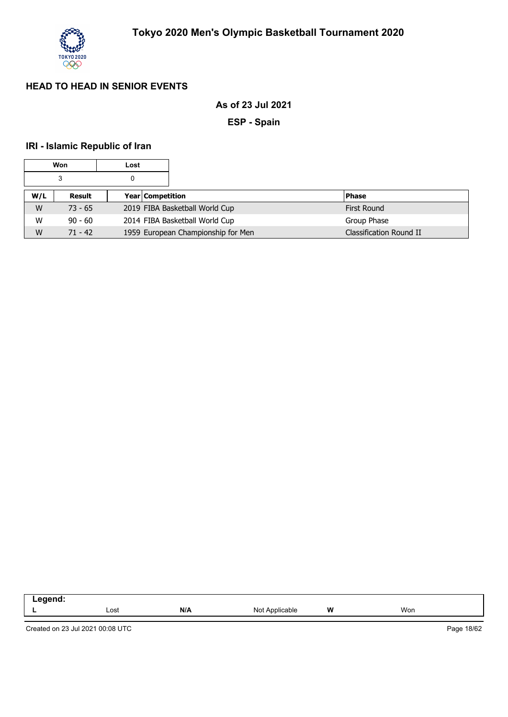

### **As of 23 Jul 2021**

**ESP - Spain**

## **IRI - Islamic Republic of Iran**

|     | Won       | Lost |                                    |                    |                         |
|-----|-----------|------|------------------------------------|--------------------|-------------------------|
|     | 3         |      |                                    |                    |                         |
| W/L | Result    |      | Year Competition                   | <b>Phase</b>       |                         |
| W   | $73 - 65$ |      | 2019 FIBA Basketball World Cup     | <b>First Round</b> |                         |
| W   | $90 - 60$ |      | 2014 FIBA Basketball World Cup     | Group Phase        |                         |
| W   | $71 - 42$ |      | 1959 European Championship for Men |                    | Classification Round II |

| . . | Lost | N/A | innlica.<br>าble<br>м. | w<br> | Won |  |
|-----|------|-----|------------------------|-------|-----|--|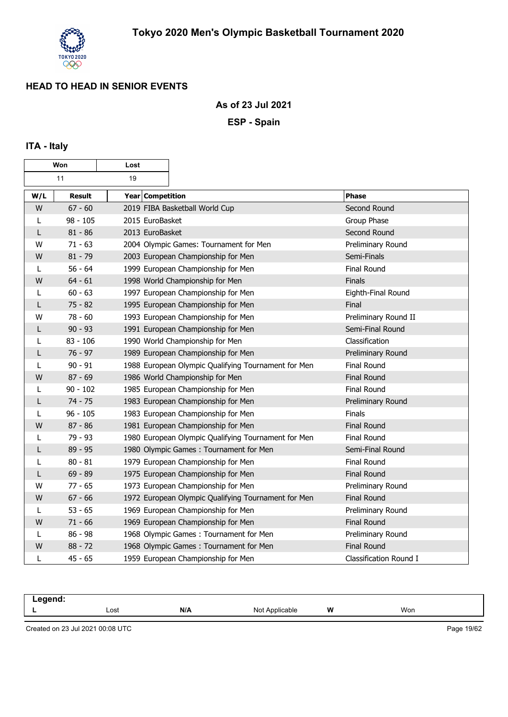

#### **As of 23 Jul 2021**

**ESP - Spain**

## **ITA - Italy**

| Won |            | Lost             |                                                     |                        |
|-----|------------|------------------|-----------------------------------------------------|------------------------|
|     | 11         | 19               |                                                     |                        |
| W/L | Result     | Year Competition |                                                     | <b>Phase</b>           |
| W   | $67 - 60$  |                  | 2019 FIBA Basketball World Cup                      | Second Round           |
| L   | $98 - 105$ | 2015 EuroBasket  |                                                     | Group Phase            |
| L   | $81 - 86$  | 2013 EuroBasket  |                                                     | Second Round           |
| W   | $71 - 63$  |                  | 2004 Olympic Games: Tournament for Men              | Preliminary Round      |
| W   | $81 - 79$  |                  | 2003 European Championship for Men                  | Semi-Finals            |
| L   | $56 - 64$  |                  | 1999 European Championship for Men                  | <b>Final Round</b>     |
| W   | $64 - 61$  |                  | 1998 World Championship for Men                     | Finals                 |
| L   | $60 - 63$  |                  | 1997 European Championship for Men                  | Eighth-Final Round     |
|     | $75 - 82$  |                  | 1995 European Championship for Men                  | Final                  |
| W   | $78 - 60$  |                  | 1993 European Championship for Men                  | Preliminary Round II   |
| L   | $90 - 93$  |                  | 1991 European Championship for Men                  | Semi-Final Round       |
| L   | $83 - 106$ |                  | 1990 World Championship for Men                     | Classification         |
| L   | $76 - 97$  |                  | 1989 European Championship for Men                  | Preliminary Round      |
| L   | $90 - 91$  |                  | 1988 European Olympic Qualifying Tournament for Men | <b>Final Round</b>     |
| W   | $87 - 69$  |                  | 1986 World Championship for Men                     | <b>Final Round</b>     |
| L   | $90 - 102$ |                  | 1985 European Championship for Men                  | Final Round            |
| L   | $74 - 75$  |                  | 1983 European Championship for Men                  | Preliminary Round      |
|     | $96 - 105$ |                  | 1983 European Championship for Men                  | Finals                 |
| W   | $87 - 86$  |                  | 1981 European Championship for Men                  | <b>Final Round</b>     |
|     | $79 - 93$  |                  | 1980 European Olympic Qualifying Tournament for Men | Final Round            |
| L   | $89 - 95$  |                  | 1980 Olympic Games: Tournament for Men              | Semi-Final Round       |
| L   | $80 - 81$  |                  | 1979 European Championship for Men                  | <b>Final Round</b>     |
| L   | $69 - 89$  |                  | 1975 European Championship for Men                  | <b>Final Round</b>     |
| W   | $77 - 65$  |                  | 1973 European Championship for Men                  | Preliminary Round      |
| W   | $67 - 66$  |                  | 1972 European Olympic Qualifying Tournament for Men | Final Round            |
|     | $53 - 65$  |                  | 1969 European Championship for Men                  | Preliminary Round      |
| W   | $71 - 66$  |                  | 1969 European Championship for Men                  | <b>Final Round</b>     |
|     | $86 - 98$  |                  | 1968 Olympic Games: Tournament for Men              | Preliminary Round      |
| W   | $88 - 72$  |                  | 1968 Olympic Games: Tournament for Men              | <b>Final Round</b>     |
| L   | $45 - 65$  |                  | 1959 European Championship for Men                  | Classification Round I |

| -- |      |     |                     |   |     |
|----|------|-----|---------------------|---|-----|
|    | Lost | N/A | N <sub>o</sub><br>w | W | Won |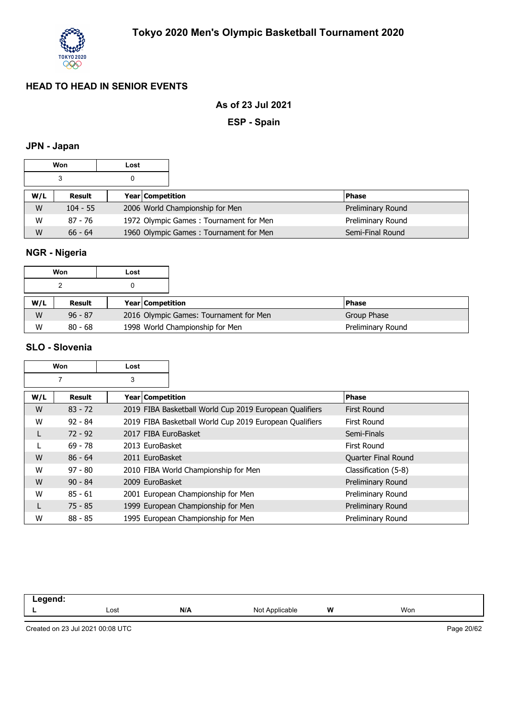

### **As of 23 Jul 2021**

**ESP - Spain**

## **JPN - Japan**

|     | Won        | Lost |                  |                                        |  |                   |
|-----|------------|------|------------------|----------------------------------------|--|-------------------|
|     |            | 0    |                  |                                        |  |                   |
| W/L | Result     |      | Year Competition |                                        |  | <b>Phase</b>      |
| W   | $104 - 55$ |      |                  | 2006 World Championship for Men        |  | Preliminary Round |
| W   | 87 - 76    |      |                  | 1972 Olympic Games: Tournament for Men |  | Preliminary Round |
| W   | $66 - 64$  |      |                  | 1960 Olympic Games: Tournament for Men |  | Semi-Final Round  |

## **NGR - Nigeria**

|     | Won       | Lost |                         |                                        |  |                   |
|-----|-----------|------|-------------------------|----------------------------------------|--|-------------------|
|     |           |      |                         |                                        |  |                   |
| W/L | Result    |      | <b>Year Competition</b> |                                        |  | <b>Phase</b>      |
| W   | $96 - 87$ |      |                         | 2016 Olympic Games: Tournament for Men |  | Group Phase       |
| W   | $80 - 68$ |      |                         | 1998 World Championship for Men        |  | Preliminary Round |

#### **SLO - Slovenia**

|     | Won<br>Lost   |                      |                                                         |                      |
|-----|---------------|----------------------|---------------------------------------------------------|----------------------|
|     |               | 3                    |                                                         |                      |
| W/L | <b>Result</b> | Year Competition     |                                                         | <b>Phase</b>         |
| W   | $83 - 72$     |                      | 2019 FIBA Basketball World Cup 2019 European Qualifiers | First Round          |
| W   | $92 - 84$     |                      | 2019 FIBA Basketball World Cup 2019 European Qualifiers | First Round          |
| L   | $72 - 92$     | 2017 FIBA EuroBasket |                                                         | Semi-Finals          |
|     | $69 - 78$     | 2013 EuroBasket      |                                                         | First Round          |
| W   | $86 - 64$     | 2011 EuroBasket      |                                                         | Quarter Final Round  |
| W   | $97 - 80$     |                      | 2010 FIBA World Championship for Men                    | Classification (5-8) |
| W   | $90 - 84$     | 2009 EuroBasket      |                                                         | Preliminary Round    |
| W   | $85 - 61$     |                      | 2001 European Championship for Men                      | Preliminary Round    |
|     | $75 - 85$     |                      | 1999 European Championship for Men                      | Preliminary Round    |
| W   | $88 - 85$     |                      | 1995 European Championship for Men                      | Preliminary Round    |

| --  |      |     |                   |   |     |  |
|-----|------|-----|-------------------|---|-----|--|
| . . | Lost | N/A | Not<br>Applicable | W | Won |  |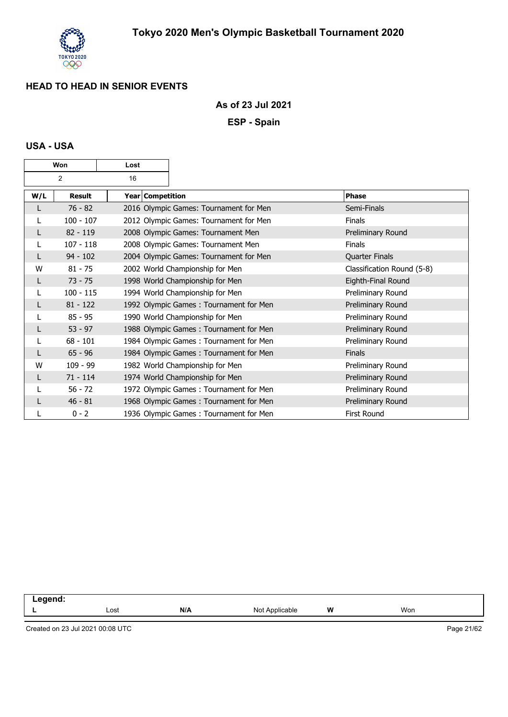

#### **As of 23 Jul 2021**

**ESP - Spain**

### **USA - USA**

| Won |               | Lost             |                                        |                            |
|-----|---------------|------------------|----------------------------------------|----------------------------|
|     | 2             | 16               |                                        |                            |
| W/L | <b>Result</b> | Year Competition |                                        | <b>Phase</b>               |
|     | $76 - 82$     |                  | 2016 Olympic Games: Tournament for Men | Semi-Finals                |
|     | $100 - 107$   |                  | 2012 Olympic Games: Tournament for Men | <b>Finals</b>              |
| L   | $82 - 119$    |                  | 2008 Olympic Games: Tournament Men     | Preliminary Round          |
|     | $107 - 118$   |                  | 2008 Olympic Games: Tournament Men     | <b>Finals</b>              |
|     | $94 - 102$    |                  | 2004 Olympic Games: Tournament for Men | <b>Quarter Finals</b>      |
| W   | $81 - 75$     |                  | 2002 World Championship for Men        | Classification Round (5-8) |
| L   | $73 - 75$     |                  | 1998 World Championship for Men        | Eighth-Final Round         |
|     | $100 - 115$   |                  | 1994 World Championship for Men        | Preliminary Round          |
|     | $81 - 122$    |                  | 1992 Olympic Games: Tournament for Men | Preliminary Round          |
|     | $85 - 95$     |                  | 1990 World Championship for Men        | Preliminary Round          |
| L   | $53 - 97$     |                  | 1988 Olympic Games: Tournament for Men | Preliminary Round          |
|     | $68 - 101$    |                  | 1984 Olympic Games: Tournament for Men | Preliminary Round          |
|     | $65 - 96$     |                  | 1984 Olympic Games: Tournament for Men | <b>Finals</b>              |
| W   | $109 - 99$    |                  | 1982 World Championship for Men        | Preliminary Round          |
| L   | $71 - 114$    |                  | 1974 World Championship for Men        | Preliminary Round          |
|     | $56 - 72$     |                  | 1972 Olympic Games: Tournament for Men | Preliminary Round          |
|     | $46 - 81$     |                  | 1968 Olympic Games: Tournament for Men | Preliminary Round          |
|     | $0 - 2$       |                  | 1936 Olympic Games: Tournament for Men | <b>First Round</b>         |

| .   |      |     |                  |   |     |
|-----|------|-----|------------------|---|-----|
| . . | Lost | N/L | Applicable<br>Νo | W | Won |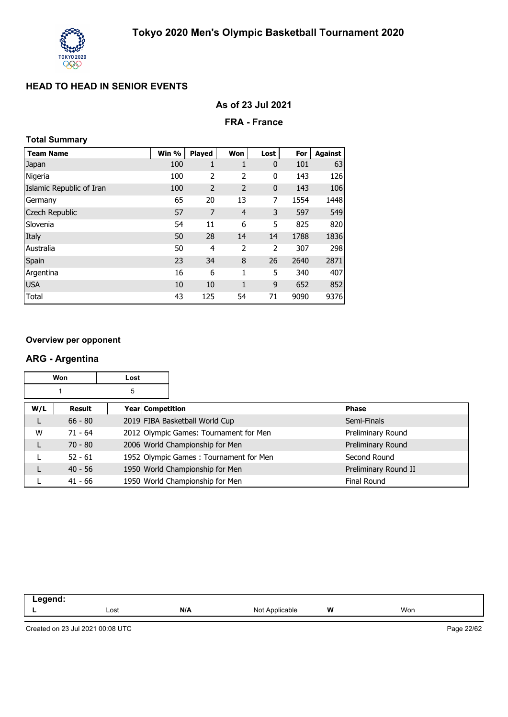

|  |  |  |  | As of 23 Jul 2021 |
|--|--|--|--|-------------------|
|--|--|--|--|-------------------|

#### **FRA - France**

## **Total Summary**

| <b>Team Name</b>         | Win % | <b>Played</b>  | Won            | Lost        | For  | <b>Against</b> |
|--------------------------|-------|----------------|----------------|-------------|------|----------------|
| Japan                    | 100   | 1              | 1              | $\mathbf 0$ | 101  | 63             |
| Nigeria                  | 100   | 2              | 2              | 0           | 143  | 126            |
| Islamic Republic of Iran | 100   | $\overline{2}$ | $\overline{2}$ | 0           | 143  | 106            |
| Germany                  | 65    | 20             | 13             | 7           | 1554 | 1448           |
| <b>Czech Republic</b>    | 57    | 7              | $\overline{4}$ | 3           | 597  | 549            |
| Slovenia                 | 54    | 11             | 6              | 5           | 825  | 820            |
| Italy                    | 50    | 28             | 14             | 14          | 1788 | 1836           |
| Australia                | 50    | 4              | 2              | 2           | 307  | 298            |
| Spain                    | 23    | 34             | 8              | 26          | 2640 | 2871           |
| Argentina                | 16    | 6              | 1              | 5           | 340  | 407            |
| <b>USA</b>               | 10    | 10             | 1              | 9           | 652  | 852            |
| <b>Total</b>             | 43    | 125            | 54             | 71          | 9090 | 9376           |

#### **Overview per opponent**

#### **ARG - Argentina**

|     | Won<br>Lost   |                    |                                        |                      |
|-----|---------------|--------------------|----------------------------------------|----------------------|
|     |               | 5                  |                                        |                      |
| W/L | <b>Result</b> | Year   Competition |                                        | <b>Phase</b>         |
|     | $66 - 80$     |                    | 2019 FIBA Basketball World Cup         | Semi-Finals          |
| W   | $71 - 64$     |                    | 2012 Olympic Games: Tournament for Men | Preliminary Round    |
|     | $70 - 80$     |                    | 2006 World Championship for Men        | Preliminary Round    |
|     | $52 - 61$     |                    | 1952 Olympic Games: Tournament for Men | Second Round         |
|     | $40 - 56$     |                    | 1950 World Championship for Men        | Preliminary Round II |
|     | 41 - 66       |                    | 1950 World Championship for Men        | <b>Final Round</b>   |

| ------<br>$\sim$ $\sim$ |      |     |                     |       |     |
|-------------------------|------|-----|---------------------|-------|-----|
| . .                     | Lost | N/A | Not<br>: Annlicable | w<br> | Won |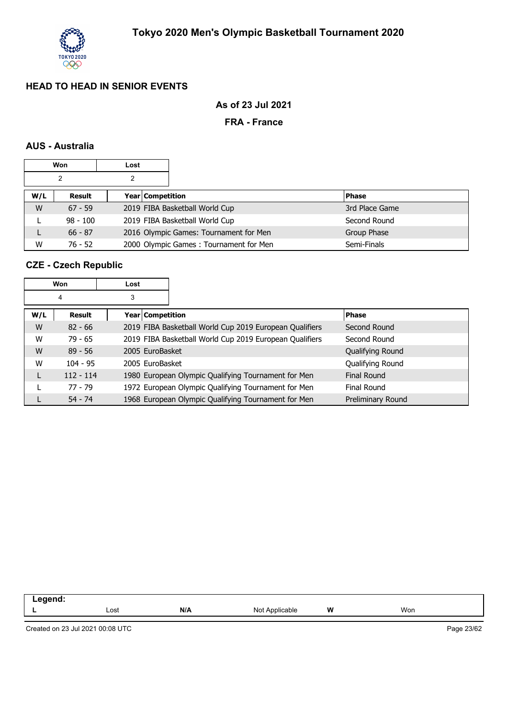

### **As of 23 Jul 2021**

#### **FRA - France**

#### **AUS - Australia**

|     | Won        | Lost |                  |                                        |  |                |
|-----|------------|------|------------------|----------------------------------------|--|----------------|
|     | 2          | 2    |                  |                                        |  |                |
| W/L | Result     |      | Year Competition |                                        |  | <b>Phase</b>   |
| W   | $67 - 59$  |      |                  | 2019 FIBA Basketball World Cup         |  | 3rd Place Game |
|     | $98 - 100$ |      |                  | 2019 FIBA Basketball World Cup         |  | Second Round   |
|     | $66 - 87$  |      |                  | 2016 Olympic Games: Tournament for Men |  | Group Phase    |
| W   | $76 - 52$  |      |                  | 2000 Olympic Games: Tournament for Men |  | Semi-Finals    |

#### **CZE - Czech Republic**

| Won |               | Lost |                    |                                                         |                   |
|-----|---------------|------|--------------------|---------------------------------------------------------|-------------------|
|     | 4             | 3    |                    |                                                         |                   |
| W/L | <b>Result</b> |      | Year   Competition |                                                         | <b>Phase</b>      |
| W   | $82 - 66$     |      |                    | 2019 FIBA Basketball World Cup 2019 European Qualifiers | Second Round      |
| W   | 79 - 65       |      |                    | 2019 FIBA Basketball World Cup 2019 European Qualifiers | Second Round      |
| W   | $89 - 56$     |      | 2005 EuroBasket    |                                                         | Qualifying Round  |
| W   | $104 - 95$    |      | 2005 EuroBasket    |                                                         | Qualifying Round  |
|     | $112 - 114$   |      |                    | 1980 European Olympic Qualifying Tournament for Men     | Final Round       |
|     | $77 - 79$     |      |                    | 1972 European Olympic Qualifying Tournament for Men     | Final Round       |
|     | $54 - 74$     |      |                    | 1968 European Olympic Qualifying Tournament for Men     | Preliminary Round |

| $\sim$ $\sim$ |      |     |              |        |     |  |
|---------------|------|-----|--------------|--------|-----|--|
| --            | Lost | N/A | . No<br>uple | W<br>. | Won |  |
|               |      |     |              |        |     |  |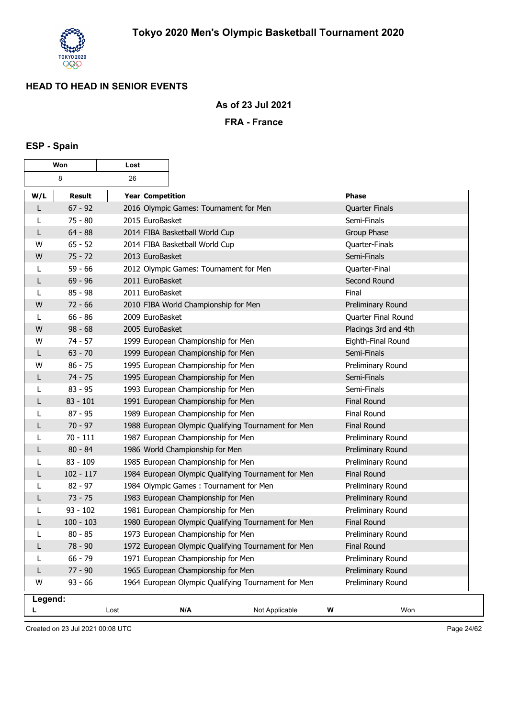

### **As of 23 Jul 2021**

#### **FRA - France**

# **ESP - Spain**

| Won     |               | Lost             |                                                     |                                                     |                   |                       |
|---------|---------------|------------------|-----------------------------------------------------|-----------------------------------------------------|-------------------|-----------------------|
|         | 8             | 26               |                                                     |                                                     |                   |                       |
| W/L     | <b>Result</b> | Year Competition |                                                     |                                                     |                   | <b>Phase</b>          |
| L       | $67 - 92$     |                  | 2016 Olympic Games: Tournament for Men              |                                                     |                   | <b>Quarter Finals</b> |
| L       | $75 - 80$     | 2015 EuroBasket  |                                                     |                                                     |                   | Semi-Finals           |
| L       | $64 - 88$     |                  | 2014 FIBA Basketball World Cup                      |                                                     |                   | Group Phase           |
| w       | $65 - 52$     |                  | 2014 FIBA Basketball World Cup                      |                                                     |                   | Quarter-Finals        |
| W       | $75 - 72$     | 2013 EuroBasket  |                                                     |                                                     |                   | Semi-Finals           |
|         | $59 - 66$     |                  | 2012 Olympic Games: Tournament for Men              |                                                     |                   | Quarter-Final         |
| L       | $69 - 96$     | 2011 EuroBasket  |                                                     |                                                     |                   | Second Round          |
| L       | $85 - 98$     | 2011 EuroBasket  |                                                     |                                                     |                   | Final                 |
| W       | $72 - 66$     |                  | 2010 FIBA World Championship for Men                |                                                     |                   | Preliminary Round     |
| L       | $66 - 86$     | 2009 EuroBasket  |                                                     |                                                     |                   | Quarter Final Round   |
| W       | $98 - 68$     | 2005 EuroBasket  |                                                     |                                                     |                   | Placings 3rd and 4th  |
| w       | $74 - 57$     |                  | 1999 European Championship for Men                  |                                                     |                   | Eighth-Final Round    |
| L       | $63 - 70$     |                  | 1999 European Championship for Men                  |                                                     |                   | Semi-Finals           |
| W       | $86 - 75$     |                  | 1995 European Championship for Men                  |                                                     |                   | Preliminary Round     |
| L       | $74 - 75$     |                  | 1995 European Championship for Men                  |                                                     |                   | Semi-Finals           |
|         | $83 - 95$     |                  | 1993 European Championship for Men                  |                                                     |                   | Semi-Finals           |
| L       | $83 - 101$    |                  | 1991 European Championship for Men                  |                                                     |                   | <b>Final Round</b>    |
| L       | $87 - 95$     |                  | 1989 European Championship for Men                  |                                                     |                   | Final Round           |
| L       | $70 - 97$     |                  |                                                     | 1988 European Olympic Qualifying Tournament for Men |                   | <b>Final Round</b>    |
|         | $70 - 111$    |                  | 1987 European Championship for Men                  |                                                     |                   | Preliminary Round     |
|         | $80 - 84$     |                  | 1986 World Championship for Men                     |                                                     |                   | Preliminary Round     |
|         | $83 - 109$    |                  | 1985 European Championship for Men                  |                                                     |                   | Preliminary Round     |
| L       | $102 - 117$   |                  |                                                     | 1984 European Olympic Qualifying Tournament for Men |                   | <b>Final Round</b>    |
| L       | $82 - 97$     |                  | 1984 Olympic Games: Tournament for Men              |                                                     |                   | Preliminary Round     |
| L       | $73 - 75$     |                  | 1983 European Championship for Men                  |                                                     |                   | Preliminary Round     |
|         | $93 - 102$    |                  | 1981 European Championship for Men                  |                                                     |                   | Preliminary Round     |
| L       | $100 - 103$   |                  |                                                     | 1980 European Olympic Qualifying Tournament for Men |                   | <b>Final Round</b>    |
| L       | $80 - 85$     |                  | 1973 European Championship for Men                  |                                                     |                   | Preliminary Round     |
| L       | 78 - 90       |                  | 1972 European Olympic Qualifying Tournament for Men |                                                     |                   | <b>Final Round</b>    |
|         | $66 - 79$     |                  | 1971 European Championship for Men                  |                                                     | Preliminary Round |                       |
| L       | $77 - 90$     |                  | 1965 European Championship for Men                  |                                                     | Preliminary Round |                       |
| W       | $93 - 66$     |                  |                                                     | 1964 European Olympic Qualifying Tournament for Men |                   | Preliminary Round     |
| Legend: |               |                  |                                                     |                                                     |                   |                       |
|         |               | Lost             | N/A                                                 | Not Applicable                                      | W                 | Won                   |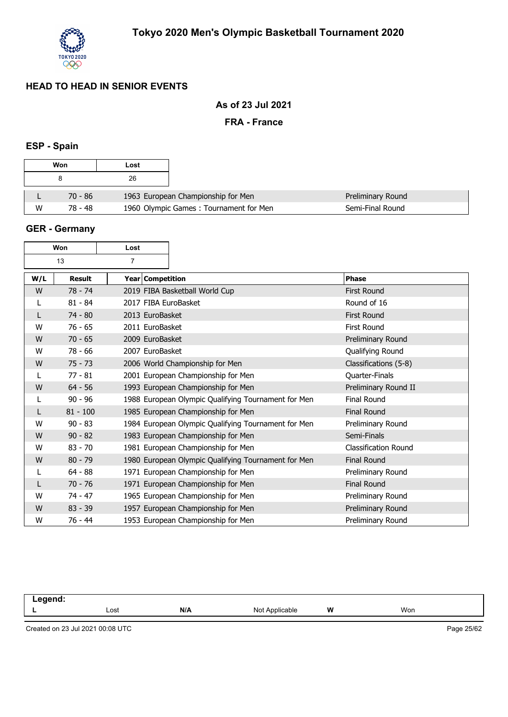

### **As of 23 Jul 2021**

#### **FRA - France**

## **ESP - Spain**

| Won |           | Lost                                   |
|-----|-----------|----------------------------------------|
|     | 8         | 26                                     |
|     | $70 - 86$ | 1963 European Championship for Men     |
| W   | 78 - 48   | 1960 Olympic Games: Tournament for Men |

#### **GER - Germany**

| Won                  |               | Lost                 |                                                     |                             |
|----------------------|---------------|----------------------|-----------------------------------------------------|-----------------------------|
| 13<br>$\overline{7}$ |               |                      |                                                     |                             |
| W/L                  | <b>Result</b> | Year Competition     |                                                     | <b>Phase</b>                |
| W                    | $78 - 74$     |                      | 2019 FIBA Basketball World Cup                      | <b>First Round</b>          |
|                      | $81 - 84$     | 2017 FIBA EuroBasket |                                                     | Round of 16                 |
|                      | $74 - 80$     | 2013 EuroBasket      |                                                     | <b>First Round</b>          |
| W                    | $76 - 65$     | 2011 EuroBasket      |                                                     | First Round                 |
| W                    | $70 - 65$     | 2009 EuroBasket      |                                                     | Preliminary Round           |
| W                    | $78 - 66$     | 2007 EuroBasket      |                                                     | Qualifying Round            |
| W                    | $75 - 73$     |                      | 2006 World Championship for Men                     | Classifications (5-8)       |
|                      | $77 - 81$     |                      | 2001 European Championship for Men                  | Quarter-Finals              |
| W                    | $64 - 56$     |                      | 1993 European Championship for Men                  | Preliminary Round II        |
|                      | $90 - 96$     |                      | 1988 European Olympic Qualifying Tournament for Men | Final Round                 |
| L                    | $81 - 100$    |                      | 1985 European Championship for Men                  | <b>Final Round</b>          |
| W                    | $90 - 83$     |                      | 1984 European Olympic Qualifying Tournament for Men | Preliminary Round           |
| W                    | $90 - 82$     |                      | 1983 European Championship for Men                  | Semi-Finals                 |
| W                    | $83 - 70$     |                      | 1981 European Championship for Men                  | <b>Classification Round</b> |
| W                    | $80 - 79$     |                      | 1980 European Olympic Qualifying Tournament for Men | <b>Final Round</b>          |
|                      | $64 - 88$     |                      | 1971 European Championship for Men                  | Preliminary Round           |
|                      | $70 - 76$     |                      | 1971 European Championship for Men                  | <b>Final Round</b>          |
| W                    | $74 - 47$     |                      | 1965 European Championship for Men                  | Preliminary Round           |
| W                    | $83 - 39$     |                      | 1957 European Championship for Men                  | Preliminary Round           |
| W                    | $76 - 44$     |                      | 1953 European Championship for Men                  | Preliminary Round           |

| --<br>-- - |      |     |                        |   |     |
|------------|------|-----|------------------------|---|-----|
|            | ∟ost | N/A | Annlıcar<br>No<br>able | W | Won |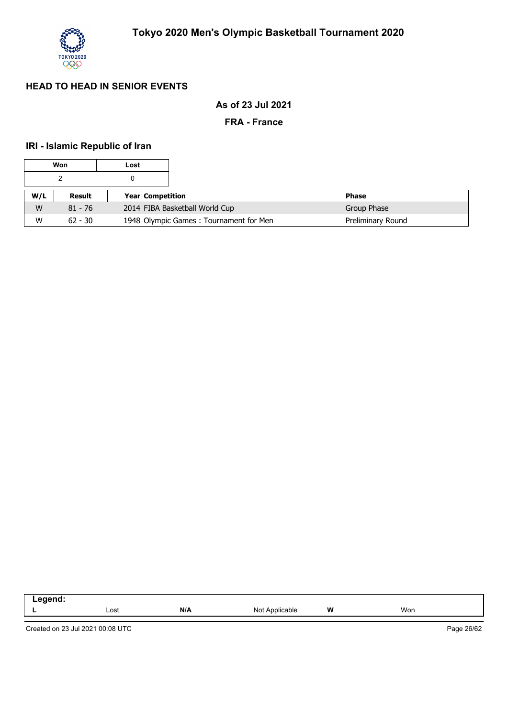

### **As of 23 Jul 2021**

#### **FRA - France**

## **IRI - Islamic Republic of Iran**

|     | Won       | Lost             |                                        |                   |
|-----|-----------|------------------|----------------------------------------|-------------------|
|     |           |                  |                                        |                   |
| W/L | Result    | Year Competition |                                        | <b>Phase</b>      |
| W   | $81 - 76$ |                  | 2014 FIBA Basketball World Cup         | Group Phase       |
| W   | $62 - 30$ |                  | 1948 Olympic Games: Tournament for Men | Preliminary Round |

| .<br>__ |      |     |                    |          |     |  |
|---------|------|-----|--------------------|----------|-----|--|
|         | Lost | N/A | able<br>Nr<br>הוחר | W<br>. . | Won |  |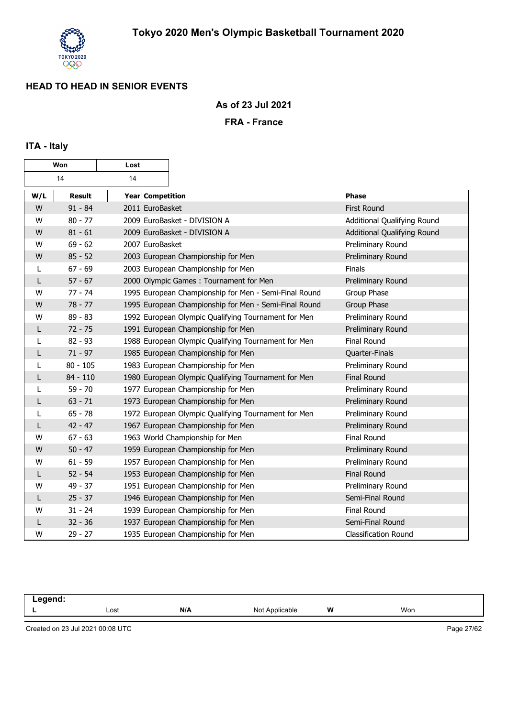

**As of 23 Jul 2021**

**FRA - France**

## **ITA - Italy**

| Won |               | Lost             |                                                       |                             |
|-----|---------------|------------------|-------------------------------------------------------|-----------------------------|
|     | 14            | 14               |                                                       |                             |
| W/L | <b>Result</b> | Year Competition |                                                       | <b>Phase</b>                |
| W   | $91 - 84$     | 2011 EuroBasket  |                                                       | <b>First Round</b>          |
| W   | $80 - 77$     |                  | 2009 EuroBasket - DIVISION A                          | Additional Qualifying Round |
| W   | $81 - 61$     |                  | 2009 EuroBasket - DIVISION A                          | Additional Qualifying Round |
| W   | $69 - 62$     | 2007 EuroBasket  |                                                       | Preliminary Round           |
| W   | $85 - 52$     |                  | 2003 European Championship for Men                    | Preliminary Round           |
| L   | $67 - 69$     |                  | 2003 European Championship for Men                    | Finals                      |
| L   | $57 - 67$     |                  | 2000 Olympic Games: Tournament for Men                | Preliminary Round           |
| W   | $77 - 74$     |                  | 1995 European Championship for Men - Semi-Final Round | Group Phase                 |
| W   | $78 - 77$     |                  | 1995 European Championship for Men - Semi-Final Round | Group Phase                 |
| W   | $89 - 83$     |                  | 1992 European Olympic Qualifying Tournament for Men   | Preliminary Round           |
| L   | $72 - 75$     |                  | 1991 European Championship for Men                    | Preliminary Round           |
| L   | $82 - 93$     |                  | 1988 European Olympic Qualifying Tournament for Men   | Final Round                 |
| L   | $71 - 97$     |                  | 1985 European Championship for Men                    | Quarter-Finals              |
| L   | $80 - 105$    |                  | 1983 European Championship for Men                    | Preliminary Round           |
| L   | $84 - 110$    |                  | 1980 European Olympic Qualifying Tournament for Men   | <b>Final Round</b>          |
|     | $59 - 70$     |                  | 1977 European Championship for Men                    | Preliminary Round           |
| L   | $63 - 71$     |                  | 1973 European Championship for Men                    | Preliminary Round           |
| L   | $65 - 78$     |                  | 1972 European Olympic Qualifying Tournament for Men   | Preliminary Round           |
| L   | $42 - 47$     |                  | 1967 European Championship for Men                    | Preliminary Round           |
| W   | $67 - 63$     |                  | 1963 World Championship for Men                       | <b>Final Round</b>          |
| W   | $50 - 47$     |                  | 1959 European Championship for Men                    | Preliminary Round           |
| W   | $61 - 59$     |                  | 1957 European Championship for Men                    | Preliminary Round           |
| L   | $52 - 54$     |                  | 1953 European Championship for Men                    | <b>Final Round</b>          |
| W   | $49 - 37$     |                  | 1951 European Championship for Men                    | Preliminary Round           |
| L   | $25 - 37$     |                  | 1946 European Championship for Men                    | Semi-Final Round            |
| w   | $31 - 24$     |                  | 1939 European Championship for Men                    | Final Round                 |
| L   | $32 - 36$     |                  | 1937 European Championship for Men                    | Semi-Final Round            |
| W   | $29 - 27$     |                  | 1935 European Championship for Men                    | <b>Classification Round</b> |

**Legend: L** Lost **N/A** Not Applicable **W** Won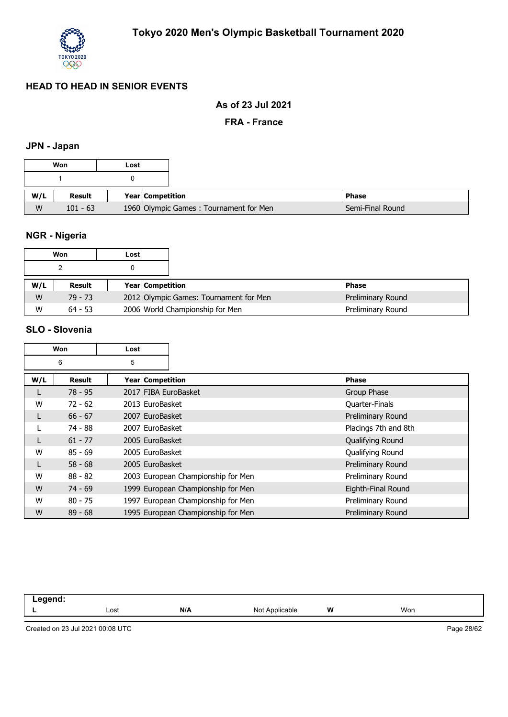

#### **As of 23 Jul 2021**

**FRA - France**

## **JPN - Japan**

|     | Won        | Lost |                                        |
|-----|------------|------|----------------------------------------|
|     |            |      |                                        |
| W/L | Result     |      | Year Competition                       |
| W   | $101 - 63$ |      | 1960 Olympic Games: Tournament for Men |

# **NGR - Nigeria**

|     | Won       | Lost             |                                        |                   |
|-----|-----------|------------------|----------------------------------------|-------------------|
|     |           |                  |                                        |                   |
| W/L | Result    | Year Competition |                                        | <b>Phase</b>      |
| W   | 79 - 73   |                  | 2012 Olympic Games: Tournament for Men | Preliminary Round |
| W   | $64 - 53$ |                  | 2006 World Championship for Men        | Preliminary Round |

#### **SLO - Slovenia**

| Won |               | Lost                 |                                    |                      |
|-----|---------------|----------------------|------------------------------------|----------------------|
|     | 6             | 5                    |                                    |                      |
| W/L | <b>Result</b> | Year   Competition   |                                    | <b>Phase</b>         |
|     | $78 - 95$     | 2017 FIBA EuroBasket |                                    | Group Phase          |
| W   | $72 - 62$     | 2013 EuroBasket      |                                    | Quarter-Finals       |
|     | $66 - 67$     | 2007 EuroBasket      |                                    | Preliminary Round    |
|     | 74 - 88       | 2007 EuroBasket      |                                    | Placings 7th and 8th |
|     | $61 - 77$     | 2005 EuroBasket      |                                    | Qualifying Round     |
| W   | $85 - 69$     | 2005 EuroBasket      |                                    | Qualifying Round     |
| L   | $58 - 68$     | 2005 EuroBasket      |                                    | Preliminary Round    |
| W   | $88 - 82$     |                      | 2003 European Championship for Men | Preliminary Round    |
| W   | $74 - 69$     |                      | 1999 European Championship for Men | Eighth-Final Round   |
| W   | $80 - 75$     |                      | 1997 European Championship for Men | Preliminary Round    |
| W   | $89 - 68$     |                      | 1995 European Championship for Men | Preliminary Round    |

| . |      |     |                               |   |     |  |
|---|------|-----|-------------------------------|---|-----|--|
|   | Lost | N/A | Not<br>Ann<br>งlicable<br>AUL | W | Won |  |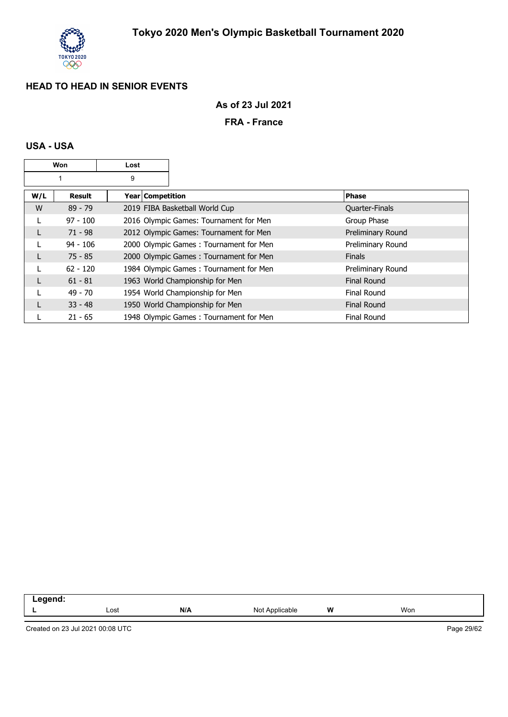

## **As of 23 Jul 2021**

#### **FRA - France**

#### **USA - USA**

|     | Won        | Lost               |                                        |                       |
|-----|------------|--------------------|----------------------------------------|-----------------------|
|     |            | 9                  |                                        |                       |
| W/L | Result     | Year   Competition |                                        | Phase                 |
| W   | $89 - 79$  |                    | 2019 FIBA Basketball World Cup         | <b>Quarter-Finals</b> |
|     | $97 - 100$ |                    | 2016 Olympic Games: Tournament for Men | Group Phase           |
|     | $71 - 98$  |                    | 2012 Olympic Games: Tournament for Men | Preliminary Round     |
|     | $94 - 106$ |                    | 2000 Olympic Games: Tournament for Men | Preliminary Round     |
|     | $75 - 85$  |                    | 2000 Olympic Games: Tournament for Men | <b>Finals</b>         |
|     | $62 - 120$ |                    | 1984 Olympic Games: Tournament for Men | Preliminary Round     |
|     | $61 - 81$  |                    | 1963 World Championship for Men        | <b>Final Round</b>    |
|     | $49 - 70$  |                    | 1954 World Championship for Men        | <b>Final Round</b>    |
|     | $33 - 48$  |                    | 1950 World Championship for Men        | <b>Final Round</b>    |
|     | $21 - 65$  |                    | 1948 Olympic Games: Tournament for Men | <b>Final Round</b>    |

| .  |      |     |                          |        |     |  |
|----|------|-----|--------------------------|--------|-----|--|
| -- | Lost | N/A | Not<br><b>Applicable</b> | w<br>. | Won |  |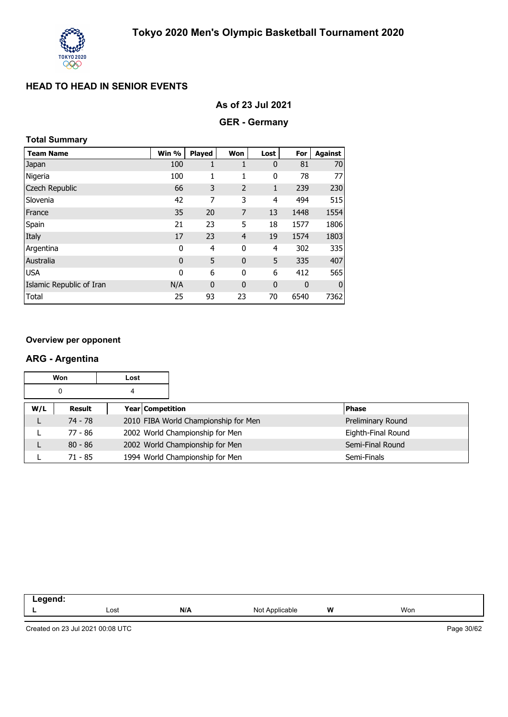

| As of 23 Jul 2021 |  |  |  |
|-------------------|--|--|--|
|-------------------|--|--|--|

## **GER - Germany**

## **Total Summary**

| <b>Team Name</b>         | Win %        | Played      | Won            | Lost           | For  | <b>Against</b> |
|--------------------------|--------------|-------------|----------------|----------------|------|----------------|
| Japan                    | 100          | 1           | 1              | $\mathbf 0$    | 81   | 70             |
| Nigeria                  | 100          | 1           | 1              | 0              | 78   | 77             |
| Czech Republic           | 66           | 3           | $\overline{2}$ | $\mathbf{1}$   | 239  | 230            |
| Slovenia                 | 42           | 7           | 3              | $\overline{4}$ | 494  | 515            |
| France                   | 35           | 20          | 7              | 13             | 1448 | 1554           |
| Spain                    | 21           | 23          | 5              | 18             | 1577 | 1806           |
| Italy                    | 17           | 23          | $\overline{4}$ | 19             | 1574 | 1803           |
| Argentina                | 0            | 4           | $\mathbf{0}$   | 4              | 302  | 335            |
| Australia                | $\mathbf{0}$ | 5           | $\mathbf 0$    | 5              | 335  | 407            |
| <b>USA</b>               | 0            | 6           | 0              | 6              | 412  | 565            |
| Islamic Republic of Iran | N/A          | $\mathbf 0$ | $\mathbf 0$    | $\mathbf 0$    | 0    | $\mathbf 0$    |
| Total                    | 25           | 93          | 23             | 70             | 6540 | 7362           |

#### **Overview per opponent**

#### **ARG - Argentina**

|     | Won       | Lost             |                                      |                                 |                    |
|-----|-----------|------------------|--------------------------------------|---------------------------------|--------------------|
|     | 0         | 4                |                                      |                                 |                    |
| W/L | Result    | Year Competition |                                      |                                 | <b>Phase</b>       |
|     | 74 - 78   |                  | 2010 FIBA World Championship for Men |                                 | Preliminary Round  |
|     | 77 - 86   |                  |                                      | 2002 World Championship for Men | Eighth-Final Round |
|     | $80 - 86$ |                  |                                      | 2002 World Championship for Men | Semi-Final Round   |
|     | $71 - 85$ |                  |                                      | 1994 World Championship for Men | Semi-Finals        |

| - - - - - - |      |     |                                |   |     |
|-------------|------|-----|--------------------------------|---|-----|
|             | Lost | N/A | - Nic<br>Applicable -<br>1101F | W | Won |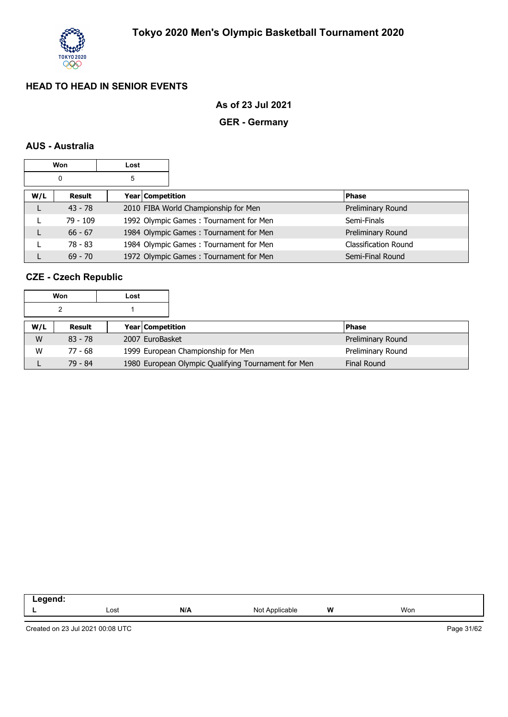

#### **As of 23 Jul 2021**

## **GER - Germany**

#### **AUS - Australia**

|     | Won        | Lost |                  |                                        |                             |
|-----|------------|------|------------------|----------------------------------------|-----------------------------|
|     | 0          | 5    |                  |                                        |                             |
| W/L | Result     |      | Year Competition |                                        | <b>Phase</b>                |
|     | $43 - 78$  |      |                  | 2010 FIBA World Championship for Men   | Preliminary Round           |
|     | $79 - 109$ |      |                  | 1992 Olympic Games: Tournament for Men | Semi-Finals                 |
|     | $66 - 67$  |      |                  | 1984 Olympic Games: Tournament for Men | Preliminary Round           |
|     | 78 - 83    |      |                  | 1984 Olympic Games: Tournament for Men | <b>Classification Round</b> |
|     | $69 - 70$  |      |                  | 1972 Olympic Games: Tournament for Men | Semi-Final Round            |

## **CZE - Czech Republic**

|     | Won       | Lost |                                                     |                    |
|-----|-----------|------|-----------------------------------------------------|--------------------|
|     | 2         |      |                                                     |                    |
| W/L | Result    |      | <b>Year Competition</b>                             | <b>Phase</b>       |
| W   | $83 - 78$ |      | 2007 EuroBasket                                     | Preliminary Round  |
| W   | 77 - 68   |      | 1999 European Championship for Men                  | Preliminary Round  |
|     | 79 - 84   |      | 1980 European Olympic Qualifying Tournament for Men | <b>Final Round</b> |

| `~^~~<br>по |      |     |                     |   |     |  |
|-------------|------|-----|---------------------|---|-----|--|
| -           | Lost | N/A | Applicable<br>Not / | W | Won |  |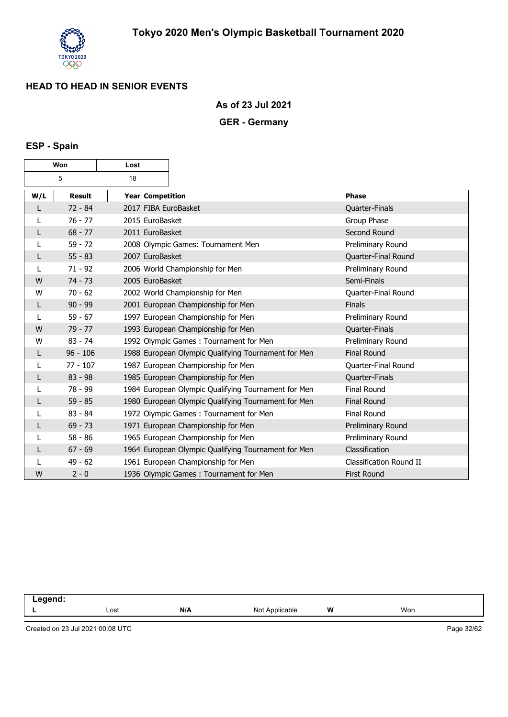

**As of 23 Jul 2021**

## **GER - Germany**

## **ESP - Spain**

|     | Won<br>Lost   |                 |                                                     |                         |
|-----|---------------|-----------------|-----------------------------------------------------|-------------------------|
|     | 5             | 18              |                                                     |                         |
| W/L | <b>Result</b> |                 | Year Competition                                    | <b>Phase</b>            |
| L   | $72 - 84$     |                 | 2017 FIBA EuroBasket                                | Quarter-Finals          |
|     | $76 - 77$     | 2015 EuroBasket |                                                     | Group Phase             |
| L   | $68 - 77$     | 2011 EuroBasket |                                                     | Second Round            |
| L   | $59 - 72$     |                 | 2008 Olympic Games: Tournament Men                  | Preliminary Round       |
| L   | $55 - 83$     | 2007 EuroBasket |                                                     | Quarter-Final Round     |
|     | $71 - 92$     |                 | 2006 World Championship for Men                     | Preliminary Round       |
| W   | $74 - 73$     | 2005 EuroBasket |                                                     | Semi-Finals             |
| W   | $70 - 62$     |                 | 2002 World Championship for Men                     | Quarter-Final Round     |
| L   | $90 - 99$     |                 | 2001 European Championship for Men                  | <b>Finals</b>           |
| L   | $59 - 67$     |                 | 1997 European Championship for Men                  | Preliminary Round       |
| W   | $79 - 77$     |                 | 1993 European Championship for Men                  | Quarter-Finals          |
| W   | $83 - 74$     |                 | 1992 Olympic Games: Tournament for Men              | Preliminary Round       |
| L   | $96 - 106$    |                 | 1988 European Olympic Qualifying Tournament for Men | <b>Final Round</b>      |
|     | $77 - 107$    |                 | 1987 European Championship for Men                  | Quarter-Final Round     |
| L   | $83 - 98$     |                 | 1985 European Championship for Men                  | Quarter-Finals          |
| L   | 78 - 99       |                 | 1984 European Olympic Qualifying Tournament for Men | Final Round             |
| L   | $59 - 85$     |                 | 1980 European Olympic Qualifying Tournament for Men | <b>Final Round</b>      |
|     | $83 - 84$     |                 | 1972 Olympic Games: Tournament for Men              | Final Round             |
| L   | $69 - 73$     |                 | 1971 European Championship for Men                  | Preliminary Round       |
|     | $58 - 86$     |                 | 1965 European Championship for Men                  | Preliminary Round       |
| L   | $67 - 69$     |                 | 1964 European Olympic Qualifying Tournament for Men | Classification          |
|     | $49 - 62$     |                 | 1961 European Championship for Men                  | Classification Round II |
| W   | $2 - 0$       |                 | 1936 Olympic Games: Tournament for Men              | <b>First Round</b>      |

| .<br>- - - |      |     |                     |       |     |  |
|------------|------|-----|---------------------|-------|-----|--|
|            | Lost | N/A | Not A<br>Applicable | W<br> | Won |  |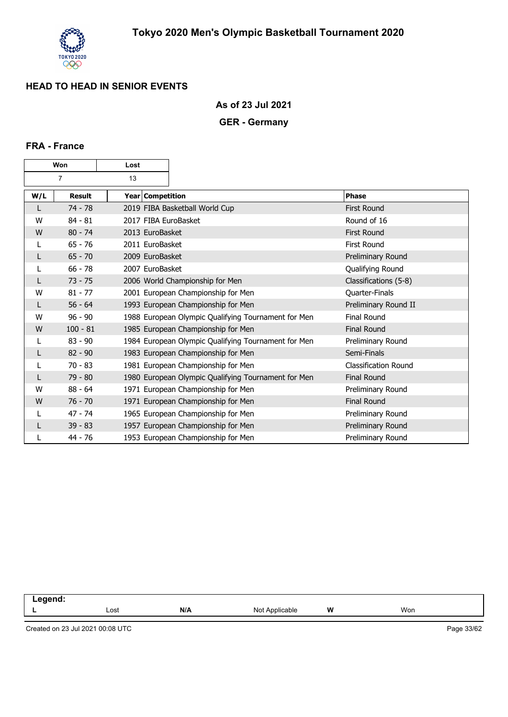

**As of 23 Jul 2021**

## **GER - Germany**

#### **FRA - France**

| Won |                | Lost                 |                                                     |                             |
|-----|----------------|----------------------|-----------------------------------------------------|-----------------------------|
|     | $\overline{7}$ | 13                   |                                                     |                             |
| W/L | <b>Result</b>  | Year Competition     |                                                     | <b>Phase</b>                |
| L   | $74 - 78$      |                      | 2019 FIBA Basketball World Cup                      | <b>First Round</b>          |
| W   | $84 - 81$      | 2017 FIBA EuroBasket |                                                     | Round of 16                 |
| W   | $80 - 74$      | 2013 EuroBasket      |                                                     | <b>First Round</b>          |
|     | $65 - 76$      | 2011 EuroBasket      |                                                     | First Round                 |
| L   | $65 - 70$      | 2009 EuroBasket      |                                                     | Preliminary Round           |
| L   | $66 - 78$      | 2007 EuroBasket      |                                                     | Qualifying Round            |
| L   | $73 - 75$      |                      | 2006 World Championship for Men                     | Classifications (5-8)       |
| W   | $81 - 77$      |                      | 2001 European Championship for Men                  | Quarter-Finals              |
| L   | $56 - 64$      |                      | 1993 European Championship for Men                  | Preliminary Round II        |
| W   | $96 - 90$      |                      | 1988 European Olympic Qualifying Tournament for Men | <b>Final Round</b>          |
| W   | $100 - 81$     |                      | 1985 European Championship for Men                  | <b>Final Round</b>          |
| L   | $83 - 90$      |                      | 1984 European Olympic Qualifying Tournament for Men | Preliminary Round           |
| L   | $82 - 90$      |                      | 1983 European Championship for Men                  | Semi-Finals                 |
| L   | $70 - 83$      |                      | 1981 European Championship for Men                  | <b>Classification Round</b> |
| L   | $79 - 80$      |                      | 1980 European Olympic Qualifying Tournament for Men | <b>Final Round</b>          |
| W   | $88 - 64$      |                      | 1971 European Championship for Men                  | Preliminary Round           |
| W   | $76 - 70$      |                      | 1971 European Championship for Men                  | <b>Final Round</b>          |
|     | $47 - 74$      |                      | 1965 European Championship for Men                  | Preliminary Round           |
| L   | $39 - 83$      |                      | 1957 European Championship for Men                  | Preliminary Round           |
| L   | 44 - 76        |                      | 1953 European Championship for Men                  | Preliminary Round           |

| --<br>and the control of the |      |     |                     |         |     |  |
|------------------------------|------|-----|---------------------|---------|-----|--|
|                              | Lost | N/A | N۸<br>able<br>11011 | W<br>-- | Won |  |
|                              |      |     |                     |         |     |  |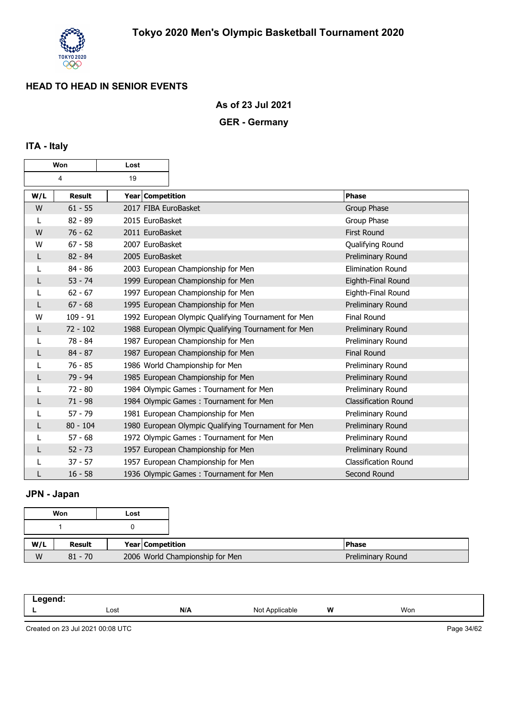

**As of 23 Jul 2021**

## **GER - Germany**

## **ITA - Italy**

| Won |               | Lost                 |                                                     |                             |
|-----|---------------|----------------------|-----------------------------------------------------|-----------------------------|
|     | 4             | 19                   |                                                     |                             |
| W/L | <b>Result</b> | Year Competition     |                                                     | <b>Phase</b>                |
| W   | $61 - 55$     | 2017 FIBA EuroBasket |                                                     | Group Phase                 |
| L   | $82 - 89$     | 2015 EuroBasket      |                                                     | Group Phase                 |
| W   | $76 - 62$     | 2011 EuroBasket      |                                                     | <b>First Round</b>          |
| W   | $67 - 58$     | 2007 EuroBasket      |                                                     | Qualifying Round            |
| L   | $82 - 84$     | 2005 EuroBasket      |                                                     | Preliminary Round           |
|     | $84 - 86$     |                      | 2003 European Championship for Men                  | <b>Elimination Round</b>    |
| L   | $53 - 74$     |                      | 1999 European Championship for Men                  | Eighth-Final Round          |
| L   | $62 - 67$     |                      | 1997 European Championship for Men                  | Eighth-Final Round          |
| L   | $67 - 68$     |                      | 1995 European Championship for Men                  | Preliminary Round           |
| W   | $109 - 91$    |                      | 1992 European Olympic Qualifying Tournament for Men | <b>Final Round</b>          |
| L   | $72 - 102$    |                      | 1988 European Olympic Qualifying Tournament for Men | Preliminary Round           |
| L   | $78 - 84$     |                      | 1987 European Championship for Men                  | Preliminary Round           |
| L   | $84 - 87$     |                      | 1987 European Championship for Men                  | <b>Final Round</b>          |
|     | $76 - 85$     |                      | 1986 World Championship for Men                     | Preliminary Round           |
| L   | 79 - 94       |                      | 1985 European Championship for Men                  | Preliminary Round           |
|     | $72 - 80$     |                      | 1984 Olympic Games: Tournament for Men              | Preliminary Round           |
| L   | $71 - 98$     |                      | 1984 Olympic Games: Tournament for Men              | <b>Classification Round</b> |
|     | $57 - 79$     |                      | 1981 European Championship for Men                  | Preliminary Round           |
|     | $80 - 104$    |                      | 1980 European Olympic Qualifying Tournament for Men | Preliminary Round           |
|     | $57 - 68$     |                      | 1972 Olympic Games: Tournament for Men              | Preliminary Round           |
| L   | $52 - 73$     |                      | 1957 European Championship for Men                  | Preliminary Round           |
|     | $37 - 57$     |                      | 1957 European Championship for Men                  | <b>Classification Round</b> |
|     | $16 - 58$     |                      | 1936 Olympic Games: Tournament for Men              | Second Round                |

## **JPN - Japan**

|     | Won       | Lost             |                                 |
|-----|-----------|------------------|---------------------------------|
|     |           |                  |                                 |
| W/L | Result    | Year Competition |                                 |
| W   | $81 - 70$ |                  | 2006 World Championship for Men |

| .<br>∵ ∟egenu. |      |     |                                 |   |     |
|----------------|------|-----|---------------------------------|---|-----|
|                | Lost | N/A | $N \cap$<br>Applicable<br>19017 | W | Won |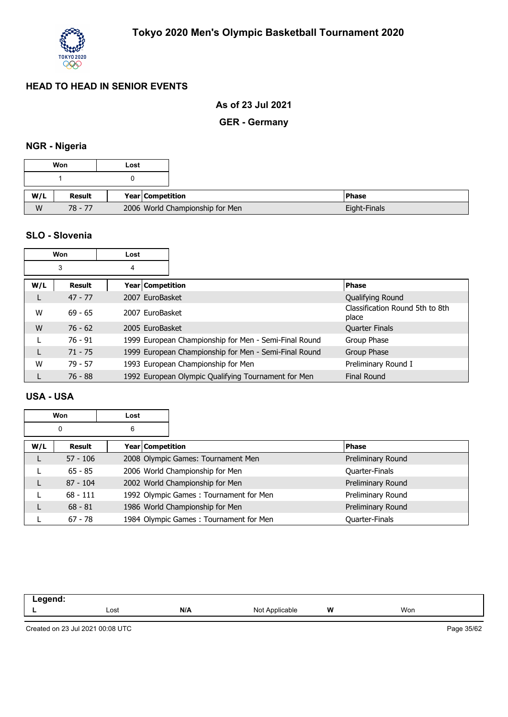

#### **As of 23 Jul 2021**

## **GER - Germany**

## **NGR - Nigeria**

|     | Won           | Lost             |                                 |              |
|-----|---------------|------------------|---------------------------------|--------------|
|     |               |                  |                                 |              |
|     |               |                  |                                 |              |
| W/L | <b>Result</b> | Year Competition |                                 | <b>Phase</b> |
| W   | $78 - 77$     |                  | 2006 World Championship for Men |              |

#### **SLO - Slovenia**

|     | Won       | Lost             |                                                       |                                          |
|-----|-----------|------------------|-------------------------------------------------------|------------------------------------------|
|     | 3         | 4                |                                                       |                                          |
| W/L | Result    | Year Competition |                                                       | <b>Phase</b>                             |
|     | $47 - 77$ | 2007 EuroBasket  |                                                       | Qualifying Round                         |
| W   | $69 - 65$ | 2007 EuroBasket  |                                                       | Classification Round 5th to 8th<br>place |
| W   | $76 - 62$ | 2005 EuroBasket  |                                                       | <b>Quarter Finals</b>                    |
|     | $76 - 91$ |                  | 1999 European Championship for Men - Semi-Final Round | Group Phase                              |
|     | $71 - 75$ |                  | 1999 European Championship for Men - Semi-Final Round | Group Phase                              |
| W   | $79 - 57$ |                  | 1993 European Championship for Men                    | Preliminary Round I                      |
|     | $76 - 88$ |                  | 1992 European Olympic Qualifying Tournament for Men   | <b>Final Round</b>                       |

#### **USA - USA**

|     | Won        | Lost |                                        |                       |
|-----|------------|------|----------------------------------------|-----------------------|
|     | 0          | 6    |                                        |                       |
| W/L | Result     |      | Year   Competition                     | <b>Phase</b>          |
|     | $57 - 106$ |      | 2008 Olympic Games: Tournament Men     | Preliminary Round     |
|     | $65 - 85$  |      | 2006 World Championship for Men        | Quarter-Finals        |
| L   | $87 - 104$ |      | 2002 World Championship for Men        | Preliminary Round     |
|     | $68 - 111$ |      | 1992 Olympic Games: Tournament for Men | Preliminary Round     |
|     | $68 - 81$  |      | 1986 World Championship for Men        | Preliminary Round     |
|     | $67 - 78$  |      | 1984 Olympic Games: Tournament for Men | <b>Quarter-Finals</b> |

| امیم میں<br>--<br>-- 3 |      |     |                                        |   |     |  |
|------------------------|------|-----|----------------------------------------|---|-----|--|
|                        | Lost | N/A | N∩t<br>\pplicable<br>$\cdot$ v $\cdot$ | W | Won |  |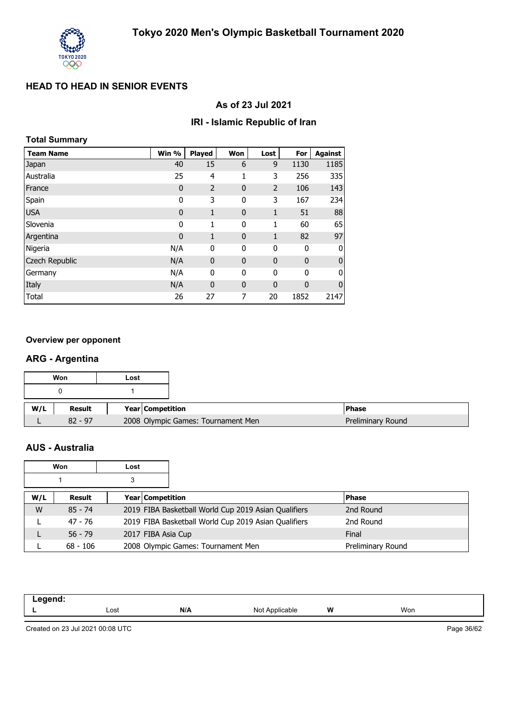

#### **As of 23 Jul 2021**

#### **IRI - Islamic Republic of Iran**

| <b>Total Summary</b> |       |                |              |              |              |                |
|----------------------|-------|----------------|--------------|--------------|--------------|----------------|
| <b>Team Name</b>     | Win % | <b>Played</b>  | Won          | Lost         | For          | <b>Against</b> |
| Japan                | 40    | 15             | 6            | 9            | 1130         | 1185           |
| Australia            | 25    | 4              | 1            | 3            | 256          | 335            |
| France               | 0     | $\overline{2}$ | $\mathbf{0}$ | 2            | 106          | 143            |
| Spain                | 0     | 3              | 0            | 3            | 167          | 234            |
| <b>USA</b>           | 0     | $\mathbf{1}$   | $\mathbf 0$  | $\mathbf{1}$ | 51           | 88             |
| Slovenia             | 0     | 1              | 0            | 1            | 60           | 65             |
| Argentina            | 0     | $\mathbf{1}$   | $\mathbf{0}$ | 1            | 82           | 97             |
| Nigeria              | N/A   | $\mathbf{0}$   | 0            | $\mathbf 0$  | $\mathbf{0}$ | 0              |
| Czech Republic       | N/A   | $\mathbf{0}$   | $\mathbf 0$  | $\mathbf{0}$ | $\mathbf{0}$ | 0              |
| Germany              | N/A   | 0              | 0            | 0            | 0            | 0              |
| Italy                | N/A   | $\mathbf{0}$   | $\mathbf{0}$ | $\mathbf 0$  | $\mathbf{0}$ | $\mathbf{0}$   |
| Total                | 26    | 27             | 7            | 20           | 1852         | 2147           |

#### **Overview per opponent**

#### **ARG - Argentina**

|     | Won       | Lost |                  |                                    |                   |
|-----|-----------|------|------------------|------------------------------------|-------------------|
|     |           |      |                  |                                    |                   |
|     |           |      |                  |                                    |                   |
| W/L | Result    |      | Year Competition |                                    | <b>Phase</b>      |
|     | $82 - 97$ |      |                  | 2008 Olympic Games: Tournament Men | Preliminary Round |

### **AUS - Australia**

|     | Won        | Lost               |                                                      |                   |
|-----|------------|--------------------|------------------------------------------------------|-------------------|
|     |            |                    |                                                      |                   |
| W/L | Result     | Year   Competition |                                                      | <b>Phase</b>      |
| W   | $85 - 74$  |                    | 2019 FIBA Basketball World Cup 2019 Asian Qualifiers | 2nd Round         |
|     | 47 - 76    |                    | 2019 FIBA Basketball World Cup 2019 Asian Qualifiers | 2nd Round         |
|     | $56 - 79$  | 2017 FIBA Asia Cup |                                                      | Final             |
|     | $68 - 106$ |                    | 2008 Olympic Games: Tournament Men                   | Preliminary Round |

| egend:<br>$-9.9$ |              |     |                               |   |     |
|------------------|--------------|-----|-------------------------------|---|-----|
|                  | Lost<br>---- | N/A | NM+<br>`Applicable<br>7. JUL. | W | Won |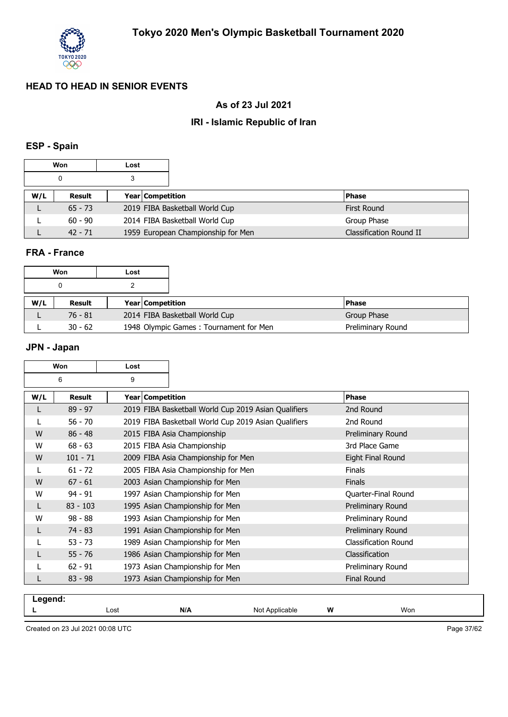

### **As of 23 Jul 2021**

#### **IRI - Islamic Republic of Iran**

## **ESP - Spain**

|     | Won       | Lost |                  |                                    |                         |
|-----|-----------|------|------------------|------------------------------------|-------------------------|
| 3   |           |      |                  |                                    |                         |
| W/L | Result    |      | Year Competition |                                    | <b>Phase</b>            |
|     | $65 - 73$ |      |                  | 2019 FIBA Basketball World Cup     | First Round             |
|     | $60 - 90$ |      |                  | 2014 FIBA Basketball World Cup     | Group Phase             |
|     | $42 - 71$ |      |                  | 1959 European Championship for Men | Classification Round II |

#### **FRA - France**

|     | Won       | Lost |                                        |                   |
|-----|-----------|------|----------------------------------------|-------------------|
|     | 0         |      |                                        |                   |
| W/L | Result    |      | <b>Year Competition</b>                | <b>IPhase</b>     |
|     | 76 - 81   |      | 2014 FIBA Basketball World Cup         | Group Phase       |
|     | $30 - 62$ |      | 1948 Olympic Games: Tournament for Men | Preliminary Round |

## **JPN - Japan**

|         | Won        | Lost |                  |                                                      |                      |
|---------|------------|------|------------------|------------------------------------------------------|----------------------|
| 6<br>9  |            |      |                  |                                                      |                      |
| W/L     | Result     |      | Year Competition |                                                      | <b>Phase</b>         |
|         | $89 - 97$  |      |                  | 2019 FIBA Basketball World Cup 2019 Asian Qualifiers | 2nd Round            |
|         | $56 - 70$  |      |                  | 2019 FIBA Basketball World Cup 2019 Asian Qualifiers | 2nd Round            |
| W       | $86 - 48$  |      |                  | 2015 FIBA Asia Championship                          | Preliminary Round    |
| W       | $68 - 63$  |      |                  | 2015 FIBA Asia Championship                          | 3rd Place Game       |
| W       | $101 - 71$ |      |                  | 2009 FIBA Asia Championship for Men                  | Eight Final Round    |
| L       | $61 - 72$  |      |                  | 2005 FIBA Asia Championship for Men                  | <b>Finals</b>        |
| W       | $67 - 61$  |      |                  | 2003 Asian Championship for Men                      | Finals               |
| W       | $94 - 91$  |      |                  | 1997 Asian Championship for Men                      | Quarter-Final Round  |
| L       | $83 - 103$ |      |                  | 1995 Asian Championship for Men                      | Preliminary Round    |
| W       | $98 - 88$  |      |                  | 1993 Asian Championship for Men                      | Preliminary Round    |
|         | $74 - 83$  |      |                  | 1991 Asian Championship for Men                      | Preliminary Round    |
|         | $53 - 73$  |      |                  | 1989 Asian Championship for Men                      | Classification Round |
|         | $55 - 76$  |      |                  | 1986 Asian Championship for Men                      | Classification       |
|         | $62 - 91$  |      |                  | 1973 Asian Championship for Men                      | Preliminary Round    |
|         | $83 - 98$  |      |                  | 1973 Asian Championship for Men                      | <b>Final Round</b>   |
| Legend: |            |      |                  |                                                      |                      |

|  | Lost<br>$- - - -$ | N/A | Not<br>. Annlice<br>me<br>טועי<br>- - - | W | won |  |
|--|-------------------|-----|-----------------------------------------|---|-----|--|
|  |                   |     |                                         |   |     |  |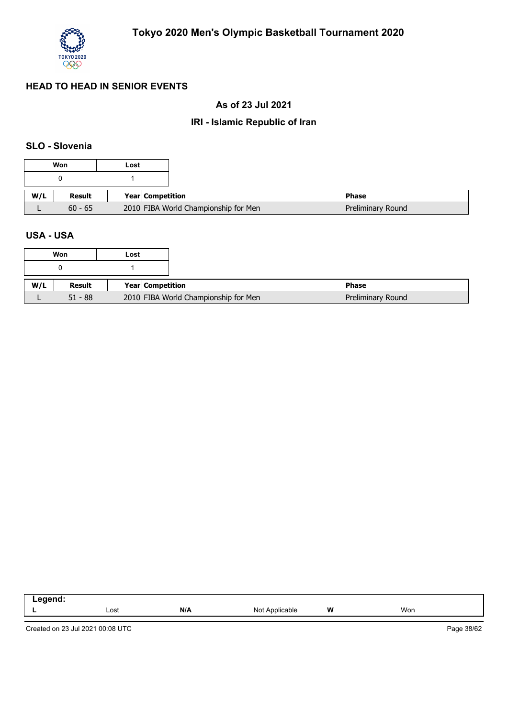

### **As of 23 Jul 2021**

## **IRI - Islamic Republic of Iran**

#### **SLO - Slovenia**

|     | Won       | Lost |                                      |                   |
|-----|-----------|------|--------------------------------------|-------------------|
|     |           |      |                                      |                   |
| W/L | Result    |      | Year Competition                     | <b>Phase</b>      |
|     | $60 - 65$ |      | 2010 FIBA World Championship for Men | Preliminary Round |

#### **USA - USA**

|     | Won       | Lost                                 |
|-----|-----------|--------------------------------------|
|     |           |                                      |
| W/L | Result    | Year Competition                     |
|     | $51 - 88$ | 2010 FIBA World Championship for Men |

| .<br>.<br>__ |      |     |                   |       |     |
|--------------|------|-----|-------------------|-------|-----|
|              | Lost | N/A | Not<br>Applicable | W<br> | Won |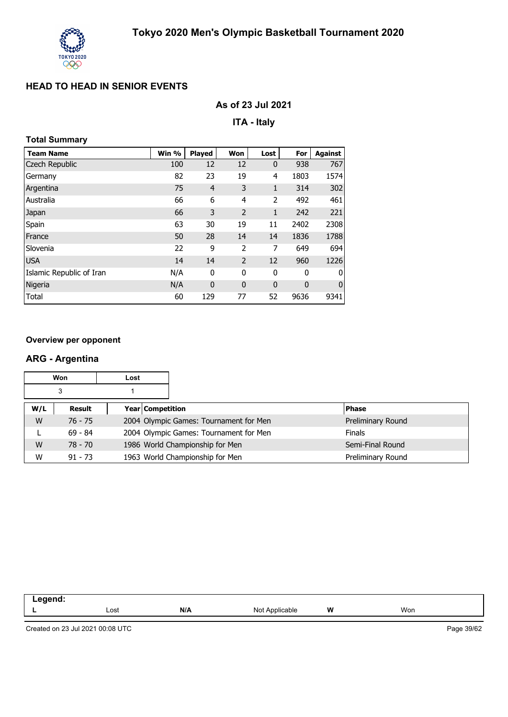

### **As of 23 Jul 2021**

**ITA - Italy**

## **Total Summary**

| <b>Team Name</b>         | Win % | <b>Played</b>  | Won            | Lost           | For  | <b>Against</b> |
|--------------------------|-------|----------------|----------------|----------------|------|----------------|
| Czech Republic           | 100   | 12             | 12             | $\mathbf 0$    | 938  | 767            |
| Germany                  | 82    | 23             | 19             | $\overline{4}$ | 1803 | 1574           |
| Argentina                | 75    | $\overline{4}$ | 3              | $\mathbf{1}$   | 314  | 302            |
| Australia                | 66    | 6              | $\overline{4}$ | 2              | 492  | 461            |
| Japan                    | 66    | 3              | $\overline{2}$ | $\mathbf{1}$   | 242  | 221            |
| Spain                    | 63    | 30             | 19             | 11             | 2402 | 2308           |
| France                   | 50    | 28             | 14             | 14             | 1836 | 1788           |
| Slovenia                 | 22    | 9              | $\overline{2}$ | 7              | 649  | 694            |
| <b>USA</b>               | 14    | 14             | $\overline{2}$ | 12             | 960  | 1226           |
| Islamic Republic of Iran | N/A   | 0              | 0              | 0              | 0    | 0              |
| Nigeria                  | N/A   | $\mathbf 0$    | $\mathbf{0}$   | $\mathbf 0$    | 0    | $\mathbf 0$    |
| Total                    | 60    | 129            | 77             | 52             | 9636 | 9341           |

#### **Overview per opponent**

#### **ARG - Argentina**

| Won<br>Lost |                                   |  |  |                                        |              |                   |
|-------------|-----------------------------------|--|--|----------------------------------------|--------------|-------------------|
| 3           |                                   |  |  |                                        |              |                   |
| W/L         | <b>Year Competition</b><br>Result |  |  |                                        | <b>Phase</b> |                   |
| W           | $76 - 75$                         |  |  | 2004 Olympic Games: Tournament for Men |              | Preliminary Round |
|             | $69 - 84$                         |  |  | 2004 Olympic Games: Tournament for Men |              | <b>Finals</b>     |
| W           | $78 - 70$                         |  |  | 1986 World Championship for Men        |              | Semi-Final Round  |
| W           | $91 - 73$                         |  |  | 1963 World Championship for Men        |              | Preliminary Round |

| N/A<br>W<br>Won<br>Lost<br>N۰<br>able<br>1101F | _<br>-- - |  |  |  |
|------------------------------------------------|-----------|--|--|--|
|                                                |           |  |  |  |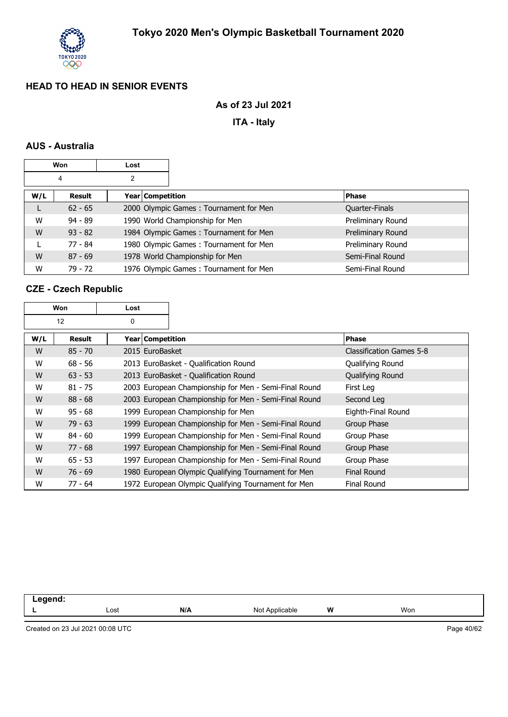

### **As of 23 Jul 2021**

**ITA - Italy**

### **AUS - Australia**

| Won<br>Lost |                            |  |  |                                        |                       |
|-------------|----------------------------|--|--|----------------------------------------|-----------------------|
| 4<br>2      |                            |  |  |                                        |                       |
| W/L         | Year Competition<br>Result |  |  | <b>Phase</b>                           |                       |
| L           | $62 - 65$                  |  |  | 2000 Olympic Games: Tournament for Men | <b>Quarter-Finals</b> |
| W           | $94 - 89$                  |  |  | 1990 World Championship for Men        | Preliminary Round     |
| W           | $93 - 82$                  |  |  | 1984 Olympic Games: Tournament for Men | Preliminary Round     |
|             | 77 - 84                    |  |  | 1980 Olympic Games: Tournament for Men | Preliminary Round     |
| W           | $87 - 69$                  |  |  | 1978 World Championship for Men        | Semi-Final Round      |
| W           | 79 - 72                    |  |  | 1976 Olympic Games: Tournament for Men | Semi-Final Round      |

## **CZE - Czech Republic**

| Won     |           | Lost               |                                                       |                          |
|---------|-----------|--------------------|-------------------------------------------------------|--------------------------|
| 12<br>0 |           |                    |                                                       |                          |
| W/L     | Result    | Year   Competition |                                                       | <b>Phase</b>             |
| W       | $85 - 70$ | 2015 EuroBasket    |                                                       | Classification Games 5-8 |
| W       | $68 - 56$ |                    | 2013 EuroBasket - Qualification Round                 | Qualifying Round         |
| W       | $63 - 53$ |                    | 2013 EuroBasket - Qualification Round                 | Qualifying Round         |
| W       | $81 - 75$ |                    | 2003 European Championship for Men - Semi-Final Round | First Leg                |
| W       | $88 - 68$ |                    | 2003 European Championship for Men - Semi-Final Round | Second Leg               |
| W       | $95 - 68$ |                    | 1999 European Championship for Men                    | Eighth-Final Round       |
| W       | $79 - 63$ |                    | 1999 European Championship for Men - Semi-Final Round | Group Phase              |
| W       | $84 - 60$ |                    | 1999 European Championship for Men - Semi-Final Round | Group Phase              |
| W       | $77 - 68$ |                    | 1997 European Championship for Men - Semi-Final Round | Group Phase              |
| W       | $65 - 53$ |                    | 1997 European Championship for Men - Semi-Final Round | Group Phase              |
| W       | $76 - 69$ |                    | 1980 European Olympic Qualifying Tournament for Men   | <b>Final Round</b>       |
| w       | 77 - 64   |                    | 1972 European Olympic Qualifying Tournament for Men   | <b>Final Round</b>       |

| ю<br>--<br>-- 3 |      |     |                   |   |     |  |
|-----------------|------|-----|-------------------|---|-----|--|
|                 | Lost | N/A | Not<br>Applicable | W | Won |  |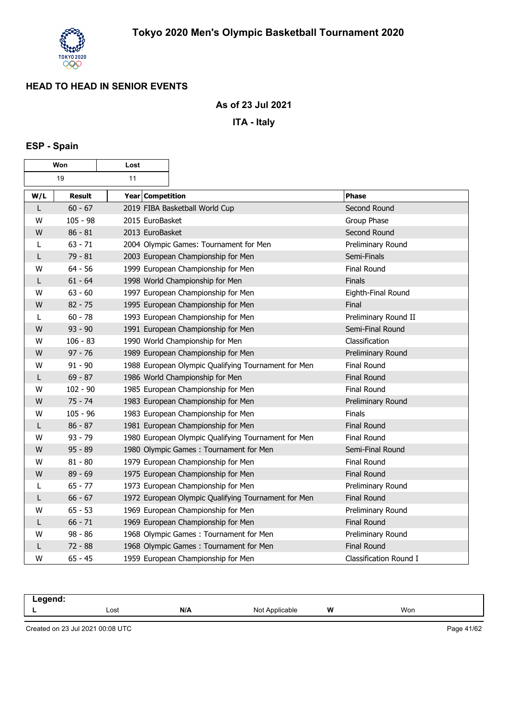

 $\overline{\phantom{a}}$ 

#### **As of 23 Jul 2021**

**ITA - Italy**

# **ESP - Spain**

г

| Won |            | Lost             |                                                     |                        |
|-----|------------|------------------|-----------------------------------------------------|------------------------|
|     | 19         | 11               |                                                     |                        |
| W/L | Result     | Year Competition |                                                     | <b>Phase</b>           |
| L   | $60 - 67$  |                  | 2019 FIBA Basketball World Cup                      | Second Round           |
| W   | $105 - 98$ | 2015 EuroBasket  |                                                     | Group Phase            |
| W   | $86 - 81$  | 2013 EuroBasket  |                                                     | Second Round           |
|     | $63 - 71$  |                  | 2004 Olympic Games: Tournament for Men              | Preliminary Round      |
| L   | $79 - 81$  |                  | 2003 European Championship for Men                  | Semi-Finals            |
| W   | $64 - 56$  |                  | 1999 European Championship for Men                  | <b>Final Round</b>     |
| L   | $61 - 64$  |                  | 1998 World Championship for Men                     | Finals                 |
| W   | $63 - 60$  |                  | 1997 European Championship for Men                  | Eighth-Final Round     |
| W   | $82 - 75$  |                  | 1995 European Championship for Men                  | Final                  |
| L   | $60 - 78$  |                  | 1993 European Championship for Men                  | Preliminary Round II   |
| W   | $93 - 90$  |                  | 1991 European Championship for Men                  | Semi-Final Round       |
| W   | $106 - 83$ |                  | 1990 World Championship for Men                     | Classification         |
| W   | $97 - 76$  |                  | 1989 European Championship for Men                  | Preliminary Round      |
| W   | $91 - 90$  |                  | 1988 European Olympic Qualifying Tournament for Men | Final Round            |
| L   | $69 - 87$  |                  | 1986 World Championship for Men                     | <b>Final Round</b>     |
| W   | $102 - 90$ |                  | 1985 European Championship for Men                  | Final Round            |
| W   | $75 - 74$  |                  | 1983 European Championship for Men                  | Preliminary Round      |
| w   | $105 - 96$ |                  | 1983 European Championship for Men                  | Finals                 |
| L   | $86 - 87$  |                  | 1981 European Championship for Men                  | <b>Final Round</b>     |
| w   | $93 - 79$  |                  | 1980 European Olympic Qualifying Tournament for Men | Final Round            |
| W   | $95 - 89$  |                  | 1980 Olympic Games: Tournament for Men              | Semi-Final Round       |
| w   | $81 - 80$  |                  | 1979 European Championship for Men                  | Final Round            |
| W   | $89 - 69$  |                  | 1975 European Championship for Men                  | <b>Final Round</b>     |
| L   | $65 - 77$  |                  | 1973 European Championship for Men                  | Preliminary Round      |
| L   | $66 - 67$  |                  | 1972 European Olympic Qualifying Tournament for Men | <b>Final Round</b>     |
| w   | $65 - 53$  |                  | 1969 European Championship for Men                  | Preliminary Round      |
| L   | $66 - 71$  |                  | 1969 European Championship for Men                  | <b>Final Round</b>     |
| w   | $98 - 86$  |                  | 1968 Olympic Games: Tournament for Men              | Preliminary Round      |
| L   | $72 - 88$  |                  | 1968 Olympic Games: Tournament for Men              | <b>Final Round</b>     |
| W   | $65 - 45$  |                  | 1959 European Championship for Men                  | Classification Round I |

| - - -- - |      |     |                         |   |     |
|----------|------|-----|-------------------------|---|-----|
| -        | Lost | N/A | N∩t<br>∵≏anle<br>$\sim$ | W | Won |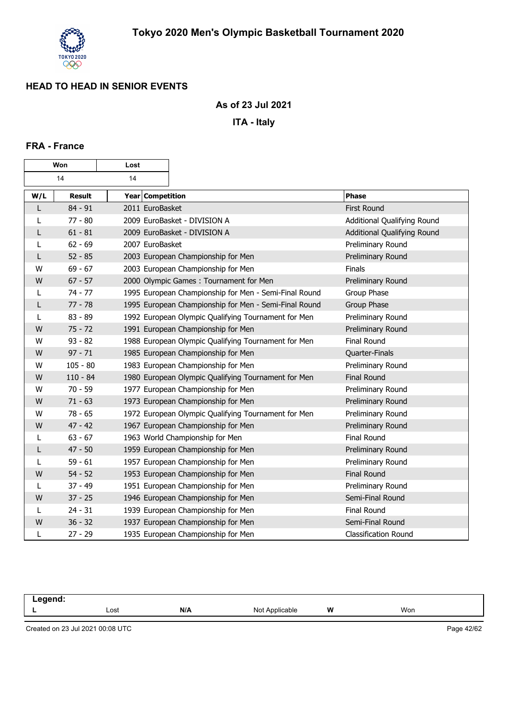

#### **As of 23 Jul 2021**

**ITA - Italy**

#### **FRA - France**

| Won |               | Lost             |                                                       |                             |
|-----|---------------|------------------|-------------------------------------------------------|-----------------------------|
|     | 14            | 14               |                                                       |                             |
| W/L | <b>Result</b> | Year Competition |                                                       | <b>Phase</b>                |
| L   | $84 - 91$     | 2011 EuroBasket  |                                                       | <b>First Round</b>          |
| L   | $77 - 80$     |                  | 2009 EuroBasket - DIVISION A                          | Additional Qualifying Round |
| L   | $61 - 81$     |                  | 2009 EuroBasket - DIVISION A                          | Additional Qualifying Round |
| L   | $62 - 69$     | 2007 EuroBasket  |                                                       | Preliminary Round           |
| L   | $52 - 85$     |                  | 2003 European Championship for Men                    | Preliminary Round           |
| W   | $69 - 67$     |                  | 2003 European Championship for Men                    | <b>Finals</b>               |
| W   | $67 - 57$     |                  | 2000 Olympic Games: Tournament for Men                | Preliminary Round           |
| L   | $74 - 77$     |                  | 1995 European Championship for Men - Semi-Final Round | Group Phase                 |
| L   | $77 - 78$     |                  | 1995 European Championship for Men - Semi-Final Round | Group Phase                 |
| L   | $83 - 89$     |                  | 1992 European Olympic Qualifying Tournament for Men   | Preliminary Round           |
| W   | $75 - 72$     |                  | 1991 European Championship for Men                    | Preliminary Round           |
| W   | $93 - 82$     |                  | 1988 European Olympic Qualifying Tournament for Men   | <b>Final Round</b>          |
| W   | $97 - 71$     |                  | 1985 European Championship for Men                    | Quarter-Finals              |
| W   | $105 - 80$    |                  | 1983 European Championship for Men                    | Preliminary Round           |
| W   | $110 - 84$    |                  | 1980 European Olympic Qualifying Tournament for Men   | <b>Final Round</b>          |
| W   | $70 - 59$     |                  | 1977 European Championship for Men                    | Preliminary Round           |
| W   | $71 - 63$     |                  | 1973 European Championship for Men                    | Preliminary Round           |
| W   | $78 - 65$     |                  | 1972 European Olympic Qualifying Tournament for Men   | Preliminary Round           |
| W   | $47 - 42$     |                  | 1967 European Championship for Men                    | Preliminary Round           |
| L   | $63 - 67$     |                  | 1963 World Championship for Men                       | Final Round                 |
| L   | $47 - 50$     |                  | 1959 European Championship for Men                    | Preliminary Round           |
|     | $59 - 61$     |                  | 1957 European Championship for Men                    | Preliminary Round           |
| W   | $54 - 52$     |                  | 1953 European Championship for Men                    | <b>Final Round</b>          |
|     | $37 - 49$     |                  | 1951 European Championship for Men                    | Preliminary Round           |
| W   | $37 - 25$     |                  | 1946 European Championship for Men                    | Semi-Final Round            |
|     | $24 - 31$     |                  | 1939 European Championship for Men                    | Final Round                 |
| W   | $36 - 32$     |                  | 1937 European Championship for Men                    | Semi-Final Round            |
| L   | $27 - 29$     |                  | 1935 European Championship for Men                    | <b>Classification Round</b> |

| $\sim$ $\sim$ |      |     |                     |   |     |  |
|---------------|------|-----|---------------------|---|-----|--|
| -             | Lost | N/A | Annlicable<br>Not A | W | Won |  |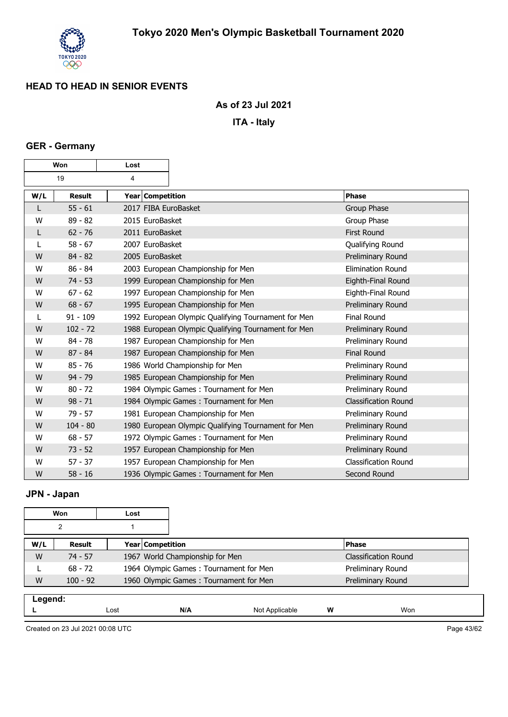

 $\overline{\mathbf{1}}$ 

### **As of 23 Jul 2021**

**ITA - Italy**

#### **GER - Germany**

г

| Won |               | Lost                 |                                                     |                             |
|-----|---------------|----------------------|-----------------------------------------------------|-----------------------------|
|     | 19            | 4                    |                                                     |                             |
| W/L | <b>Result</b> | Year Competition     |                                                     | Phase                       |
| L   | $55 - 61$     | 2017 FIBA EuroBasket |                                                     | Group Phase                 |
| W   | $89 - 82$     | 2015 EuroBasket      |                                                     | Group Phase                 |
| L   | $62 - 76$     | 2011 EuroBasket      |                                                     | <b>First Round</b>          |
| L   | $58 - 67$     | 2007 EuroBasket      |                                                     | Qualifying Round            |
| W   | $84 - 82$     | 2005 EuroBasket      |                                                     | Preliminary Round           |
| W   | $86 - 84$     |                      | 2003 European Championship for Men                  | <b>Elimination Round</b>    |
| W   | $74 - 53$     |                      | 1999 European Championship for Men                  | Eighth-Final Round          |
| W   | $67 - 62$     |                      | 1997 European Championship for Men                  | Eighth-Final Round          |
| W   | $68 - 67$     |                      | 1995 European Championship for Men                  | Preliminary Round           |
| L   | $91 - 109$    |                      | 1992 European Olympic Qualifying Tournament for Men | <b>Final Round</b>          |
| W   | $102 - 72$    |                      | 1988 European Olympic Qualifying Tournament for Men | Preliminary Round           |
| W   | $84 - 78$     |                      | 1987 European Championship for Men                  | Preliminary Round           |
| W   | $87 - 84$     |                      | 1987 European Championship for Men                  | <b>Final Round</b>          |
| W   | $85 - 76$     |                      | 1986 World Championship for Men                     | Preliminary Round           |
| W   | $94 - 79$     |                      | 1985 European Championship for Men                  | Preliminary Round           |
| W   | $80 - 72$     |                      | 1984 Olympic Games: Tournament for Men              | Preliminary Round           |
| W   | $98 - 71$     |                      | 1984 Olympic Games: Tournament for Men              | <b>Classification Round</b> |
| W   | $79 - 57$     |                      | 1981 European Championship for Men                  | Preliminary Round           |
| W   | $104 - 80$    |                      | 1980 European Olympic Qualifying Tournament for Men | Preliminary Round           |
| W   | $68 - 57$     |                      | 1972 Olympic Games: Tournament for Men              | Preliminary Round           |
| W   | $73 - 52$     |                      | 1957 European Championship for Men                  | Preliminary Round           |
| W   | $57 - 37$     |                      | 1957 European Championship for Men                  | <b>Classification Round</b> |
| W   | $58 - 16$     |                      | 1936 Olympic Games: Tournament for Men              | Second Round                |

# **JPN - Japan**

| Won                               |            | Lost |                                        |                                        |     |                             |  |
|-----------------------------------|------------|------|----------------------------------------|----------------------------------------|-----|-----------------------------|--|
| 2                                 |            |      |                                        |                                        |     |                             |  |
| W/L<br>Year Competition<br>Result |            |      |                                        |                                        |     | <b>Phase</b>                |  |
| W                                 | $74 - 57$  |      | 1967 World Championship for Men        |                                        |     | <b>Classification Round</b> |  |
|                                   | $68 - 72$  |      |                                        | 1964 Olympic Games: Tournament for Men |     | Preliminary Round           |  |
| W                                 | $100 - 92$ |      | 1960 Olympic Games: Tournament for Men |                                        |     | Preliminary Round           |  |
|                                   | Legend:    |      |                                        |                                        |     |                             |  |
| Lost                              |            | N/A  | W<br>Not Applicable                    |                                        | Won |                             |  |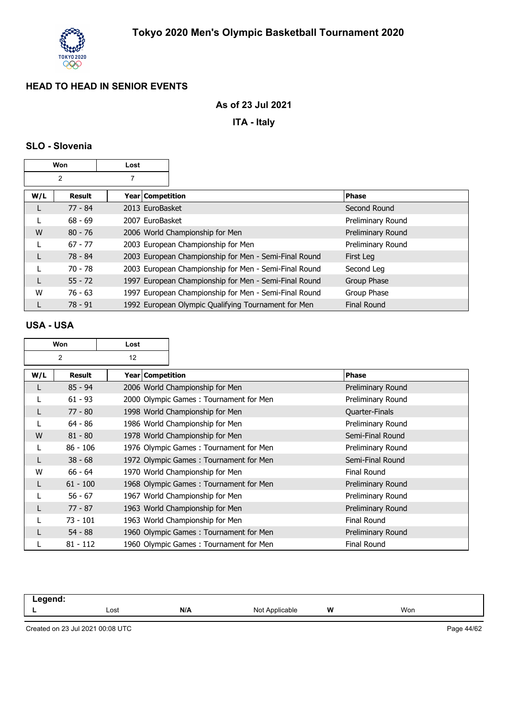

#### **As of 23 Jul 2021**

**ITA - Italy**

### **SLO - Slovenia**

| Won<br>Lost |                |                                                       |                    |
|-------------|----------------|-------------------------------------------------------|--------------------|
|             | $\overline{2}$ |                                                       |                    |
| W/L         | Result         | Year   Competition                                    | <b>Phase</b>       |
| L           | 77 - 84        | 2013 EuroBasket                                       | Second Round       |
|             | $68 - 69$      | 2007 EuroBasket                                       | Preliminary Round  |
| W           | $80 - 76$      | 2006 World Championship for Men                       | Preliminary Round  |
|             | $67 - 77$      | 2003 European Championship for Men                    | Preliminary Round  |
| L           | 78 - 84        | 2003 European Championship for Men - Semi-Final Round | First Leg          |
|             | $70 - 78$      | 2003 European Championship for Men - Semi-Final Round | Second Leg         |
| L           | $55 - 72$      | 1997 European Championship for Men - Semi-Final Round | Group Phase        |
| W           | $76 - 63$      | 1997 European Championship for Men - Semi-Final Round | Group Phase        |
|             | $78 - 91$      | 1992 European Olympic Qualifying Tournament for Men   | <b>Final Round</b> |

#### **USA - USA**

| Won                  |            | Lost               |                                        |                    |
|----------------------|------------|--------------------|----------------------------------------|--------------------|
| $\overline{2}$<br>12 |            |                    |                                        |                    |
| W/L                  | Result     | Year   Competition |                                        | <b>Phase</b>       |
| L                    | $85 - 94$  |                    | 2006 World Championship for Men        | Preliminary Round  |
|                      | $61 - 93$  |                    | 2000 Olympic Games: Tournament for Men | Preliminary Round  |
|                      | $77 - 80$  |                    | 1998 World Championship for Men        | Quarter-Finals     |
|                      | $64 - 86$  |                    | 1986 World Championship for Men        | Preliminary Round  |
| W                    | $81 - 80$  |                    | 1978 World Championship for Men        | Semi-Final Round   |
|                      | $86 - 106$ |                    | 1976 Olympic Games: Tournament for Men | Preliminary Round  |
| L                    | $38 - 68$  |                    | 1972 Olympic Games: Tournament for Men | Semi-Final Round   |
| W                    | $66 - 64$  |                    | 1970 World Championship for Men        | <b>Final Round</b> |
|                      | $61 - 100$ |                    | 1968 Olympic Games: Tournament for Men | Preliminary Round  |
|                      | $56 - 67$  |                    | 1967 World Championship for Men        | Preliminary Round  |
|                      | $77 - 87$  |                    | 1963 World Championship for Men        | Preliminary Round  |
|                      | $73 - 101$ |                    | 1963 World Championship for Men        | <b>Final Round</b> |
|                      | $54 - 88$  |                    | 1960 Olympic Games: Tournament for Men | Preliminary Round  |
|                      | $81 - 112$ |                    | 1960 Olympic Games: Tournament for Men | <b>Final Round</b> |

| -----<br>. |      |     |                                         |   |     |  |
|------------|------|-----|-----------------------------------------|---|-----|--|
|            | Lost | N/A | $N \cap$<br>Annlicable<br>᠁<br>$\cdots$ | W | Won |  |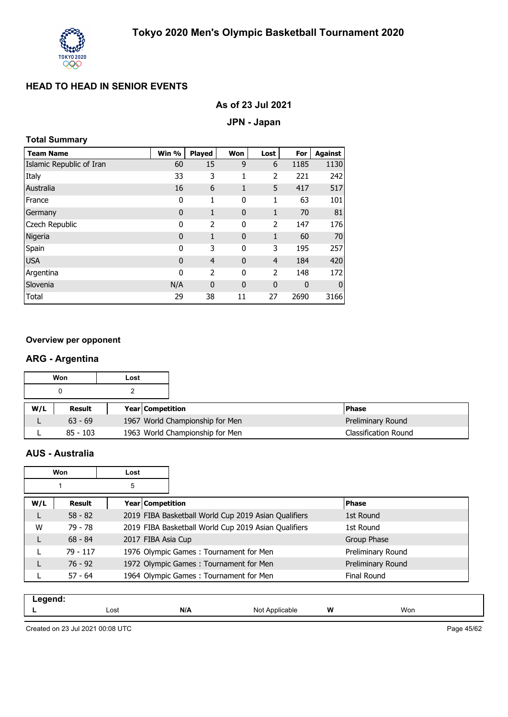

#### **As of 23 Jul 2021**

#### **JPN - Japan**

#### **Total Summary**

| <b>Team Name</b>         | Win %        | Played         | Won          | Lost           | For          | Against      |
|--------------------------|--------------|----------------|--------------|----------------|--------------|--------------|
| Islamic Republic of Iran | 60           | 15             | 9            | 6              | 1185         | 1130         |
| Italy                    | 33           | 3              | 1            | 2              | 221          | 242          |
| Australia                | 16           | 6              | 1            | 5              | 417          | 517          |
| France                   | 0            | 1              | 0            | 1              | 63           | 101          |
| Germany                  | $\mathbf 0$  | 1              | $\mathbf 0$  | 1              | 70           | 81           |
| Czech Republic           | 0            | 2              | 0            | 2              | 147          | 176          |
| Nigeria                  | $\mathbf{0}$ | 1              | $\mathbf{0}$ | 1              | 60           | 70           |
| Spain                    | 0            | 3              | 0            | 3              | 195          | 257          |
| <b>USA</b>               | $\mathbf{0}$ | $\overline{4}$ | $\mathbf{0}$ | $\overline{4}$ | 184          | 420          |
| Argentina                | 0            | 2              | 0            | 2              | 148          | 172          |
| Slovenia                 | N/A          | $\mathbf 0$    | $\mathbf{0}$ | $\mathbf 0$    | $\mathbf{0}$ | $\mathbf{0}$ |
| Total                    | 29           | 38             | 11           | 27             | 2690         | 3166         |

#### **Overview per opponent**

#### **ARG - Argentina**

|     | Won       | Lost |                                 |                   |
|-----|-----------|------|---------------------------------|-------------------|
|     | 0         |      |                                 |                   |
| W/L | Result    |      | <b>Year Competition</b>         | <b>Phase</b>      |
|     |           |      |                                 |                   |
|     | $63 - 69$ |      | 1967 World Championship for Men | Preliminary Round |

#### **AUS - Australia**

|     | Won        | Lost |                                                      |                    |
|-----|------------|------|------------------------------------------------------|--------------------|
|     |            | 5    |                                                      |                    |
| W/L | Result     |      | Year Competition                                     | <b>Phase</b>       |
|     | $58 - 82$  |      | 2019 FIBA Basketball World Cup 2019 Asian Qualifiers | 1st Round          |
| W   | 79 - 78    |      | 2019 FIBA Basketball World Cup 2019 Asian Qualifiers | 1st Round          |
| L   | $68 - 84$  |      | 2017 FIBA Asia Cup                                   | Group Phase        |
|     | $79 - 117$ |      | 1976 Olympic Games: Tournament for Men               | Preliminary Round  |
|     | $76 - 92$  |      | 1972 Olympic Games: Tournament for Men               | Preliminary Round  |
|     | $57 - 64$  |      | 1964 Olympic Games: Tournament for Men               | <b>Final Round</b> |

| .<br>$-95$ |      |     |                                                                |   |     |
|------------|------|-----|----------------------------------------------------------------|---|-----|
|            | Lost | N/A | N <sub>10</sub><br>Annlic<br>$\overline{\phantom{0}}$<br>י שיי | W | Won |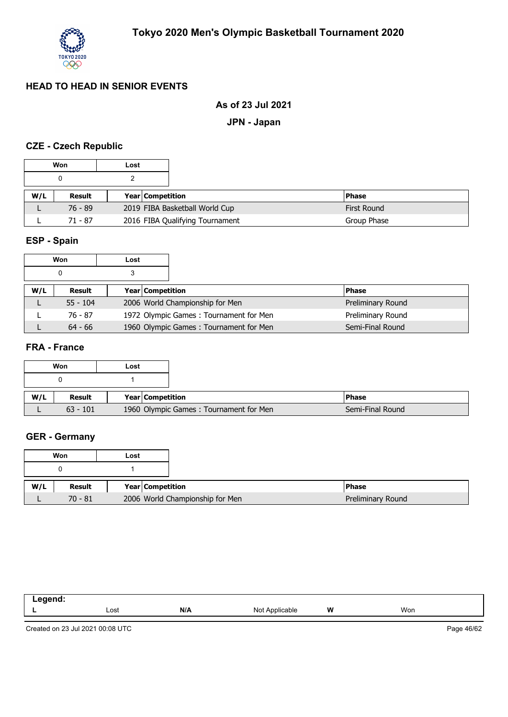

### **As of 23 Jul 2021**

**JPN - Japan**

#### **CZE - Czech Republic**

|     | Won       | Lost |                  |                                 |                    |
|-----|-----------|------|------------------|---------------------------------|--------------------|
|     |           |      |                  |                                 |                    |
| W/L | Result    |      | Year Competition |                                 | <b>Phase</b>       |
|     | $76 - 89$ |      |                  | 2019 FIBA Basketball World Cup  | <b>First Round</b> |
|     | 71 - 87   |      |                  | 2016 FIBA Qualifying Tournament | Group Phase        |

## **ESP - Spain**

|     | Won        | Lost |                                        |              |                   |
|-----|------------|------|----------------------------------------|--------------|-------------------|
|     | 0          |      |                                        |              |                   |
| W/L | Result     |      | <b>Year Competition</b>                | <b>Phase</b> |                   |
|     | $55 - 104$ |      | 2006 World Championship for Men        |              | Preliminary Round |
|     | 76 - 87    |      | 1972 Olympic Games: Tournament for Men |              | Preliminary Round |
|     | $64 - 66$  |      | 1960 Olympic Games: Tournament for Men |              | Semi-Final Round  |

#### **FRA - France**

|     | Won        | Lost |                                        |
|-----|------------|------|----------------------------------------|
|     |            |      |                                        |
|     |            |      |                                        |
| W/L | Result     |      | <b>Year Competition</b>                |
|     | $63 - 101$ |      | 1960 Olympic Games: Tournament for Men |

## **GER - Germany**

|     | Won       | Lost |                                 |
|-----|-----------|------|---------------------------------|
|     |           |      |                                 |
| W/L | Result    |      | Year Competition                |
|     | $70 - 81$ |      | 2006 World Championship for Men |

| ------<br>. |      |     |                                             |   |     |
|-------------|------|-----|---------------------------------------------|---|-----|
|             | Lost | N/A | nnlicah)<br>Nc.<br>эıе<br>$\cdot\cdot\cdot$ | W | Won |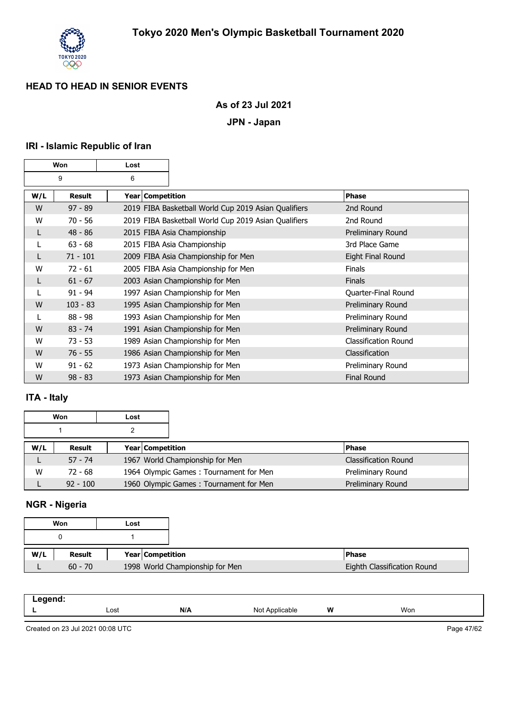

### **As of 23 Jul 2021**

#### **JPN - Japan**

## **IRI - Islamic Republic of Iran**

|     | Won        | Lost               |                                                      |                             |
|-----|------------|--------------------|------------------------------------------------------|-----------------------------|
|     | 9          | 6                  |                                                      |                             |
| W/L | Result     | Year   Competition |                                                      | <b>Phase</b>                |
| W   | $97 - 89$  |                    | 2019 FIBA Basketball World Cup 2019 Asian Qualifiers | 2nd Round                   |
| W   | $70 - 56$  |                    | 2019 FIBA Basketball World Cup 2019 Asian Qualifiers | 2nd Round                   |
| L   | $48 - 86$  |                    | 2015 FIBA Asia Championship                          | Preliminary Round           |
| L   | $63 - 68$  |                    | 2015 FIBA Asia Championship                          | 3rd Place Game              |
|     | $71 - 101$ |                    | 2009 FIBA Asia Championship for Men                  | Eight Final Round           |
| W   | $72 - 61$  |                    | 2005 FIBA Asia Championship for Men                  | <b>Finals</b>               |
|     | $61 - 67$  |                    | 2003 Asian Championship for Men                      | <b>Finals</b>               |
| L   | $91 - 94$  |                    | 1997 Asian Championship for Men                      | Quarter-Final Round         |
| W   | $103 - 83$ |                    | 1995 Asian Championship for Men                      | Preliminary Round           |
| L   | $88 - 98$  |                    | 1993 Asian Championship for Men                      | Preliminary Round           |
| W   | $83 - 74$  |                    | 1991 Asian Championship for Men                      | Preliminary Round           |
| W   | $73 - 53$  |                    | 1989 Asian Championship for Men                      | <b>Classification Round</b> |
| W   | $76 - 55$  |                    | 1986 Asian Championship for Men                      | Classification              |
| W   | $91 - 62$  |                    | 1973 Asian Championship for Men                      | Preliminary Round           |
| W   | $98 - 83$  |                    | 1973 Asian Championship for Men                      | Final Round                 |

## **ITA - Italy**

|     | Won        | Lost |                                        |                      |
|-----|------------|------|----------------------------------------|----------------------|
|     |            |      |                                        |                      |
| W/L | Result     |      | Year Competition                       | <b>Phase</b>         |
|     | $57 - 74$  |      | 1967 World Championship for Men        | Classification Round |
| W   | 72 - 68    |      | 1964 Olympic Games: Tournament for Men | Preliminary Round    |
|     | $92 - 100$ |      | 1960 Olympic Games: Tournament for Men | Preliminary Round    |

## **NGR - Nigeria**

|     | Won       | Lost |                  |                                 |
|-----|-----------|------|------------------|---------------------------------|
|     |           |      |                  |                                 |
| W/L | Result    |      | Year Competition |                                 |
|     |           |      |                  |                                 |
|     | $60 - 70$ |      |                  | 1998 World Championship for Men |

| eand.<br>$-$ -yy $\cdots$ |      |     |                                |   |     |
|---------------------------|------|-----|--------------------------------|---|-----|
|                           | Lost | N/A | Not Annlicable<br>abie<br>▎◥◡◟ | W | Won |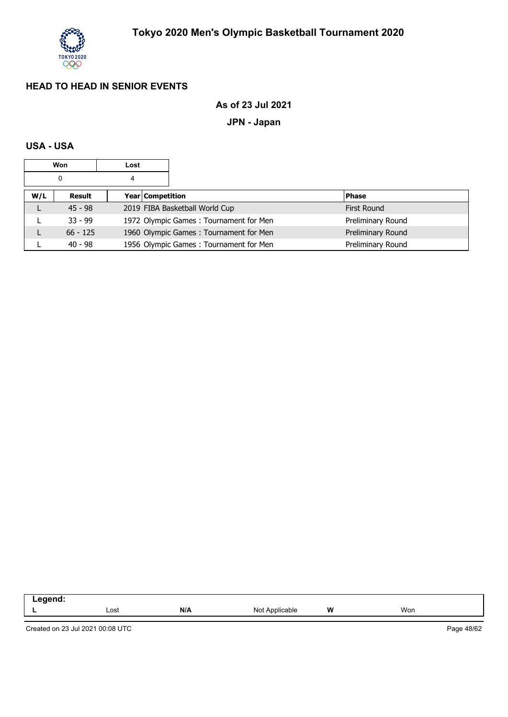

## **As of 23 Jul 2021**

## **JPN - Japan**

#### **USA - USA**

|        | Won<br>Lost |  |                  |                                        |  |                   |
|--------|-------------|--|------------------|----------------------------------------|--|-------------------|
| 0<br>4 |             |  |                  |                                        |  |                   |
| W/L    | Result      |  | Year Competition |                                        |  | <b>Phase</b>      |
|        | $45 - 98$   |  |                  | 2019 FIBA Basketball World Cup         |  | First Round       |
|        | $33 - 99$   |  |                  | 1972 Olympic Games: Tournament for Men |  | Preliminary Round |
|        | $66 - 125$  |  |                  | 1960 Olympic Games: Tournament for Men |  | Preliminary Round |
|        | $40 - 98$   |  |                  | 1956 Olympic Games: Tournament for Men |  | Preliminary Round |

| - |      |     |             |   |     |  |
|---|------|-----|-------------|---|-----|--|
| - | Lost | N/A | Nc.<br>ıble | W | Won |  |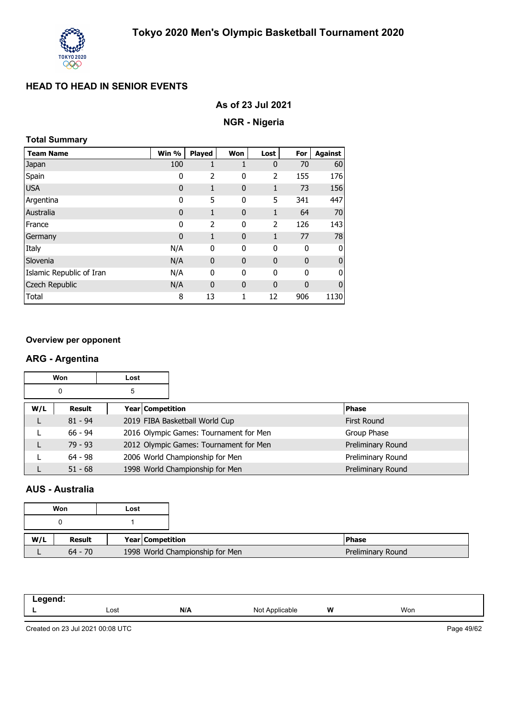

|  |  |  | As of 23 Jul 2021 |  |
|--|--|--|-------------------|--|
|--|--|--|-------------------|--|

## **NGR - Nigeria**

#### **Total Summary**

| <b>Team Name</b>         | Win %       | Played      | Won          | Lost         | For          | <b>Against</b> |
|--------------------------|-------------|-------------|--------------|--------------|--------------|----------------|
| Japan                    | 100         | 1           | 1            | $\mathbf 0$  | 70           | 60             |
| Spain                    | 0           | 2           | 0            | 2            | 155          | 176            |
| <b>USA</b>               | $\mathbf 0$ | 1           | $\mathbf{0}$ | $\mathbf{1}$ | 73           | 156            |
| Argentina                | 0           | 5           | 0            | 5            | 341          | 447            |
| Australia                | $\mathbf 0$ | 1           | $\mathbf 0$  | 1            | 64           | 70             |
| France                   | 0           | 2           | 0            | 2            | 126          | 143            |
| Germany                  | $\mathbf 0$ | 1           | $\mathbf{0}$ | 1            | 77           | 78             |
| Italy                    | N/A         | 0           | 0            | $\mathbf 0$  | 0            | 0              |
| Slovenia                 | N/A         | 0           | $\mathbf 0$  | $\mathbf 0$  | 0            | $\mathbf 0$    |
| Islamic Republic of Iran | N/A         | 0           | 0            | $\mathbf 0$  | $\mathbf{0}$ | 0              |
| Czech Republic           | N/A         | $\mathbf 0$ | $\mathbf{0}$ | $\mathbf 0$  | 0            | $\mathbf{0}$   |
| Total                    | 8           | 13          | 1            | 12           | 906          | 1130           |

#### **Overview per opponent**

#### **ARG - Argentina**

|        | Won<br>Lost |  |                  |                                        |                    |
|--------|-------------|--|------------------|----------------------------------------|--------------------|
| 5<br>0 |             |  |                  |                                        |                    |
| W/L    | Result      |  | Year Competition |                                        | <b>Phase</b>       |
|        | $81 - 94$   |  |                  | 2019 FIBA Basketball World Cup         | <b>First Round</b> |
|        | $66 - 94$   |  |                  | 2016 Olympic Games: Tournament for Men | Group Phase        |
|        | $79 - 93$   |  |                  | 2012 Olympic Games: Tournament for Men | Preliminary Round  |
|        | $64 - 98$   |  |                  | 2006 World Championship for Men        | Preliminary Round  |
|        | $51 - 68$   |  |                  | 1998 World Championship for Men        | Preliminary Round  |

#### **AUS - Australia**

|     | Won<br>Lost |  |                                 |
|-----|-------------|--|---------------------------------|
|     |             |  |                                 |
| W/L | Result      |  | Year Competition                |
|     | $64 - 70$   |  | 1998 World Championship for Men |

| ----- |      |     |                         |   |     |  |
|-------|------|-----|-------------------------|---|-----|--|
| -     | Lost | N/A | Not $\lambda$<br>icable | W | Won |  |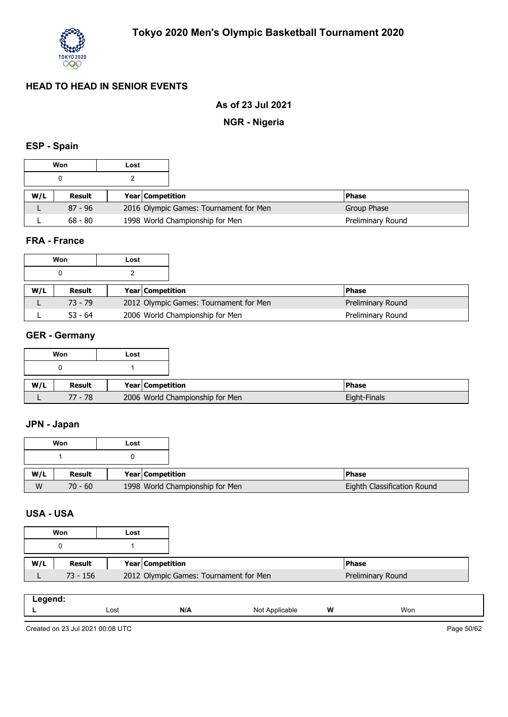

## **As of 23 Jul 2021**

## **NGR - Nigeria**

## **ESP - Spain**

| Won<br>Lost |           |                         |                                        |                   |
|-------------|-----------|-------------------------|----------------------------------------|-------------------|
|             |           |                         |                                        |                   |
| W/L         | Result    | <b>Year Competition</b> |                                        | <b>Phase</b>      |
|             | $87 - 96$ |                         | 2016 Olympic Games: Tournament for Men | Group Phase       |
|             | $68 - 80$ |                         | 1998 World Championship for Men        | Preliminary Round |

#### **FRA - France**

|     | Won<br>Lost   |  |                         |                                        |                   |
|-----|---------------|--|-------------------------|----------------------------------------|-------------------|
|     | 0             |  |                         |                                        |                   |
| W/L | <b>Result</b> |  | <b>Year Competition</b> |                                        | <b>Phase</b>      |
|     | $73 - 79$     |  |                         | 2012 Olympic Games: Tournament for Men | Preliminary Round |
|     | $53 - 64$     |  |                         | 2006 World Championship for Men        | Preliminary Round |

## **GER - Germany**

|     | Won       | Lost                            |
|-----|-----------|---------------------------------|
|     |           |                                 |
|     |           |                                 |
| W/L | Result    | Year Competition                |
|     | $77 - 78$ | 2006 World Championship for Men |

#### **JPN - Japan**

|     | Won       | Lost |                                 |
|-----|-----------|------|---------------------------------|
|     |           |      |                                 |
| W/L | Result    |      | <b>Year Competition</b>         |
| W   | $70 - 60$ |      | 1998 World Championship for Men |

#### **USA - USA**

| Won<br>Lost |               |                                        |                   |
|-------------|---------------|----------------------------------------|-------------------|
|             |               |                                        |                   |
| W/L         | <b>Result</b> | <b>Year Competition</b>                | <b>IPhase</b>     |
|             | 73 - 156      | 2012 Olympic Games: Tournament for Men | Preliminary Round |

| ------ |      |     |                     |   |     |
|--------|------|-----|---------------------|---|-----|
| --     | Lost | N/A | Not<br>Noplicable \ | W | Won |

Created on 23 Jul 2021 00:08 UTC

Page 50/62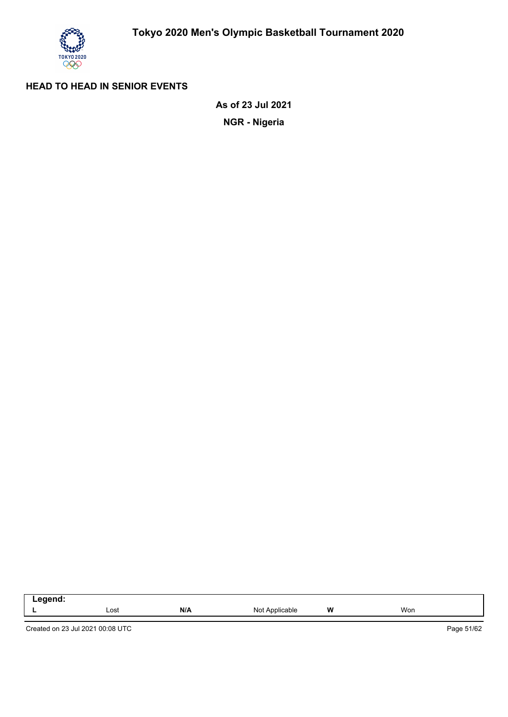

**NGR - Nigeria As of 23 Jul 2021**

| . |      |     |                 |   |     |
|---|------|-----|-----------------|---|-----|
| - | Lost | N/A | Not<br>plicable | W | Won |

Created on 23 Jul 2021 00:08 UTC

Page 51/62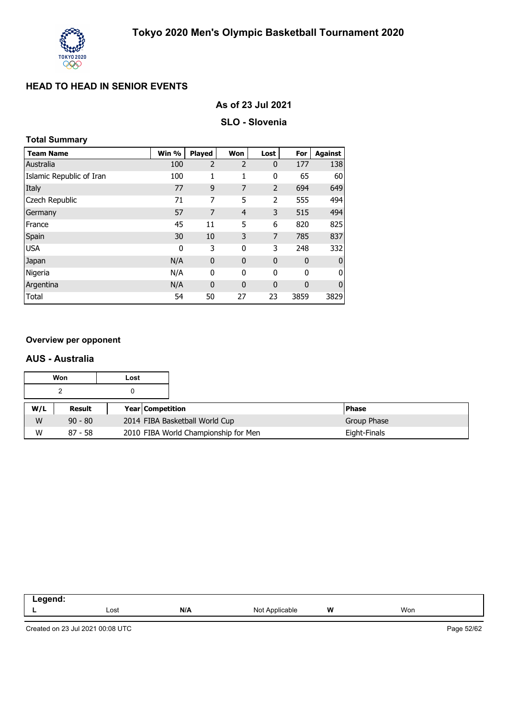

#### **As of 23 Jul 2021**

#### **SLO - Slovenia**

#### **Total Summary**

| <b>Team Name</b>         | Win % | Played         | Won            | Lost           | For         | <b>Against</b> |
|--------------------------|-------|----------------|----------------|----------------|-------------|----------------|
| Australia                | 100   | $\overline{2}$ | $\overline{2}$ | $\mathbf 0$    | 177         | 138            |
| Islamic Republic of Iran | 100   | 1              | 1              | 0              | 65          | 60             |
| Italy                    | 77    | 9              | 7              | $\overline{2}$ | 694         | 649            |
| Czech Republic           | 71    | 7              | 5              | 2              | 555         | 494            |
| Germany                  | 57    | 7              | $\overline{4}$ | 3              | 515         | 494            |
| France                   | 45    | 11             | 5              | 6              | 820         | 825            |
| Spain                    | 30    | 10             | 3              | 7              | 785         | 837            |
| <b>USA</b>               | 0     | 3              | 0              | 3              | 248         | 332            |
| Japan                    | N/A   | $\mathbf 0$    | 0              | 0              | $\mathbf 0$ | $\bf{0}$       |
| Nigeria                  | N/A   | 0              | 0              | 0              | 0           | 0              |
| Argentina                | N/A   | $\mathbf 0$    | 0              | $\mathbf 0$    | 0           | $\mathbf 0$    |
| Total                    | 54    | 50             | 27             | 23             | 3859        | 3829           |

#### **Overview per opponent**

#### **AUS - Australia**

|     | Won       | Lost |                                      |              |
|-----|-----------|------|--------------------------------------|--------------|
|     |           |      |                                      |              |
| W/L | Result    |      | <b>Year Competition</b>              | <b>Phase</b> |
| W   | $90 - 80$ |      | 2014 FIBA Basketball World Cup       | Group Phase  |
| W   | $87 - 58$ |      | 2010 FIBA World Championship for Men | Eight-Finals |

| ---<br>-- |      |     |                              |   |     |
|-----------|------|-----|------------------------------|---|-----|
| -         | Lost | N/A | NM<br>$\sqrt{2}$<br>ilicable | W | Won |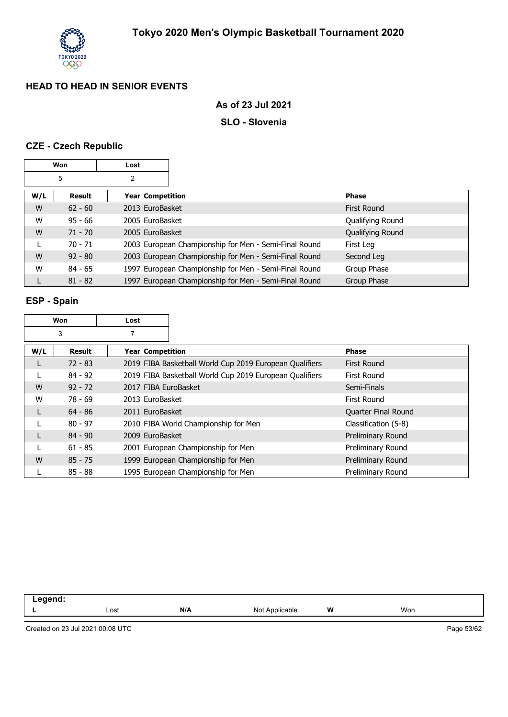

#### **As of 23 Jul 2021**

#### **SLO - Slovenia**

## **CZE - Czech Republic**

|     | Won       | Lost |                    |                                                       |                    |
|-----|-----------|------|--------------------|-------------------------------------------------------|--------------------|
|     | 5         | 2    |                    |                                                       |                    |
| W/L | Result    |      | Year   Competition |                                                       | <b>Phase</b>       |
| W   | $62 - 60$ |      | 2013 EuroBasket    |                                                       | <b>First Round</b> |
| W   | $95 - 66$ |      | 2005 EuroBasket    |                                                       | Qualifying Round   |
| W   | $71 - 70$ |      | 2005 EuroBasket    |                                                       | Qualifying Round   |
|     | $70 - 71$ |      |                    | 2003 European Championship for Men - Semi-Final Round | First Leg          |
| W   | $92 - 80$ |      |                    | 2003 European Championship for Men - Semi-Final Round | Second Leg         |
| W   | $84 - 65$ |      |                    | 1997 European Championship for Men - Semi-Final Round | Group Phase        |
|     | $81 - 82$ |      |                    | 1997 European Championship for Men - Semi-Final Round | Group Phase        |

#### **ESP - Spain**

|     | Won           | Lost                 |                                                         |                      |
|-----|---------------|----------------------|---------------------------------------------------------|----------------------|
|     | 3             |                      |                                                         |                      |
| W/L | <b>Result</b> | Year Competition     |                                                         | <b>Phase</b>         |
| L   | $72 - 83$     |                      | 2019 FIBA Basketball World Cup 2019 European Qualifiers | First Round          |
|     | $84 - 92$     |                      | 2019 FIBA Basketball World Cup 2019 European Qualifiers | First Round          |
| W   | $92 - 72$     | 2017 FIBA EuroBasket |                                                         | Semi-Finals          |
| W   | $78 - 69$     | 2013 EuroBasket      |                                                         | First Round          |
| L   | $64 - 86$     | 2011 EuroBasket      |                                                         | Quarter Final Round  |
|     | $80 - 97$     |                      | 2010 FIBA World Championship for Men                    | Classification (5-8) |
| L   | $84 - 90$     | 2009 EuroBasket      |                                                         | Preliminary Round    |
|     | $61 - 85$     |                      | 2001 European Championship for Men                      | Preliminary Round    |
| W   | $85 - 75$     |                      | 1999 European Championship for Men                      | Preliminary Round    |
|     | $85 - 88$     |                      | 1995 European Championship for Men                      | Preliminary Round    |

| םר<br>- 2 |      |     |                        |   |     |  |
|-----------|------|-----|------------------------|---|-----|--|
|           | Lost | N/A | N∩t<br>Applicable<br>w | W | Won |  |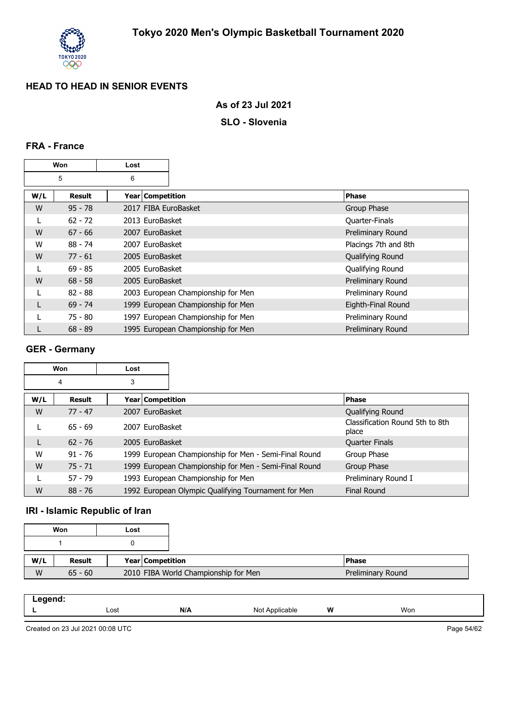

#### **As of 23 Jul 2021**

#### **SLO - Slovenia**

#### **FRA - France**

|     | Won           | Lost                 |                                    |                      |
|-----|---------------|----------------------|------------------------------------|----------------------|
|     | 5             | 6                    |                                    |                      |
| W/L | <b>Result</b> | Year   Competition   |                                    | <b>Phase</b>         |
| W   | $95 - 78$     | 2017 FIBA EuroBasket |                                    | Group Phase          |
|     | $62 - 72$     | 2013 EuroBasket      |                                    | Quarter-Finals       |
| W   | $67 - 66$     | 2007 EuroBasket      |                                    | Preliminary Round    |
| W   | $88 - 74$     | 2007 EuroBasket      |                                    | Placings 7th and 8th |
| W   | $77 - 61$     | 2005 EuroBasket      |                                    | Qualifying Round     |
|     | $69 - 85$     | 2005 EuroBasket      |                                    | Qualifying Round     |
| W   | $68 - 58$     | 2005 EuroBasket      |                                    | Preliminary Round    |
|     | $82 - 88$     |                      | 2003 European Championship for Men | Preliminary Round    |
|     | $69 - 74$     |                      | 1999 European Championship for Men | Eighth-Final Round   |
|     | 75 - 80       |                      | 1997 European Championship for Men | Preliminary Round    |
|     | $68 - 89$     |                      | 1995 European Championship for Men | Preliminary Round    |

#### **GER - Germany**

|     | Won       | Lost               |                                                       |                                          |
|-----|-----------|--------------------|-------------------------------------------------------|------------------------------------------|
|     | 4         | 3                  |                                                       |                                          |
| W/L | Result    | Year   Competition |                                                       | <b>Phase</b>                             |
| W   | $77 - 47$ | 2007 EuroBasket    |                                                       | Qualifying Round                         |
|     | $65 - 69$ | 2007 EuroBasket    |                                                       | Classification Round 5th to 8th<br>place |
| L   | $62 - 76$ | 2005 EuroBasket    |                                                       | <b>Quarter Finals</b>                    |
| W   | $91 - 76$ |                    | 1999 European Championship for Men - Semi-Final Round | Group Phase                              |
| W   | $75 - 71$ |                    | 1999 European Championship for Men - Semi-Final Round | Group Phase                              |
|     | $57 - 79$ |                    | 1993 European Championship for Men                    | Preliminary Round I                      |
| W   | $88 - 76$ |                    | 1992 European Olympic Qualifying Tournament for Men   | <b>Final Round</b>                       |

## **IRI - Islamic Republic of Iran**

|     | Won       | Lost |                    |                                      |                   |
|-----|-----------|------|--------------------|--------------------------------------|-------------------|
|     |           |      |                    |                                      |                   |
| W/L | Result    |      | Year   Competition |                                      | <b>Phase</b>      |
| W   | $65 - 60$ |      |                    | 2010 FIBA World Championship for Men | Preliminary Round |

| N/A<br>W<br>Won<br>Lost<br>Not<br>`Applicable | .<br>-- - |  |  |  |
|-----------------------------------------------|-----------|--|--|--|
|                                               |           |  |  |  |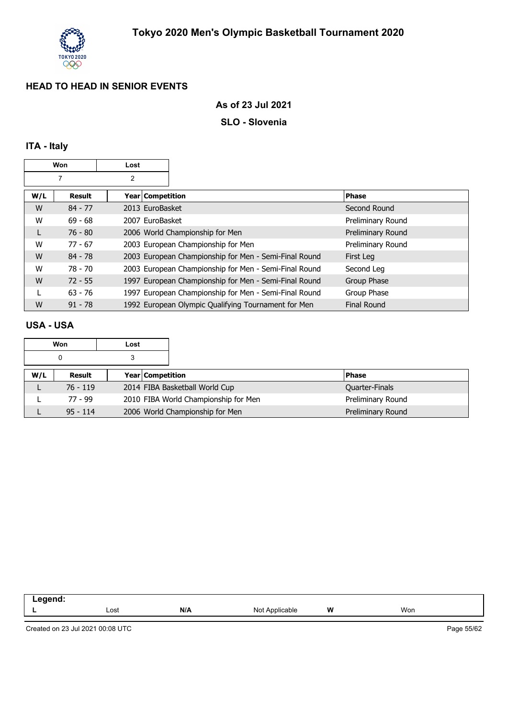

#### **As of 23 Jul 2021**

#### **SLO - Slovenia**

## **ITA - Italy**

| Won<br>Lost |           |                  |                                                       |                    |
|-------------|-----------|------------------|-------------------------------------------------------|--------------------|
|             | 7         | 2                |                                                       |                    |
| W/L         | Result    | Year Competition |                                                       | <b>Phase</b>       |
| W           | $84 - 77$ | 2013 EuroBasket  |                                                       | Second Round       |
| W           | $69 - 68$ | 2007 EuroBasket  |                                                       | Preliminary Round  |
| L           | $76 - 80$ |                  | 2006 World Championship for Men                       | Preliminary Round  |
| W           | $77 - 67$ |                  | 2003 European Championship for Men                    | Preliminary Round  |
| W           | $84 - 78$ |                  | 2003 European Championship for Men - Semi-Final Round | First Leg          |
| W           | 78 - 70   |                  | 2003 European Championship for Men - Semi-Final Round | Second Leg         |
| W           | $72 - 55$ |                  | 1997 European Championship for Men - Semi-Final Round | Group Phase        |
|             | $63 - 76$ |                  | 1997 European Championship for Men - Semi-Final Round | Group Phase        |
| W           | $91 - 78$ |                  | 1992 European Olympic Qualifying Tournament for Men   | <b>Final Round</b> |

#### **USA - USA**

|     | Won        | Lost |                                      |                   |
|-----|------------|------|--------------------------------------|-------------------|
|     | 0          |      |                                      |                   |
| W/L | Result     |      | Year Competition                     | <b>Phase</b>      |
|     | $76 - 119$ |      | 2014 FIBA Basketball World Cup       | Quarter-Finals    |
|     | 77 - 99    |      | 2010 FIBA World Championship for Men | Preliminary Round |
|     | $95 - 114$ |      | 2006 World Championship for Men      | Preliminary Round |

| nand<br>. |      |     |                     |       |     |  |
|-----------|------|-----|---------------------|-------|-----|--|
|           | Lost | N/A | : Applicable<br>Not | W<br> | Won |  |
|           |      |     |                     |       |     |  |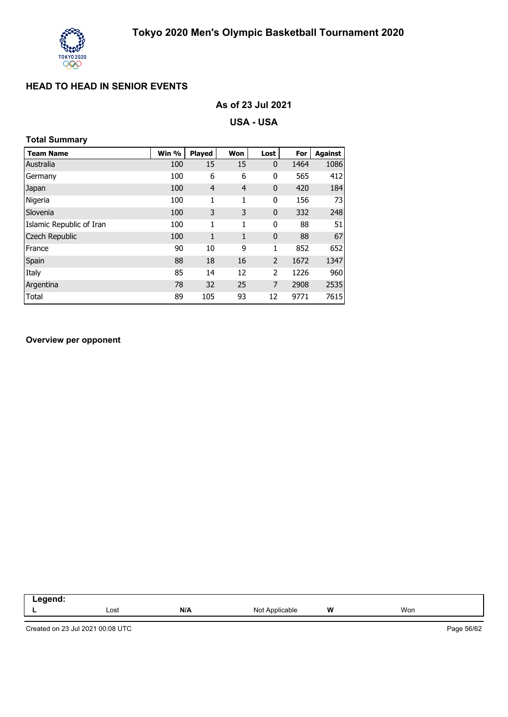

| As of 23 Jul 2021 |  |
|-------------------|--|
|-------------------|--|

**USA - USA**

## **Total Summary**

| <b>Team Name</b>         | Win % | <b>Played</b>  | Won            | Lost           | For  | <b>Against</b> |
|--------------------------|-------|----------------|----------------|----------------|------|----------------|
| Australia                | 100   | 15             | 15             | 0              | 1464 | 1086           |
| Germany                  | 100   | 6              | 6              | 0              | 565  | 412            |
| Japan                    | 100   | $\overline{4}$ | $\overline{4}$ | 0              | 420  | 184            |
| Nigeria                  | 100   | 1              | 1              | 0              | 156  | 73             |
| Slovenia                 | 100   | 3              | 3              | 0              | 332  | 248            |
| Islamic Republic of Iran | 100   | 1              | 1              | 0              | 88   | 51             |
| Czech Republic           | 100   | 1              | 1              | $\mathbf 0$    | 88   | 67             |
| France                   | 90    | 10             | 9              | 1              | 852  | 652            |
| Spain                    | 88    | 18             | 16             | $\overline{2}$ | 1672 | 1347           |
| Italy                    | 85    | 14             | 12             | 2              | 1226 | 960            |
| Argentina                | 78    | 32             | 25             | 7              | 2908 | 2535           |
| Total                    | 89    | 105            | 93             | 12             | 9771 | 7615           |

#### **Overview per opponent**

| $- - \sim - \sim -$ |      |     |                   |   |     |
|---------------------|------|-----|-------------------|---|-----|
| --                  | Lost | N/A | Applicable<br>Not | W | Won |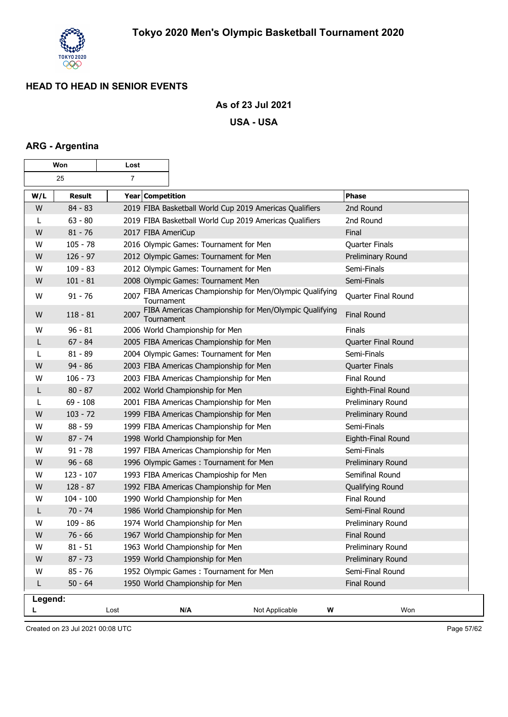

### **As of 23 Jul 2021**

#### **USA - USA**

## **ARG - Argentina**

| Won     |               | Lost               |                                         |                                                            |   |                       |
|---------|---------------|--------------------|-----------------------------------------|------------------------------------------------------------|---|-----------------------|
|         | 25            | $\overline{7}$     |                                         |                                                            |   |                       |
| W/L     | <b>Result</b> | Year Competition   |                                         |                                                            |   | Phase                 |
| W       | $84 - 83$     |                    |                                         | 2019 FIBA Basketball World Cup 2019 Americas Qualifiers    |   | 2nd Round             |
| L       | $63 - 80$     |                    |                                         | 2019 FIBA Basketball World Cup 2019 Americas Qualifiers    |   | 2nd Round             |
| W       | $81 - 76$     | 2017 FIBA AmeriCup |                                         |                                                            |   | Final                 |
| W       | $105 - 78$    |                    | 2016 Olympic Games: Tournament for Men  |                                                            |   | <b>Quarter Finals</b> |
| W       | $126 - 97$    |                    | 2012 Olympic Games: Tournament for Men  |                                                            |   | Preliminary Round     |
| W       | $109 - 83$    |                    | 2012 Olympic Games: Tournament for Men  |                                                            |   | Semi-Finals           |
| W       | $101 - 81$    |                    | 2008 Olympic Games: Tournament Men      |                                                            |   | Semi-Finals           |
| W       | $91 - 76$     | 2007<br>Tournament |                                         | FIBA Americas Championship for Men/Olympic Qualifying      |   | Quarter Final Round   |
| W       | $118 - 81$    | Tournament         |                                         | 2007 FIBA Americas Championship for Men/Olympic Qualifying |   | <b>Final Round</b>    |
| W       | $96 - 81$     |                    | 2006 World Championship for Men         |                                                            |   | Finals                |
| L       | $67 - 84$     |                    | 2005 FIBA Americas Championship for Men |                                                            |   | Quarter Final Round   |
| L       | $81 - 89$     |                    | 2004 Olympic Games: Tournament for Men  |                                                            |   | Semi-Finals           |
| W       | $94 - 86$     |                    | 2003 FIBA Americas Championship for Men |                                                            |   | <b>Quarter Finals</b> |
| W       | $106 - 73$    |                    | 2003 FIBA Americas Championship for Men |                                                            |   | Final Round           |
| L       | $80 - 87$     |                    | 2002 World Championship for Men         |                                                            |   | Eighth-Final Round    |
| L       | $69 - 108$    |                    | 2001 FIBA Americas Championship for Men |                                                            |   | Preliminary Round     |
| W       | $103 - 72$    |                    | 1999 FIBA Americas Championship for Men |                                                            |   | Preliminary Round     |
| W       | $88 - 59$     |                    | 1999 FIBA Americas Championship for Men |                                                            |   | Semi-Finals           |
| W       | $87 - 74$     |                    | 1998 World Championship for Men         |                                                            |   | Eighth-Final Round    |
| W       | $91 - 78$     |                    | 1997 FIBA Americas Championship for Men |                                                            |   | Semi-Finals           |
| W       | $96 - 68$     |                    | 1996 Olympic Games: Tournament for Men  |                                                            |   | Preliminary Round     |
| W       | $123 - 107$   |                    | 1993 FIBA Americas Champioship for Men  |                                                            |   | Semifinal Round       |
| W       | $128 - 87$    |                    | 1992 FIBA Americas Championship for Men |                                                            |   | Qualifying Round      |
| W       | $104 - 100$   |                    | 1990 World Championship for Men         |                                                            |   | Final Round           |
| L       | $70 - 74$     |                    | 1986 World Championship for Men         |                                                            |   | Semi-Final Round      |
| W       | $109 - 86$    |                    | 1974 World Championship for Men         |                                                            |   | Preliminary Round     |
| W       | $76 - 66$     |                    | 1967 World Championship for Men         |                                                            |   | <b>Final Round</b>    |
| W       | $81 - 51$     |                    | 1963 World Championship for Men         |                                                            |   | Preliminary Round     |
| W       | $87 - 73$     |                    | 1959 World Championship for Men         |                                                            |   | Preliminary Round     |
| W       | $85 - 76$     |                    | 1952 Olympic Games: Tournament for Men  |                                                            |   | Semi-Final Round      |
| L       | $50 - 64$     |                    | 1950 World Championship for Men         |                                                            |   | Final Round           |
| Legend: |               |                    |                                         |                                                            |   |                       |
| L       |               | Lost               | N/A                                     | Not Applicable                                             | W | Won                   |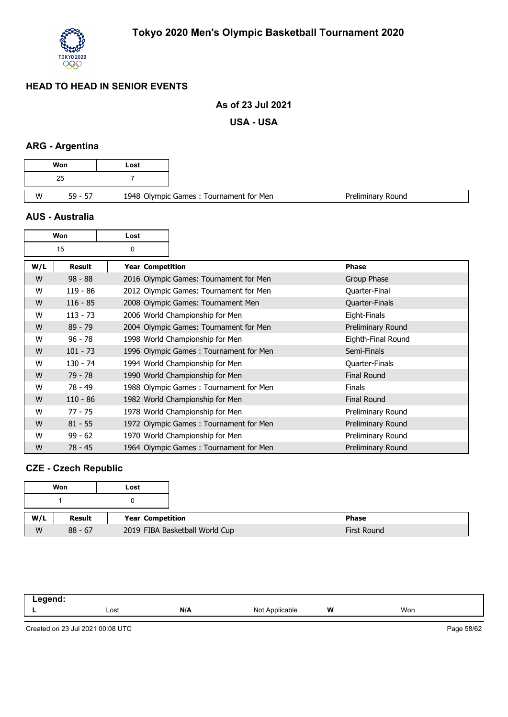

#### **As of 23 Jul 2021**

**USA - USA**

#### **ARG - Argentina**

| Won            | Lost |
|----------------|------|
| 25             |      |
| W<br>$59 - 57$ |      |

#### **AUS - Australia**

| Won |            | Lost |                  |                                        |                    |
|-----|------------|------|------------------|----------------------------------------|--------------------|
|     | 15         | 0    |                  |                                        |                    |
| W/L | Result     |      | Year Competition |                                        | Phase              |
| W   | $98 - 88$  |      |                  | 2016 Olympic Games: Tournament for Men | Group Phase        |
| w   | $119 - 86$ |      |                  | 2012 Olympic Games: Tournament for Men | Quarter-Final      |
| W   | $116 - 85$ |      |                  | 2008 Olympic Games: Tournament Men     | Quarter-Finals     |
| W   | $113 - 73$ |      |                  | 2006 World Championship for Men        | Eight-Finals       |
| W   | $89 - 79$  |      |                  | 2004 Olympic Games: Tournament for Men | Preliminary Round  |
| W   | $96 - 78$  |      |                  | 1998 World Championship for Men        | Eighth-Final Round |
| W   | $101 - 73$ |      |                  | 1996 Olympic Games: Tournament for Men | Semi-Finals        |
| W   | $130 - 74$ |      |                  | 1994 World Championship for Men        | Quarter-Finals     |
| W   | $79 - 78$  |      |                  | 1990 World Championship for Men        | <b>Final Round</b> |
| W   | 78 - 49    |      |                  | 1988 Olympic Games: Tournament for Men | <b>Finals</b>      |
| W   | $110 - 86$ |      |                  | 1982 World Championship for Men        | <b>Final Round</b> |
| W   | $77 - 75$  |      |                  | 1978 World Championship for Men        | Preliminary Round  |
| W   | $81 - 55$  |      |                  | 1972 Olympic Games: Tournament for Men | Preliminary Round  |
| W   | $99 - 62$  |      |                  | 1970 World Championship for Men        | Preliminary Round  |
| W   | $78 - 45$  |      |                  | 1964 Olympic Games: Tournament for Men | Preliminary Round  |

## **CZE - Czech Republic**

|     | Won           | Lost |                                |
|-----|---------------|------|--------------------------------|
|     |               |      |                                |
| W/L | <b>Result</b> |      | Year Competition               |
| W   | $88 - 67$     |      | 2019 FIBA Basketball World Cup |

| - - - |      |     |                     |   |     |
|-------|------|-----|---------------------|---|-----|
| --    | Lost | N/A | Not .<br>Applicable | W | Won |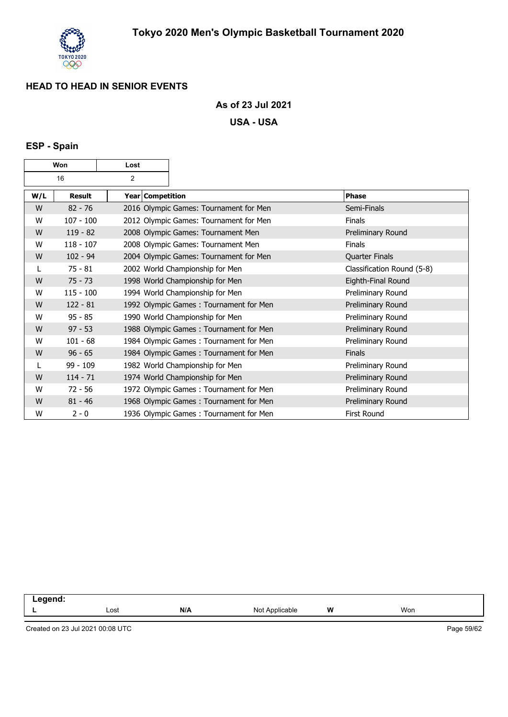

#### **As of 23 Jul 2021**

**USA - USA**

## **ESP - Spain**

| Won |               | Lost             |                                        |                            |
|-----|---------------|------------------|----------------------------------------|----------------------------|
|     | 16<br>2       |                  |                                        |                            |
| W/L | <b>Result</b> | Year Competition |                                        | <b>Phase</b>               |
| W   | $82 - 76$     |                  | 2016 Olympic Games: Tournament for Men | Semi-Finals                |
| W   | $107 - 100$   |                  | 2012 Olympic Games: Tournament for Men | <b>Finals</b>              |
| W   | $119 - 82$    |                  | 2008 Olympic Games: Tournament Men     | Preliminary Round          |
| W   | $118 - 107$   |                  | 2008 Olympic Games: Tournament Men     | <b>Finals</b>              |
| W   | $102 - 94$    |                  | 2004 Olympic Games: Tournament for Men | <b>Quarter Finals</b>      |
|     | $75 - 81$     |                  | 2002 World Championship for Men        | Classification Round (5-8) |
| W   | $75 - 73$     |                  | 1998 World Championship for Men        | Eighth-Final Round         |
| W   | $115 - 100$   |                  | 1994 World Championship for Men        | Preliminary Round          |
| W   | $122 - 81$    |                  | 1992 Olympic Games: Tournament for Men | Preliminary Round          |
| W   | $95 - 85$     |                  | 1990 World Championship for Men        | Preliminary Round          |
| W   | $97 - 53$     |                  | 1988 Olympic Games: Tournament for Men | Preliminary Round          |
| W   | $101 - 68$    |                  | 1984 Olympic Games: Tournament for Men | Preliminary Round          |
| W   | $96 - 65$     |                  | 1984 Olympic Games: Tournament for Men | <b>Finals</b>              |
|     | 99 - 109      |                  | 1982 World Championship for Men        | Preliminary Round          |
| W   | $114 - 71$    |                  | 1974 World Championship for Men        | Preliminary Round          |
| W   | $72 - 56$     |                  | 1972 Olympic Games: Tournament for Men | Preliminary Round          |
| W   | $81 - 46$     |                  | 1968 Olympic Games: Tournament for Men | Preliminary Round          |
| W   | $2 - 0$       |                  | 1936 Olympic Games: Tournament for Men | <b>First Round</b>         |

| . |      |     |                    |   |     |  |
|---|------|-----|--------------------|---|-----|--|
|   | Lost | N/A | Applicable<br>מI N | W | Won |  |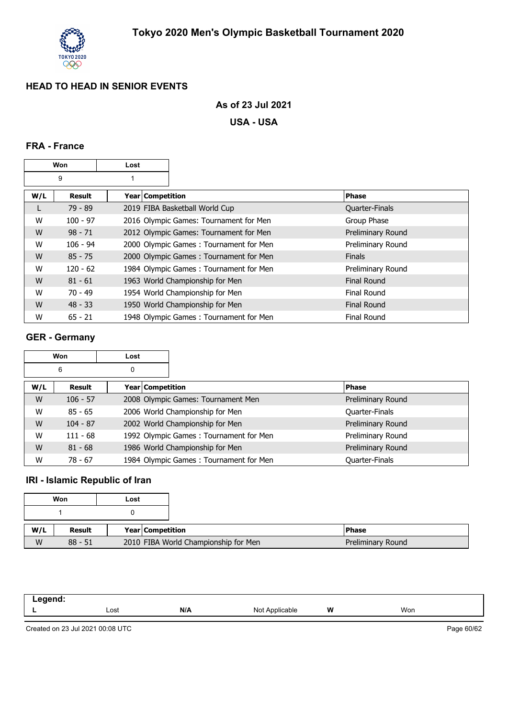

### **As of 23 Jul 2021**

**USA - USA**

### **FRA - France**

|     | Won        | Lost               |                                        |                       |
|-----|------------|--------------------|----------------------------------------|-----------------------|
|     | 9          |                    |                                        |                       |
| W/L | Result     | Year   Competition |                                        | <b>Phase</b>          |
| L   | $79 - 89$  |                    | 2019 FIBA Basketball World Cup         | <b>Quarter-Finals</b> |
| W   | $100 - 97$ |                    | 2016 Olympic Games: Tournament for Men | Group Phase           |
| W   | $98 - 71$  |                    | 2012 Olympic Games: Tournament for Men | Preliminary Round     |
| W   | $106 - 94$ |                    | 2000 Olympic Games: Tournament for Men | Preliminary Round     |
| W   | $85 - 75$  |                    | 2000 Olympic Games: Tournament for Men | <b>Finals</b>         |
| W   | $120 - 62$ |                    | 1984 Olympic Games: Tournament for Men | Preliminary Round     |
| W   | $81 - 61$  |                    | 1963 World Championship for Men        | <b>Final Round</b>    |
| W   | $70 - 49$  |                    | 1954 World Championship for Men        | Final Round           |
| W   | $48 - 33$  |                    | 1950 World Championship for Men        | <b>Final Round</b>    |
| W   | $65 - 21$  |                    | 1948 Olympic Games: Tournament for Men | <b>Final Round</b>    |

## **GER - Germany**

|     | Won        | Lost |                  |                                        |                       |
|-----|------------|------|------------------|----------------------------------------|-----------------------|
|     | 6          | 0    |                  |                                        |                       |
| W/L | Result     |      | Year Competition |                                        | <b>Phase</b>          |
| W   | $106 - 57$ |      |                  | 2008 Olympic Games: Tournament Men     | Preliminary Round     |
| W   | $85 - 65$  |      |                  | 2006 World Championship for Men        | Quarter-Finals        |
| W   | $104 - 87$ |      |                  | 2002 World Championship for Men        | Preliminary Round     |
| W   | $111 - 68$ |      |                  | 1992 Olympic Games: Tournament for Men | Preliminary Round     |
| W   | $81 - 68$  |      |                  | 1986 World Championship for Men        | Preliminary Round     |
| W   | $78 - 67$  |      |                  | 1984 Olympic Games: Tournament for Men | <b>Quarter-Finals</b> |

## **IRI - Islamic Republic of Iran**

|     | Won       | Lost |                  |                                      |  |
|-----|-----------|------|------------------|--------------------------------------|--|
|     |           |      |                  |                                      |  |
| W/L | Result    |      | Year Competition |                                      |  |
| W   | $88 - 51$ |      |                  | 2010 FIBA World Championship for Men |  |

| $-$ aand-<br>llu.<br>- - - - - |      |     |                                                  |   |     |  |
|--------------------------------|------|-----|--------------------------------------------------|---|-----|--|
| -                              | Lost | N/A | N <sub>IO</sub><br><b>Applicable</b><br>$\cdots$ | W | Won |  |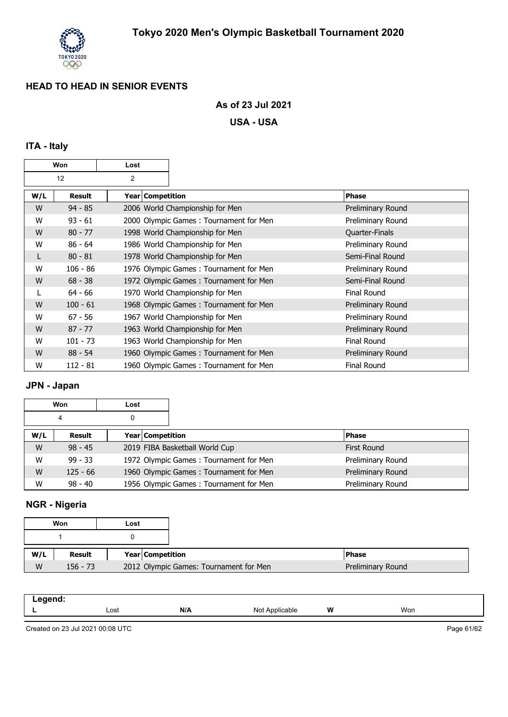

## **As of 23 Jul 2021**

**USA - USA**

## **ITA - Italy**

|     | Won        | Lost           |                                        |                    |
|-----|------------|----------------|----------------------------------------|--------------------|
|     | 12         | $\overline{2}$ |                                        |                    |
| W/L | Result     |                | Year Competition                       | <b>Phase</b>       |
| W   | $94 - 85$  |                | 2006 World Championship for Men        | Preliminary Round  |
| W   | $93 - 61$  |                | 2000 Olympic Games: Tournament for Men | Preliminary Round  |
| W   | $80 - 77$  |                | 1998 World Championship for Men        | Quarter-Finals     |
| W   | $86 - 64$  |                | 1986 World Championship for Men        | Preliminary Round  |
| L   | $80 - 81$  |                | 1978 World Championship for Men        | Semi-Final Round   |
| W   | $106 - 86$ |                | 1976 Olympic Games: Tournament for Men | Preliminary Round  |
| W   | $68 - 38$  |                | 1972 Olympic Games: Tournament for Men | Semi-Final Round   |
|     | $64 - 66$  |                | 1970 World Championship for Men        | <b>Final Round</b> |
| W   | $100 - 61$ |                | 1968 Olympic Games: Tournament for Men | Preliminary Round  |
| W   | $67 - 56$  |                | 1967 World Championship for Men        | Preliminary Round  |
| W   | $87 - 77$  |                | 1963 World Championship for Men        | Preliminary Round  |
| W   | $101 - 73$ |                | 1963 World Championship for Men        | <b>Final Round</b> |
| W   | $88 - 54$  |                | 1960 Olympic Games: Tournament for Men | Preliminary Round  |
| W   | $112 - 81$ |                | 1960 Olympic Games: Tournament for Men | <b>Final Round</b> |

#### **JPN - Japan**

|     | Won        | Lost |                  |                                        |                   |
|-----|------------|------|------------------|----------------------------------------|-------------------|
|     | 4          | 0    |                  |                                        |                   |
| W/L | Result     |      | Year Competition |                                        | <b>Phase</b>      |
| W   | $98 - 45$  |      |                  | 2019 FIBA Basketball World Cup         | First Round       |
| W   | $99 - 33$  |      |                  | 1972 Olympic Games: Tournament for Men | Preliminary Round |
| W   | $125 - 66$ |      |                  | 1960 Olympic Games: Tournament for Men | Preliminary Round |
| W   | $98 - 40$  |      |                  | 1956 Olympic Games: Tournament for Men | Preliminary Round |

## **NGR - Nigeria**

|     | Won        | Lost |                  |                                        |  |
|-----|------------|------|------------------|----------------------------------------|--|
|     |            |      |                  |                                        |  |
|     |            |      |                  |                                        |  |
| W/L | Result     |      | Year Competition |                                        |  |
| W   | $156 - 73$ |      |                  | 2012 Olympic Games: Tournament for Men |  |

| .   |      |     |                  |   |     |  |
|-----|------|-----|------------------|---|-----|--|
| . . | Lost | N/A | Not<br>licable l | W | Won |  |